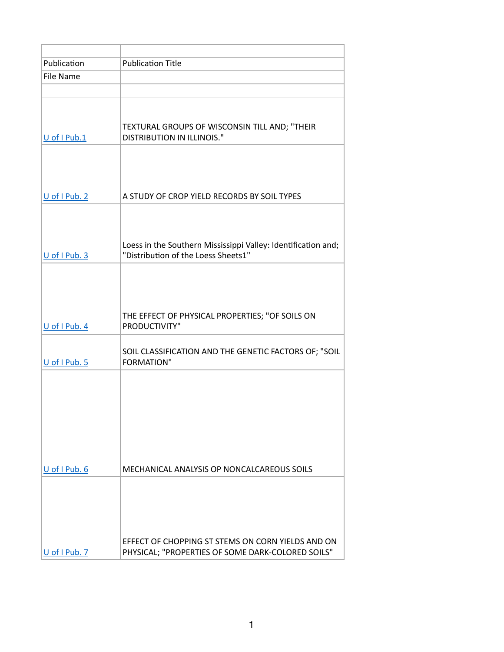| Publication       | <b>Publication Title</b>                                                                               |
|-------------------|--------------------------------------------------------------------------------------------------------|
| <b>File Name</b>  |                                                                                                        |
|                   |                                                                                                        |
| U of I Pub.1      | TEXTURAL GROUPS OF WISCONSIN TILL AND; "THEIR<br><b>DISTRIBUTION IN ILLINOIS."</b>                     |
| U of I Pub. 2     | A STUDY OF CROP YIELD RECORDS BY SOIL TYPES                                                            |
|                   |                                                                                                        |
| $U$ of I Pub. 3   | Loess in the Southern Mississippi Valley: Identification and;<br>"Distribution of the Loess Sheets1"   |
| U of I Pub. 4     | THE EFFECT OF PHYSICAL PROPERTIES; "OF SOILS ON<br>PRODUCTIVITY"                                       |
| U of I Pub. 5     | SOIL CLASSIFICATION AND THE GENETIC FACTORS OF; "SOIL<br><b>FORMATION"</b>                             |
|                   |                                                                                                        |
| $U$ of I Pub. $6$ | MECHANICAL ANALYSIS OP NONCALCAREOUS SOILS                                                             |
| U of I Pub. 7     | EFFECT OF CHOPPING ST STEMS ON CORN YIELDS AND ON<br>PHYSICAL; "PROPERTIES OF SOME DARK-COLORED SOILS" |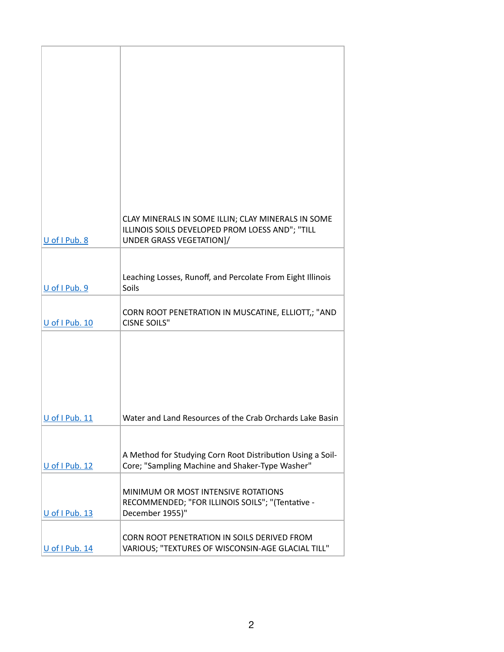|                | CLAY MINERALS IN SOME ILLIN; CLAY MINERALS IN SOME<br>ILLINOIS SOILS DEVELOPED PROM LOESS AND"; "TILL         |
|----------------|---------------------------------------------------------------------------------------------------------------|
| U of I Pub. 8  | UNDER GRASS VEGETATION]/                                                                                      |
|                |                                                                                                               |
|                |                                                                                                               |
|                | Leaching Losses, Runoff, and Percolate From Eight Illinois                                                    |
| U of I Pub. 9  | Soils                                                                                                         |
|                | CORN ROOT PENETRATION IN MUSCATINE, ELLIOTT,; "AND                                                            |
| U of I Pub. 10 | <b>CISNE SOILS"</b>                                                                                           |
|                |                                                                                                               |
|                |                                                                                                               |
|                |                                                                                                               |
|                |                                                                                                               |
|                |                                                                                                               |
|                |                                                                                                               |
| U of I Pub. 11 | Water and Land Resources of the Crab Orchards Lake Basin                                                      |
|                |                                                                                                               |
|                |                                                                                                               |
| U of I Pub. 12 | A Method for Studying Corn Root Distribution Using a Soil-<br>Core; "Sampling Machine and Shaker-Type Washer" |
|                |                                                                                                               |
|                | MINIMUM OR MOST INTENSIVE ROTATIONS                                                                           |
|                | RECOMMENDED; "FOR ILLINOIS SOILS"; "(Tentative -                                                              |
| U of I Pub. 13 | December 1955)"                                                                                               |
|                | CORN ROOT PENETRATION IN SOILS DERIVED FROM                                                                   |
| U of I Pub. 14 | VARIOUS; "TEXTURES OF WISCONSIN-AGE GLACIAL TILL"                                                             |
|                |                                                                                                               |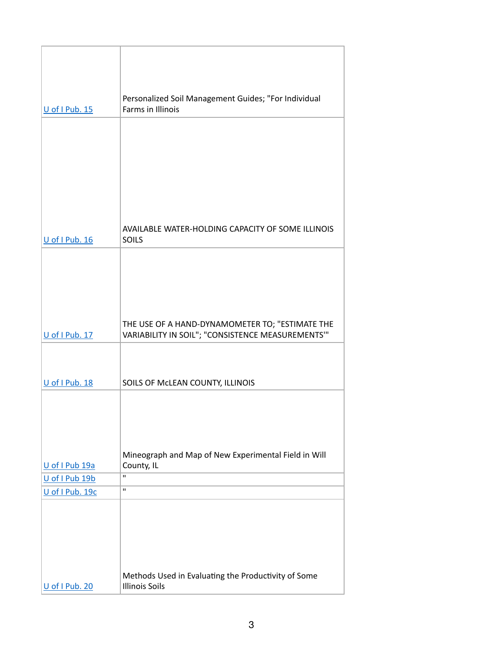| U of I Pub. 15                    | Personalized Soil Management Guides; "For Individual<br>Farms in Illinois                            |
|-----------------------------------|------------------------------------------------------------------------------------------------------|
|                                   |                                                                                                      |
|                                   |                                                                                                      |
|                                   |                                                                                                      |
|                                   |                                                                                                      |
|                                   |                                                                                                      |
|                                   |                                                                                                      |
|                                   |                                                                                                      |
| U of I Pub. 16                    | AVAILABLE WATER-HOLDING CAPACITY OF SOME ILLINOIS<br><b>SOILS</b>                                    |
|                                   |                                                                                                      |
|                                   |                                                                                                      |
|                                   |                                                                                                      |
|                                   |                                                                                                      |
|                                   |                                                                                                      |
| U of I Pub. 17                    | THE USE OF A HAND-DYNAMOMETER TO; "ESTIMATE THE<br>VARIABILITY IN SOIL"; "CONSISTENCE MEASUREMENTS"" |
|                                   |                                                                                                      |
|                                   |                                                                                                      |
| U of I Pub. 18                    | SOILS OF MCLEAN COUNTY, ILLINOIS                                                                     |
|                                   |                                                                                                      |
|                                   |                                                                                                      |
|                                   |                                                                                                      |
|                                   |                                                                                                      |
|                                   | Mineograph and Map of New Experimental Field in Will                                                 |
| U of I Pub 19a                    | County, IL<br>п                                                                                      |
| U of I Pub 19b<br>U of I Pub. 19c | п                                                                                                    |
|                                   |                                                                                                      |
|                                   |                                                                                                      |
|                                   |                                                                                                      |
|                                   |                                                                                                      |
|                                   |                                                                                                      |
| U of I Pub. 20                    | Methods Used in Evaluating the Productivity of Some<br><b>Illinois Soils</b>                         |
|                                   |                                                                                                      |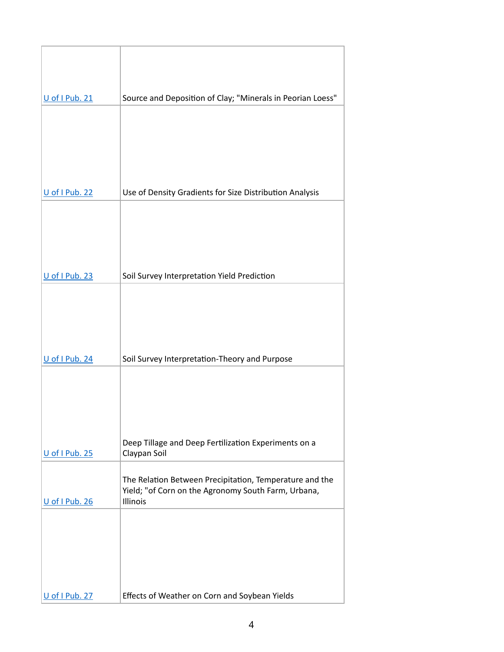| U of I Pub. 21 | Source and Deposition of Clay; "Minerals in Peorian Loess"                                                     |
|----------------|----------------------------------------------------------------------------------------------------------------|
|                |                                                                                                                |
|                |                                                                                                                |
|                |                                                                                                                |
|                |                                                                                                                |
| U of I Pub. 22 | Use of Density Gradients for Size Distribution Analysis                                                        |
|                |                                                                                                                |
|                |                                                                                                                |
|                |                                                                                                                |
|                |                                                                                                                |
| U of I Pub. 23 | Soil Survey Interpretation Yield Prediction                                                                    |
|                |                                                                                                                |
|                |                                                                                                                |
|                |                                                                                                                |
| U of I Pub. 24 | Soil Survey Interpretation-Theory and Purpose                                                                  |
|                |                                                                                                                |
|                |                                                                                                                |
|                |                                                                                                                |
|                |                                                                                                                |
| U of I Pub. 25 | Deep Tillage and Deep Fertilization Experiments on a<br>Claypan Soil                                           |
|                |                                                                                                                |
|                | The Relation Between Precipitation, Temperature and the<br>Yield; "of Corn on the Agronomy South Farm, Urbana, |
| U of I Pub. 26 | Illinois                                                                                                       |
|                |                                                                                                                |
|                |                                                                                                                |
|                |                                                                                                                |
|                |                                                                                                                |
| U of I Pub. 27 | Effects of Weather on Corn and Soybean Yields                                                                  |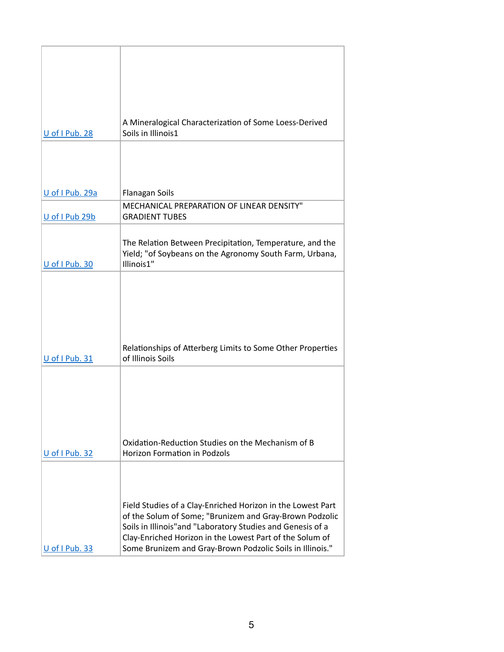| U of I Pub. 28  | A Mineralogical Characterization of Some Loess-Derived<br>Soils in Illinois1                                                                                                                                                                                                                                  |
|-----------------|---------------------------------------------------------------------------------------------------------------------------------------------------------------------------------------------------------------------------------------------------------------------------------------------------------------|
|                 |                                                                                                                                                                                                                                                                                                               |
| U of I Pub. 29a | Flanagan Soils                                                                                                                                                                                                                                                                                                |
| U of I Pub 29b  | MECHANICAL PREPARATION OF LINEAR DENSITY"<br><b>GRADIENT TUBES</b>                                                                                                                                                                                                                                            |
| U of I Pub. 30  | The Relation Between Precipitation, Temperature, and the<br>Yield; "of Soybeans on the Agronomy South Farm, Urbana,<br>Illinois1"                                                                                                                                                                             |
| U of I Pub. 31  | Relationships of Atterberg Limits to Some Other Properties<br>of Illinois Soils                                                                                                                                                                                                                               |
| U of I Pub. 32  | Oxidation-Reduction Studies on the Mechanism of B<br><b>Horizon Formation in Podzols</b>                                                                                                                                                                                                                      |
| U of I Pub. 33  | Field Studies of a Clay-Enriched Horizon in the Lowest Part<br>of the Solum of Some; "Brunizem and Gray-Brown Podzolic<br>Soils in Illinois"and "Laboratory Studies and Genesis of a<br>Clay-Enriched Horizon in the Lowest Part of the Solum of<br>Some Brunizem and Gray-Brown Podzolic Soils in Illinois." |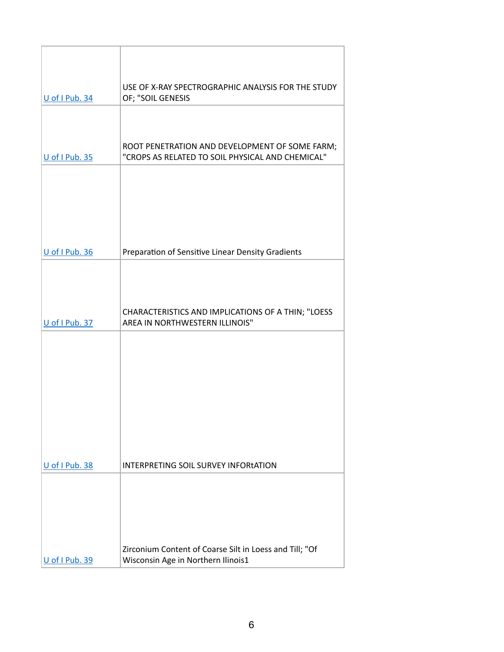| U of I Pub. 34 | USE OF X-RAY SPECTROGRAPHIC ANALYSIS FOR THE STUDY<br>OF; "SOIL GENESIS                            |
|----------------|----------------------------------------------------------------------------------------------------|
|                |                                                                                                    |
| U of I Pub. 35 | ROOT PENETRATION AND DEVELOPMENT OF SOME FARM;<br>"CROPS AS RELATED TO SOIL PHYSICAL AND CHEMICAL" |
|                |                                                                                                    |
|                |                                                                                                    |
|                |                                                                                                    |
| U of I Pub. 36 | Preparation of Sensitive Linear Density Gradients                                                  |
|                |                                                                                                    |
| U of I Pub. 37 | CHARACTERISTICS AND IMPLICATIONS OF A THIN; "LOESS<br>AREA IN NORTHWESTERN ILLINOIS"               |
|                |                                                                                                    |
|                |                                                                                                    |
|                |                                                                                                    |
|                |                                                                                                    |
|                |                                                                                                    |
| U of I Pub. 38 | INTERPRETING SOIL SURVEY INFORtATION                                                               |
|                |                                                                                                    |
|                |                                                                                                    |
|                |                                                                                                    |
| U of I Pub. 39 | Zirconium Content of Coarse Silt in Loess and Till; "Of<br>Wisconsin Age in Northern Ilinois1      |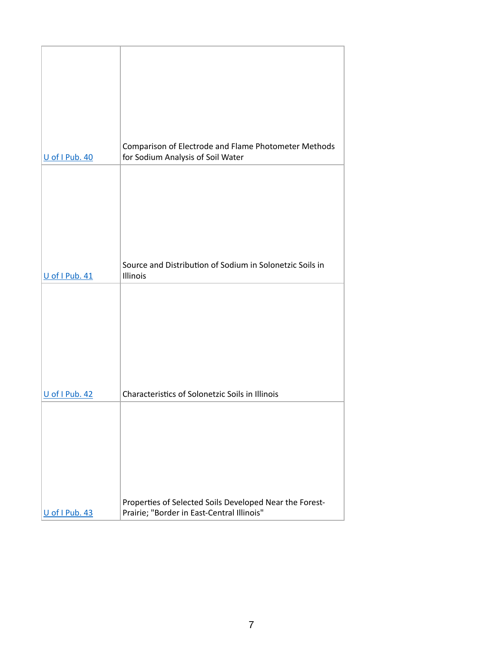| U of I Pub. 40 | Comparison of Electrode and Flame Photometer Methods<br>for Sodium Analysis of Soil Water             |
|----------------|-------------------------------------------------------------------------------------------------------|
|                |                                                                                                       |
|                |                                                                                                       |
|                |                                                                                                       |
| U of I Pub. 41 | Source and Distribution of Sodium in Solonetzic Soils in<br>Illinois                                  |
|                |                                                                                                       |
|                |                                                                                                       |
|                |                                                                                                       |
|                | Characteristics of Solonetzic Soils in Illinois                                                       |
| U of I Pub. 42 |                                                                                                       |
|                |                                                                                                       |
|                |                                                                                                       |
|                |                                                                                                       |
| U of I Pub. 43 | Properties of Selected Soils Developed Near the Forest-<br>Prairie; "Border in East-Central Illinois" |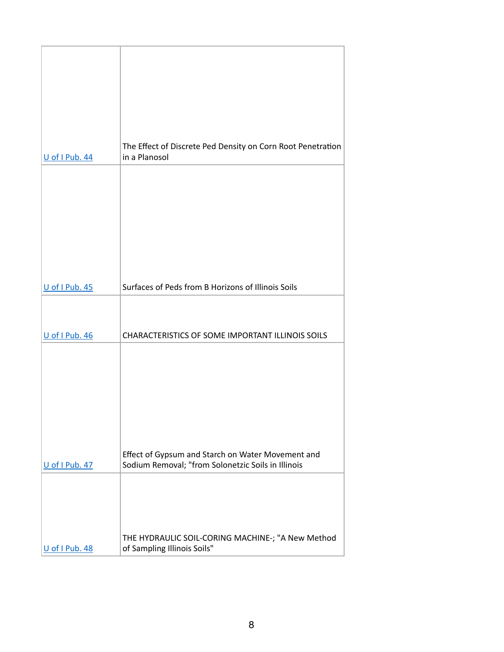|                | The Effect of Discrete Ped Density on Corn Root Penetration                                             |
|----------------|---------------------------------------------------------------------------------------------------------|
| U of I Pub. 44 | in a Planosol                                                                                           |
|                |                                                                                                         |
|                |                                                                                                         |
|                |                                                                                                         |
|                |                                                                                                         |
|                |                                                                                                         |
| U of I Pub. 45 | Surfaces of Peds from B Horizons of Illinois Soils                                                      |
|                |                                                                                                         |
|                |                                                                                                         |
| U of I Pub. 46 | CHARACTERISTICS OF SOME IMPORTANT ILLINOIS SOILS                                                        |
|                |                                                                                                         |
|                |                                                                                                         |
|                |                                                                                                         |
|                |                                                                                                         |
|                |                                                                                                         |
| U of I Pub. 47 | Effect of Gypsum and Starch on Water Movement and<br>Sodium Removal; "from Solonetzic Soils in Illinois |
|                |                                                                                                         |
|                |                                                                                                         |
|                |                                                                                                         |
|                | THE HYDRAULIC SOIL-CORING MACHINE-; "A New Method                                                       |
| U of I Pub. 48 | of Sampling Illinois Soils"                                                                             |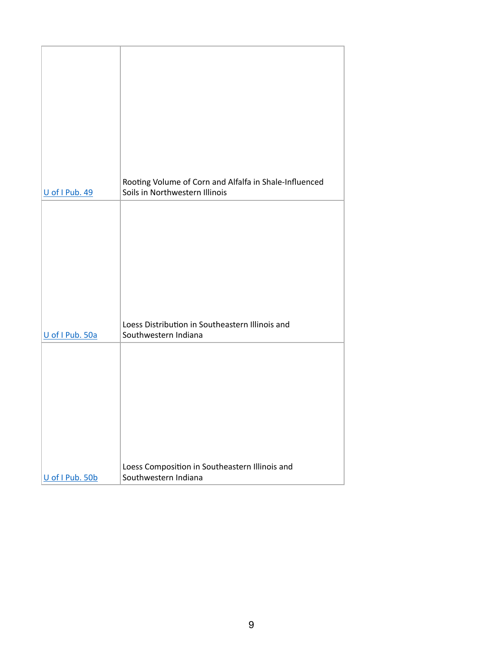| U of I Pub. 49  | Rooting Volume of Corn and Alfalfa in Shale-Influenced<br>Soils in Northwestern Illinois |
|-----------------|------------------------------------------------------------------------------------------|
|                 |                                                                                          |
| U of I Pub. 50a | Loess Distribution in Southeastern Illinois and<br>Southwestern Indiana                  |
|                 |                                                                                          |
| U of I Pub. 50b | Loess Composition in Southeastern Illinois and<br>Southwestern Indiana                   |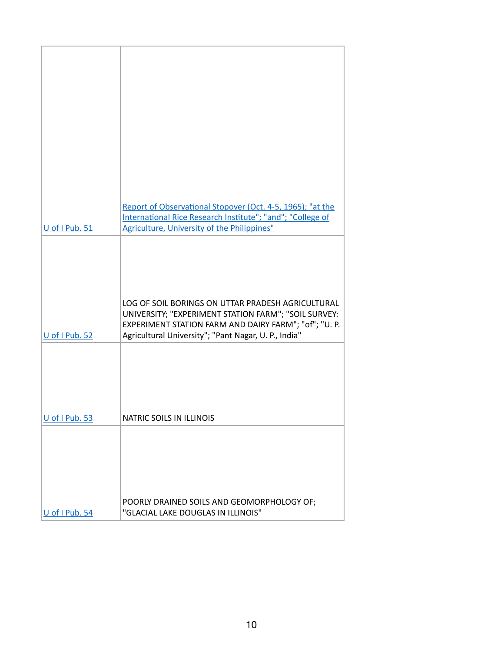|                | Report of Observational Stopover (Oct. 4-5, 1965); "at the<br>International Rice Research Institute"; "and"; "College of                                                                                                   |
|----------------|----------------------------------------------------------------------------------------------------------------------------------------------------------------------------------------------------------------------------|
| U of I Pub. 51 | Agriculture, University of the Philippines"                                                                                                                                                                                |
| U of I Pub. 52 | LOG OF SOIL BORINGS ON UTTAR PRADESH AGRICULTURAL<br>UNIVERSITY; "EXPERIMENT STATION FARM"; "SOIL SURVEY:<br>EXPERIMENT STATION FARM AND DAIRY FARM"; "of"; "U. P.<br>Agricultural University"; "Pant Nagar, U. P., India" |
| U of I Pub. 53 | NATRIC SOILS IN ILLINOIS                                                                                                                                                                                                   |
|                | POORLY DRAINED SOILS AND GEOMORPHOLOGY OF;                                                                                                                                                                                 |
| U of I Pub. 54 | "GLACIAL LAKE DOUGLAS IN ILLINOIS"                                                                                                                                                                                         |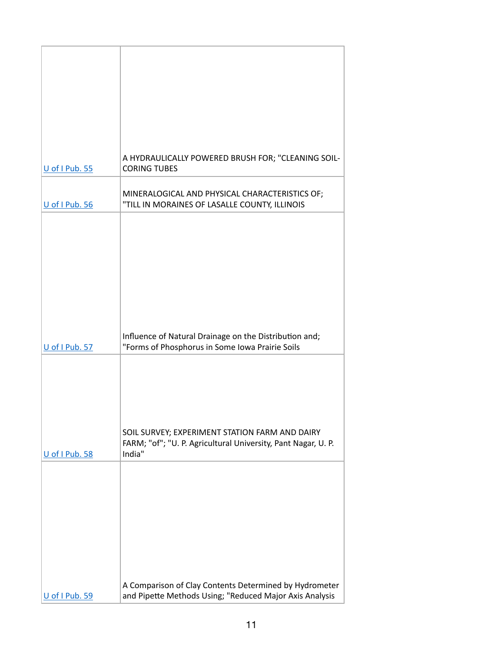| U of I Pub. 55 | A HYDRAULICALLY POWERED BRUSH FOR; "CLEANING SOIL-<br><b>CORING TUBES</b>                       |
|----------------|-------------------------------------------------------------------------------------------------|
|                |                                                                                                 |
| U of I Pub. 56 | MINERALOGICAL AND PHYSICAL CHARACTERISTICS OF;<br>"TILL IN MORAINES OF LASALLE COUNTY, ILLINOIS |
|                |                                                                                                 |
|                |                                                                                                 |
|                |                                                                                                 |
|                |                                                                                                 |
|                |                                                                                                 |
|                |                                                                                                 |
|                |                                                                                                 |
|                | Influence of Natural Drainage on the Distribution and;                                          |
| U of I Pub. 57 | "Forms of Phosphorus in Some Iowa Prairie Soils                                                 |
|                |                                                                                                 |
|                |                                                                                                 |
|                |                                                                                                 |
|                |                                                                                                 |
|                | SOIL SURVEY; EXPERIMENT STATION FARM AND DAIRY                                                  |
|                | FARM; "of"; "U. P. Agricultural University, Pant Nagar, U. P.                                   |
| U of I Pub. 58 | India"                                                                                          |
|                |                                                                                                 |
|                |                                                                                                 |
|                |                                                                                                 |
|                |                                                                                                 |
|                |                                                                                                 |
|                |                                                                                                 |
|                |                                                                                                 |
|                | A Comparison of Clay Contents Determined by Hydrometer                                          |
| U of I Pub. 59 | and Pipette Methods Using; "Reduced Major Axis Analysis                                         |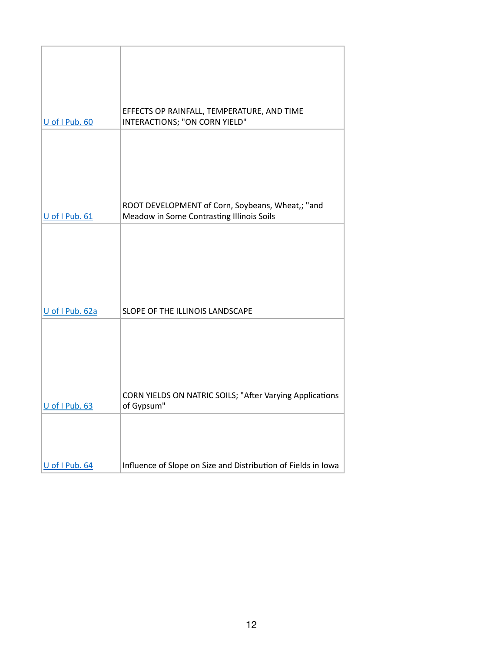| U of I Pub. 60  | EFFECTS OP RAINFALL, TEMPERATURE, AND TIME<br>INTERACTIONS; "ON CORN YIELD"                   |
|-----------------|-----------------------------------------------------------------------------------------------|
|                 |                                                                                               |
| U of I Pub. 61  | ROOT DEVELOPMENT of Corn, Soybeans, Wheat,; "and<br>Meadow in Some Contrasting Illinois Soils |
|                 |                                                                                               |
|                 |                                                                                               |
|                 |                                                                                               |
|                 |                                                                                               |
|                 |                                                                                               |
|                 |                                                                                               |
| U of I Pub. 62a | SLOPE OF THE ILLINOIS LANDSCAPE                                                               |
|                 |                                                                                               |
|                 |                                                                                               |
| U of I Pub. 63  | CORN YIELDS ON NATRIC SOILS; "After Varying Applications<br>of Gypsum"                        |
|                 |                                                                                               |
|                 |                                                                                               |
|                 |                                                                                               |
| U of I Pub. 64  | Influence of Slope on Size and Distribution of Fields in Iowa                                 |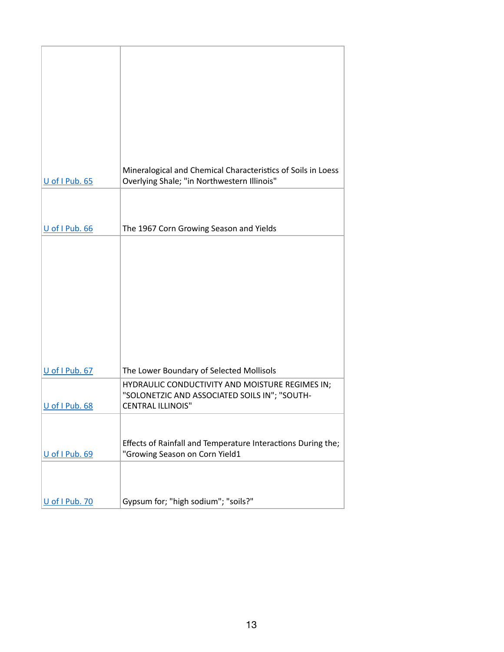| U of I Pub. 65 | Mineralogical and Chemical Characteristics of Soils in Loess<br>Overlying Shale; "in Northwestern Illinois" |
|----------------|-------------------------------------------------------------------------------------------------------------|
|                |                                                                                                             |
| U of I Pub. 66 | The 1967 Corn Growing Season and Yields                                                                     |
| U of I Pub. 67 | The Lower Boundary of Selected Mollisols                                                                    |
|                | HYDRAULIC CONDUCTIVITY AND MOISTURE REGIMES IN;<br>"SOLONETZIC AND ASSOCIATED SOILS IN"; "SOUTH-            |
| U of I Pub. 68 | <b>CENTRAL ILLINOIS"</b>                                                                                    |
| U of I Pub. 69 | Effects of Rainfall and Temperature Interactions During the;<br>"Growing Season on Corn Yield1              |
| U of I Pub. 70 | Gypsum for; "high sodium"; "soils?"                                                                         |
|                |                                                                                                             |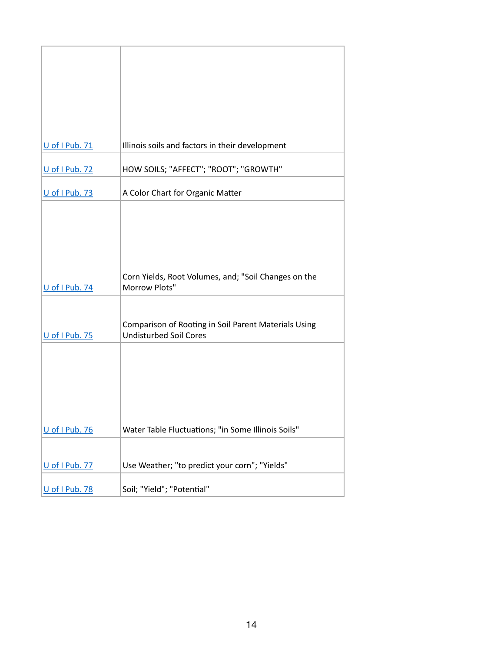| U of I Pub. 71 | Illinois soils and factors in their development      |
|----------------|------------------------------------------------------|
|                |                                                      |
| U of I Pub. 72 | HOW SOILS; "AFFECT"; "ROOT"; "GROWTH"                |
|                |                                                      |
| U of I Pub. 73 | A Color Chart for Organic Matter                     |
|                |                                                      |
|                |                                                      |
|                |                                                      |
|                |                                                      |
|                |                                                      |
|                | Corn Yields, Root Volumes, and; "Soil Changes on the |
| U of I Pub. 74 | Morrow Plots"                                        |
|                |                                                      |
|                |                                                      |
|                | Comparison of Rooting in Soil Parent Materials Using |
| U of I Pub. 75 | <b>Undisturbed Soil Cores</b>                        |
|                |                                                      |
|                |                                                      |
|                |                                                      |
|                |                                                      |
|                |                                                      |
|                |                                                      |
| U of I Pub. 76 | Water Table Fluctuations; "in Some Illinois Soils"   |
|                |                                                      |
|                |                                                      |
| U of I Pub. 77 | Use Weather; "to predict your corn"; "Yields"        |
|                |                                                      |
| U of I Pub. 78 | Soil; "Yield"; "Potential"                           |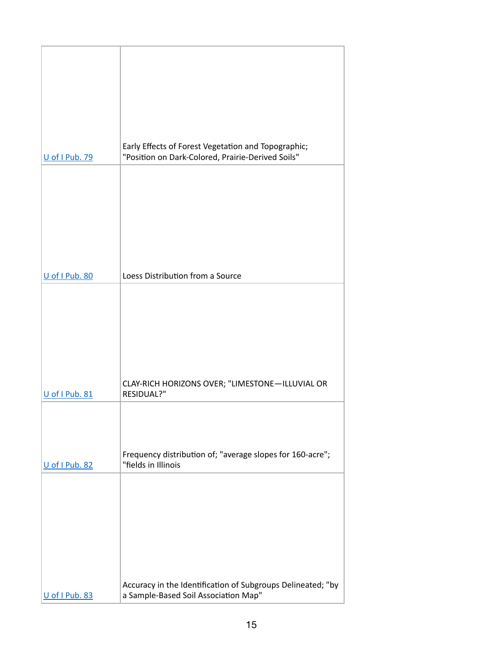| Early Effects of Forest Vegetation and Topographic;<br>"Position on Dark-Colored, Prairie-Derived Soils" |
|----------------------------------------------------------------------------------------------------------|
|                                                                                                          |
|                                                                                                          |
|                                                                                                          |
|                                                                                                          |
| Loess Distribution from a Source                                                                         |
|                                                                                                          |
|                                                                                                          |
|                                                                                                          |
| CLAY-RICH HORIZONS OVER; "LIMESTONE-ILLUVIAL OR                                                          |
| RESIDUAL?"                                                                                               |
|                                                                                                          |
| Frequency distribution of; "average slopes for 160-acre";                                                |
| "fields in Illinois                                                                                      |
|                                                                                                          |
|                                                                                                          |
|                                                                                                          |
|                                                                                                          |
|                                                                                                          |
|                                                                                                          |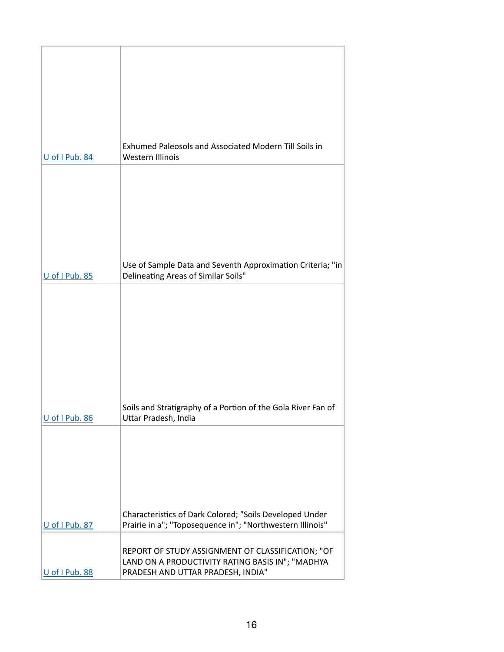| U of I Pub. 84 | Exhumed Paleosols and Associated Modern Till Soils in<br><b>Western Illinois</b>                                     |
|----------------|----------------------------------------------------------------------------------------------------------------------|
|                |                                                                                                                      |
|                |                                                                                                                      |
|                |                                                                                                                      |
| U of I Pub. 85 | Use of Sample Data and Seventh Approximation Criteria; "in<br>Delineating Areas of Similar Soils"                    |
|                |                                                                                                                      |
|                |                                                                                                                      |
|                |                                                                                                                      |
|                |                                                                                                                      |
| U of I Pub. 86 | Soils and Stratigraphy of a Portion of the Gola River Fan of<br>Uttar Pradesh, India                                 |
|                |                                                                                                                      |
|                |                                                                                                                      |
|                |                                                                                                                      |
| U of I Pub. 87 | Characteristics of Dark Colored; "Soils Developed Under<br>Prairie in a"; "Toposequence in"; "Northwestern Illinois" |
|                | REPORT OF STUDY ASSIGNMENT OF CLASSIFICATION; "OF<br>LAND ON A PRODUCTIVITY RATING BASIS IN"; "MADHYA                |
| U of I Pub. 88 | PRADESH AND UTTAR PRADESH, INDIA"                                                                                    |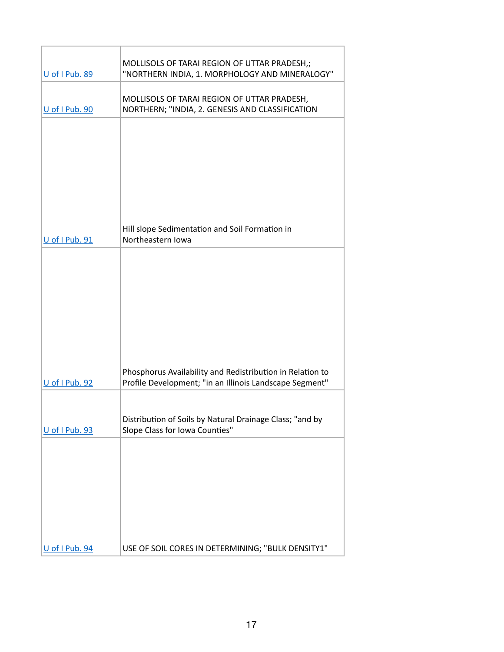| U of I Pub. 89 | MOLLISOLS OF TARAI REGION OF UTTAR PRADESH,;<br>"NORTHERN INDIA, 1. MORPHOLOGY AND MINERALOGY"                       |
|----------------|----------------------------------------------------------------------------------------------------------------------|
| U of I Pub. 90 | MOLLISOLS OF TARAI REGION OF UTTAR PRADESH,<br>NORTHERN; "INDIA, 2. GENESIS AND CLASSIFICATION                       |
| U of I Pub. 91 | Hill slope Sedimentation and Soil Formation in<br>Northeastern Iowa                                                  |
| U of I Pub. 92 | Phosphorus Availability and Redistribution in Relation to<br>Profile Development; "in an Illinois Landscape Segment" |
| U of I Pub. 93 | Distribution of Soils by Natural Drainage Class; "and by<br>Slope Class for Iowa Counties"                           |
| U of I Pub. 94 | USE OF SOIL CORES IN DETERMINING; "BULK DENSITY1"                                                                    |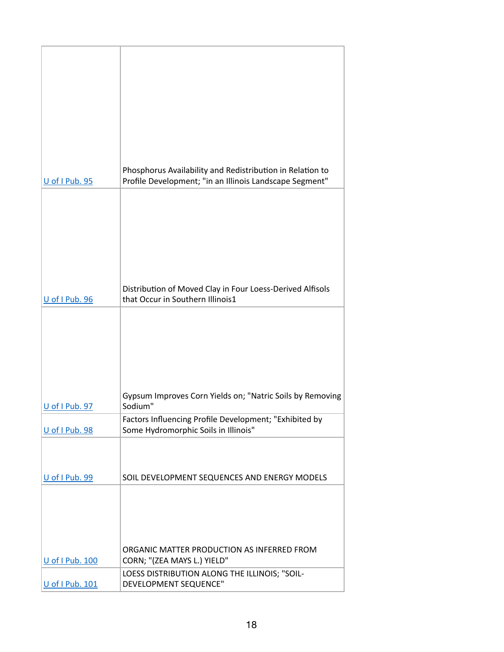|                 | Phosphorus Availability and Redistribution in Relation to |
|-----------------|-----------------------------------------------------------|
| U of I Pub. 95  | Profile Development; "in an Illinois Landscape Segment"   |
|                 |                                                           |
|                 |                                                           |
|                 |                                                           |
|                 |                                                           |
|                 |                                                           |
|                 |                                                           |
|                 | Distribution of Moved Clay in Four Loess-Derived Alfisols |
| U of I Pub. 96  | that Occur in Southern Illinois1                          |
|                 |                                                           |
|                 |                                                           |
|                 |                                                           |
|                 |                                                           |
|                 |                                                           |
|                 | Gypsum Improves Corn Yields on; "Natric Soils by Removing |
| U of I Pub. 97  | Sodium"                                                   |
|                 | Factors Influencing Profile Development; "Exhibited by    |
| U of I Pub. 98  | Some Hydromorphic Soils in Illinois"                      |
|                 |                                                           |
|                 |                                                           |
| U of I Pub. 99  | SOIL DEVELOPMENT SEQUENCES AND ENERGY MODELS              |
|                 |                                                           |
|                 |                                                           |
|                 |                                                           |
|                 | ORGANIC MATTER PRODUCTION AS INFERRED FROM                |
| U of I Pub. 100 | CORN; "(ZEA MAYS L.) YIELD"                               |
|                 | LOESS DISTRIBUTION ALONG THE ILLINOIS; "SOIL-             |
| U of I Pub. 101 | DEVELOPMENT SEQUENCE"                                     |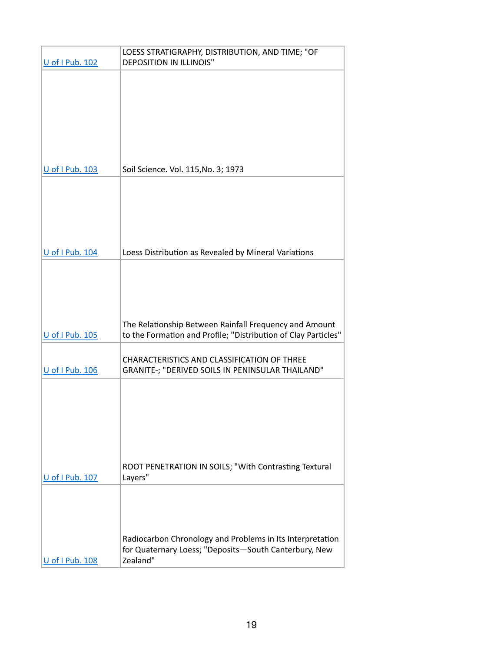|                 | LOESS STRATIGRAPHY, DISTRIBUTION, AND TIME; "OF                  |
|-----------------|------------------------------------------------------------------|
| U of I Pub. 102 | <b>DEPOSITION IN ILLINOIS"</b>                                   |
|                 |                                                                  |
|                 |                                                                  |
|                 |                                                                  |
|                 |                                                                  |
|                 |                                                                  |
|                 |                                                                  |
|                 |                                                                  |
| U of I Pub. 103 | Soil Science. Vol. 115, No. 3; 1973                              |
|                 |                                                                  |
|                 |                                                                  |
|                 |                                                                  |
|                 |                                                                  |
|                 |                                                                  |
| U of I Pub. 104 | Loess Distribution as Revealed by Mineral Variations             |
|                 |                                                                  |
|                 |                                                                  |
|                 |                                                                  |
|                 |                                                                  |
|                 |                                                                  |
|                 | The Relationship Between Rainfall Frequency and Amount           |
| U of I Pub. 105 | to the Formation and Profile; "Distribution of Clay Particles"   |
|                 | CHARACTERISTICS AND CLASSIFICATION OF THREE                      |
| U of I Pub. 106 | GRANITE-; "DERIVED SOILS IN PENINSULAR THAILAND"                 |
|                 |                                                                  |
|                 |                                                                  |
|                 |                                                                  |
|                 |                                                                  |
|                 |                                                                  |
|                 |                                                                  |
|                 |                                                                  |
| U of I Pub. 107 | ROOT PENETRATION IN SOILS; "With Contrasting Textural<br>Layers" |
|                 |                                                                  |
|                 |                                                                  |
|                 |                                                                  |
|                 |                                                                  |
|                 | Radiocarbon Chronology and Problems in Its Interpretation        |
|                 | for Quaternary Loess; "Deposits-South Canterbury, New            |
| U of I Pub. 108 | Zealand"                                                         |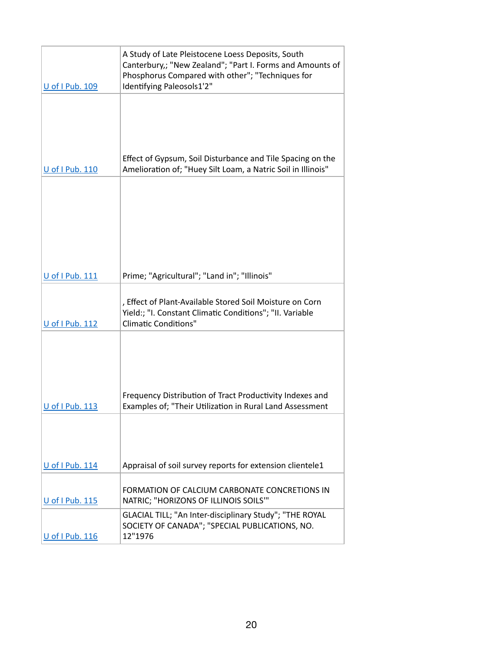| U of I Pub. 109        | A Study of Late Pleistocene Loess Deposits, South<br>Canterbury,; "New Zealand"; "Part I. Forms and Amounts of<br>Phosphorus Compared with other"; "Techniques for<br>Identifying Paleosols1'2" |
|------------------------|-------------------------------------------------------------------------------------------------------------------------------------------------------------------------------------------------|
|                        |                                                                                                                                                                                                 |
| U of I Pub. 110        | Effect of Gypsum, Soil Disturbance and Tile Spacing on the<br>Amelioration of; "Huey Silt Loam, a Natric Soil in Illinois"                                                                      |
|                        |                                                                                                                                                                                                 |
|                        |                                                                                                                                                                                                 |
| U of I Pub. 111        | Prime; "Agricultural"; "Land in"; "Illinois"                                                                                                                                                    |
| <b>U</b> of I Pub. 112 | , Effect of Plant-Available Stored Soil Moisture on Corn<br>Yield:; "I. Constant Climatic Conditions"; "II. Variable<br><b>Climatic Conditions"</b>                                             |
|                        |                                                                                                                                                                                                 |
| U of I Pub. 113        | Frequency Distribution of Tract Productivity Indexes and<br>Examples of; "Their Utilization in Rural Land Assessment                                                                            |
|                        |                                                                                                                                                                                                 |
| U of I Pub. 114        | Appraisal of soil survey reports for extension clientele1                                                                                                                                       |
| U of I Pub. 115        | FORMATION OF CALCIUM CARBONATE CONCRETIONS IN<br>NATRIC; "HORIZONS OF ILLINOIS SOILS""                                                                                                          |
| U of I Pub. 116        | GLACIAL TILL; "An Inter-disciplinary Study"; "THE ROYAL<br>SOCIETY OF CANADA"; "SPECIAL PUBLICATIONS, NO.<br>12"1976                                                                            |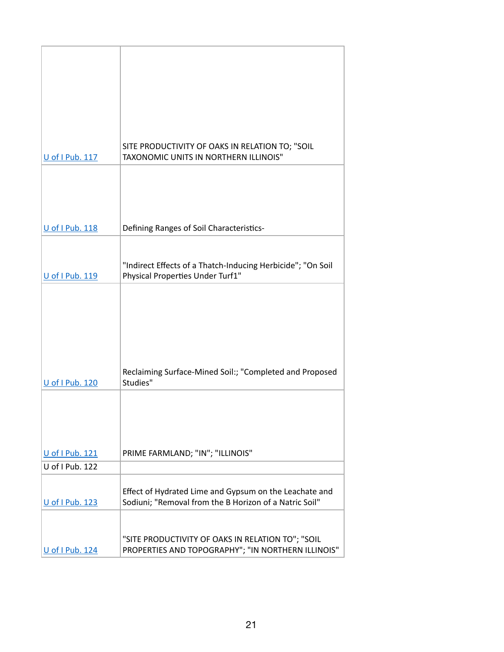| U of I Pub. 117        | SITE PRODUCTIVITY OF OAKS IN RELATION TO; "SOIL<br><b>TAXONOMIC UNITS IN NORTHERN ILLINOIS"</b>                  |
|------------------------|------------------------------------------------------------------------------------------------------------------|
|                        |                                                                                                                  |
| U of I Pub. 118        | Defining Ranges of Soil Characteristics-                                                                         |
|                        |                                                                                                                  |
| U of I Pub. 119        | "Indirect Effects of a Thatch-Inducing Herbicide"; "On Soil<br>Physical Properties Under Turf1"                  |
|                        |                                                                                                                  |
|                        |                                                                                                                  |
| <b>U</b> of I Pub. 120 | Reclaiming Surface-Mined Soil:; "Completed and Proposed<br>Studies"                                              |
|                        |                                                                                                                  |
| U of I Pub. 121        | PRIME FARMLAND; "IN"; "ILLINOIS"                                                                                 |
| U of I Pub. 122        |                                                                                                                  |
| U of I Pub. 123        | Effect of Hydrated Lime and Gypsum on the Leachate and<br>Sodiuni; "Removal from the B Horizon of a Natric Soil" |
| U of I Pub. 124        | "SITE PRODUCTIVITY OF OAKS IN RELATION TO"; "SOIL<br>PROPERTIES AND TOPOGRAPHY"; "IN NORTHERN ILLINOIS"          |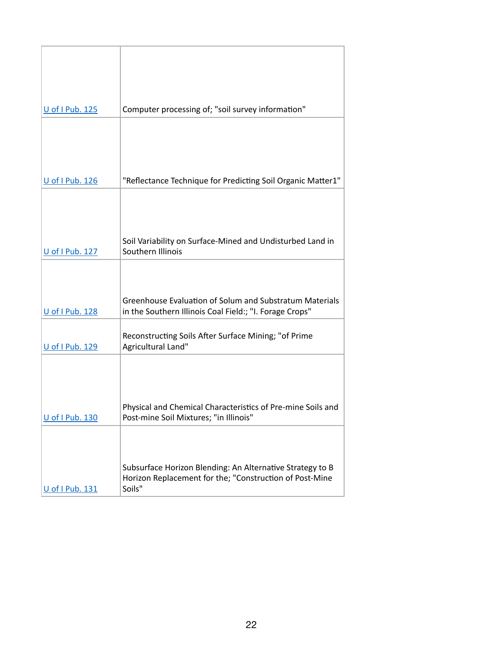| Computer processing of; "soil survey information"<br>U of I Pub. 125<br>"Reflectance Technique for Predicting Soil Organic Matter1"<br>U of I Pub. 126<br>Soil Variability on Surface-Mined and Undisturbed Land in<br>Southern Illinois<br>U of I Pub. 127<br>Greenhouse Evaluation of Solum and Substratum Materials<br>U of I Pub. 128<br>in the Southern Illinois Coal Field:; "I. Forage Crops"<br>Reconstructing Soils After Surface Mining; "of Prime<br>Agricultural Land"<br>U of I Pub. 129<br>Physical and Chemical Characteristics of Pre-mine Soils and<br>U of I Pub. 130<br>Post-mine Soil Mixtures; "in Illinois"<br>Subsurface Horizon Blending: An Alternative Strategy to B<br>Horizon Replacement for the; "Construction of Post-Mine<br>Soils"<br>U of I Pub. 131 |  |
|----------------------------------------------------------------------------------------------------------------------------------------------------------------------------------------------------------------------------------------------------------------------------------------------------------------------------------------------------------------------------------------------------------------------------------------------------------------------------------------------------------------------------------------------------------------------------------------------------------------------------------------------------------------------------------------------------------------------------------------------------------------------------------------|--|
|                                                                                                                                                                                                                                                                                                                                                                                                                                                                                                                                                                                                                                                                                                                                                                                        |  |
|                                                                                                                                                                                                                                                                                                                                                                                                                                                                                                                                                                                                                                                                                                                                                                                        |  |
|                                                                                                                                                                                                                                                                                                                                                                                                                                                                                                                                                                                                                                                                                                                                                                                        |  |
|                                                                                                                                                                                                                                                                                                                                                                                                                                                                                                                                                                                                                                                                                                                                                                                        |  |
|                                                                                                                                                                                                                                                                                                                                                                                                                                                                                                                                                                                                                                                                                                                                                                                        |  |
|                                                                                                                                                                                                                                                                                                                                                                                                                                                                                                                                                                                                                                                                                                                                                                                        |  |
|                                                                                                                                                                                                                                                                                                                                                                                                                                                                                                                                                                                                                                                                                                                                                                                        |  |
|                                                                                                                                                                                                                                                                                                                                                                                                                                                                                                                                                                                                                                                                                                                                                                                        |  |
|                                                                                                                                                                                                                                                                                                                                                                                                                                                                                                                                                                                                                                                                                                                                                                                        |  |
|                                                                                                                                                                                                                                                                                                                                                                                                                                                                                                                                                                                                                                                                                                                                                                                        |  |
|                                                                                                                                                                                                                                                                                                                                                                                                                                                                                                                                                                                                                                                                                                                                                                                        |  |
|                                                                                                                                                                                                                                                                                                                                                                                                                                                                                                                                                                                                                                                                                                                                                                                        |  |
|                                                                                                                                                                                                                                                                                                                                                                                                                                                                                                                                                                                                                                                                                                                                                                                        |  |
|                                                                                                                                                                                                                                                                                                                                                                                                                                                                                                                                                                                                                                                                                                                                                                                        |  |
|                                                                                                                                                                                                                                                                                                                                                                                                                                                                                                                                                                                                                                                                                                                                                                                        |  |
|                                                                                                                                                                                                                                                                                                                                                                                                                                                                                                                                                                                                                                                                                                                                                                                        |  |
|                                                                                                                                                                                                                                                                                                                                                                                                                                                                                                                                                                                                                                                                                                                                                                                        |  |
|                                                                                                                                                                                                                                                                                                                                                                                                                                                                                                                                                                                                                                                                                                                                                                                        |  |
|                                                                                                                                                                                                                                                                                                                                                                                                                                                                                                                                                                                                                                                                                                                                                                                        |  |
|                                                                                                                                                                                                                                                                                                                                                                                                                                                                                                                                                                                                                                                                                                                                                                                        |  |
|                                                                                                                                                                                                                                                                                                                                                                                                                                                                                                                                                                                                                                                                                                                                                                                        |  |
|                                                                                                                                                                                                                                                                                                                                                                                                                                                                                                                                                                                                                                                                                                                                                                                        |  |
|                                                                                                                                                                                                                                                                                                                                                                                                                                                                                                                                                                                                                                                                                                                                                                                        |  |
|                                                                                                                                                                                                                                                                                                                                                                                                                                                                                                                                                                                                                                                                                                                                                                                        |  |
|                                                                                                                                                                                                                                                                                                                                                                                                                                                                                                                                                                                                                                                                                                                                                                                        |  |
|                                                                                                                                                                                                                                                                                                                                                                                                                                                                                                                                                                                                                                                                                                                                                                                        |  |
|                                                                                                                                                                                                                                                                                                                                                                                                                                                                                                                                                                                                                                                                                                                                                                                        |  |
|                                                                                                                                                                                                                                                                                                                                                                                                                                                                                                                                                                                                                                                                                                                                                                                        |  |
|                                                                                                                                                                                                                                                                                                                                                                                                                                                                                                                                                                                                                                                                                                                                                                                        |  |
|                                                                                                                                                                                                                                                                                                                                                                                                                                                                                                                                                                                                                                                                                                                                                                                        |  |
|                                                                                                                                                                                                                                                                                                                                                                                                                                                                                                                                                                                                                                                                                                                                                                                        |  |
|                                                                                                                                                                                                                                                                                                                                                                                                                                                                                                                                                                                                                                                                                                                                                                                        |  |
|                                                                                                                                                                                                                                                                                                                                                                                                                                                                                                                                                                                                                                                                                                                                                                                        |  |
|                                                                                                                                                                                                                                                                                                                                                                                                                                                                                                                                                                                                                                                                                                                                                                                        |  |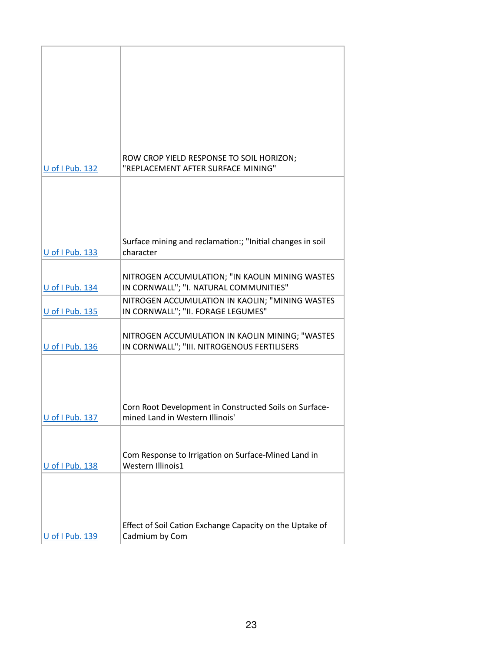|                 | ROW CROP YIELD RESPONSE TO SOIL HORIZON;                                   |
|-----------------|----------------------------------------------------------------------------|
| U of I Pub. 132 | "REPLACEMENT AFTER SURFACE MINING"                                         |
|                 |                                                                            |
|                 |                                                                            |
|                 |                                                                            |
|                 |                                                                            |
|                 |                                                                            |
|                 |                                                                            |
|                 | Surface mining and reclamation:; "Initial changes in soil                  |
| U of I Pub. 133 | character                                                                  |
|                 |                                                                            |
|                 | NITROGEN ACCUMULATION; "IN KAOLIN MINING WASTES                            |
| U of I Pub. 134 | IN CORNWALL"; "I. NATURAL COMMUNITIES"                                     |
|                 | NITROGEN ACCUMULATION IN KAOLIN; "MINING WASTES                            |
|                 |                                                                            |
|                 |                                                                            |
| U of I Pub. 135 | IN CORNWALL"; "II. FORAGE LEGUMES"                                         |
|                 |                                                                            |
|                 | NITROGEN ACCUMULATION IN KAOLIN MINING; "WASTES                            |
| U of I Pub. 136 | IN CORNWALL"; "III. NITROGENOUS FERTILISERS                                |
|                 |                                                                            |
|                 |                                                                            |
|                 |                                                                            |
|                 |                                                                            |
|                 |                                                                            |
|                 | Corn Root Development in Constructed Soils on Surface-                     |
| U of I Pub. 137 | mined Land in Western Illinois'                                            |
|                 |                                                                            |
|                 |                                                                            |
|                 |                                                                            |
|                 | Com Response to Irrigation on Surface-Mined Land in                        |
| U of I Pub. 138 | Western Illinois1                                                          |
|                 |                                                                            |
|                 |                                                                            |
|                 |                                                                            |
|                 |                                                                            |
|                 |                                                                            |
| U of I Pub. 139 | Effect of Soil Cation Exchange Capacity on the Uptake of<br>Cadmium by Com |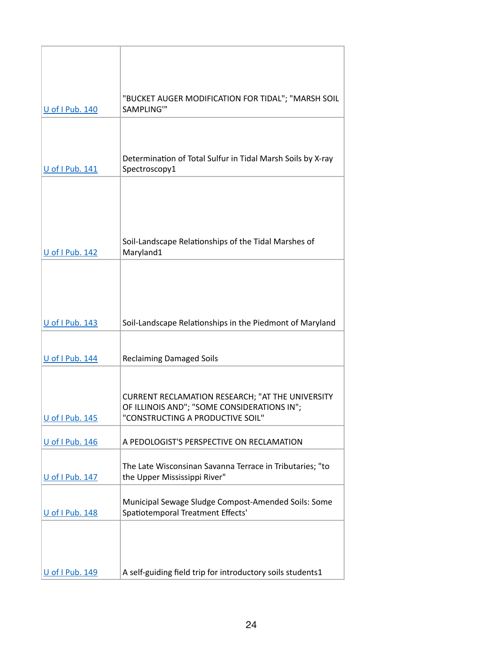| U of I Pub. 140 | "BUCKET AUGER MODIFICATION FOR TIDAL"; "MARSH SOIL<br>SAMPLING"                                                                     |
|-----------------|-------------------------------------------------------------------------------------------------------------------------------------|
|                 |                                                                                                                                     |
| U of I Pub. 141 | Determination of Total Sulfur in Tidal Marsh Soils by X-ray<br>Spectroscopy1                                                        |
|                 | Soil-Landscape Relationships of the Tidal Marshes of                                                                                |
| U of I Pub. 142 | Maryland1                                                                                                                           |
| U of I Pub. 143 | Soil-Landscape Relationships in the Piedmont of Maryland                                                                            |
|                 |                                                                                                                                     |
| U of I Pub. 144 | <b>Reclaiming Damaged Soils</b>                                                                                                     |
| U of I Pub. 145 | CURRENT RECLAMATION RESEARCH; "AT THE UNIVERSITY<br>OF ILLINOIS AND"; "SOME CONSIDERATIONS IN";<br>"CONSTRUCTING A PRODUCTIVE SOIL" |
| U of I Pub. 146 | A PEDOLOGIST'S PERSPECTIVE ON RECLAMATION                                                                                           |
| U of I Pub. 147 | The Late Wisconsinan Savanna Terrace in Tributaries; "to<br>the Upper Mississippi River"                                            |
| U of I Pub. 148 | Municipal Sewage Sludge Compost-Amended Soils: Some<br>Spatiotemporal Treatment Effects'                                            |
|                 |                                                                                                                                     |
| U of I Pub. 149 | A self-guiding field trip for introductory soils students1                                                                          |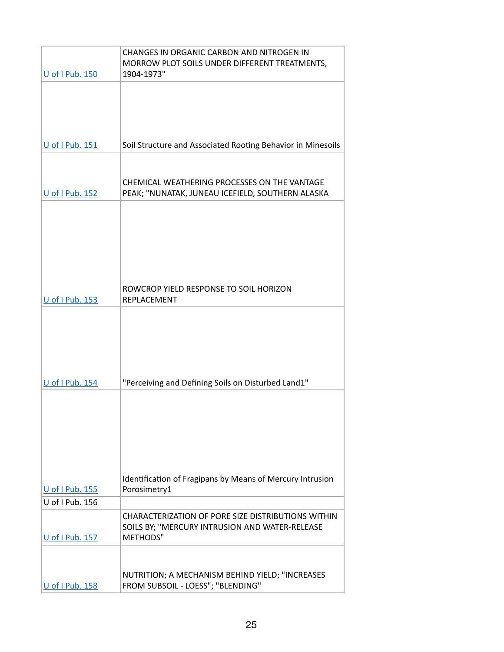| <b>U</b> of I Pub. 150             | CHANGES IN ORGANIC CARBON AND NITROGEN IN<br>MORROW PLOT SOILS UNDER DIFFERENT TREATMENTS,<br>1904-1973" |
|------------------------------------|----------------------------------------------------------------------------------------------------------|
|                                    |                                                                                                          |
|                                    |                                                                                                          |
|                                    |                                                                                                          |
|                                    |                                                                                                          |
| U of I Pub. 151                    | Soil Structure and Associated Rooting Behavior in Minesoils                                              |
|                                    |                                                                                                          |
| U of I Pub. 152                    | CHEMICAL WEATHERING PROCESSES ON THE VANTAGE<br>PEAK; "NUNATAK, JUNEAU ICEFIELD, SOUTHERN ALASKA         |
|                                    |                                                                                                          |
|                                    |                                                                                                          |
|                                    |                                                                                                          |
|                                    |                                                                                                          |
|                                    |                                                                                                          |
|                                    |                                                                                                          |
| U of I Pub. 153                    | ROWCROP YIELD RESPONSE TO SOIL HORIZON<br>REPLACEMENT                                                    |
|                                    |                                                                                                          |
|                                    |                                                                                                          |
|                                    |                                                                                                          |
|                                    |                                                                                                          |
|                                    |                                                                                                          |
| U of I Pub. 154                    | "Perceiving and Defining Soils on Disturbed Land1"                                                       |
|                                    |                                                                                                          |
|                                    |                                                                                                          |
|                                    |                                                                                                          |
|                                    |                                                                                                          |
|                                    |                                                                                                          |
|                                    | Identification of Fragipans by Means of Mercury Intrusion                                                |
| U of I Pub. 155<br>U of I Pub. 156 | Porosimetry1                                                                                             |
|                                    | CHARACTERIZATION OF PORE SIZE DISTRIBUTIONS WITHIN                                                       |
|                                    | SOILS BY; "MERCURY INTRUSION AND WATER-RELEASE                                                           |
| U of I Pub. 157                    | METHODS"                                                                                                 |
|                                    |                                                                                                          |
|                                    | NUTRITION; A MECHANISM BEHIND YIELD; "INCREASES                                                          |
| U of I Pub. 158                    | FROM SUBSOIL - LOESS"; "BLENDING"                                                                        |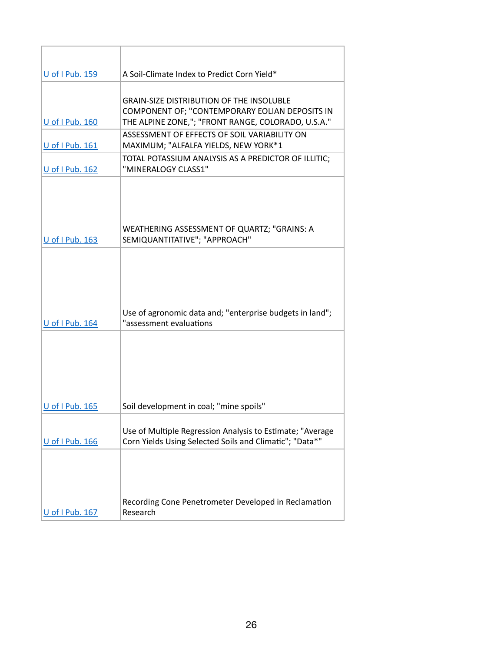| U of I Pub. 159 | A Soil-Climate Index to Predict Corn Yield*                                                                                                             |
|-----------------|---------------------------------------------------------------------------------------------------------------------------------------------------------|
| U of I Pub. 160 | <b>GRAIN-SIZE DISTRIBUTION OF THE INSOLUBLE</b><br>COMPONENT OF; "CONTEMPORARY EOLIAN DEPOSITS IN<br>THE ALPINE ZONE,"; "FRONT RANGE, COLORADO, U.S.A." |
| U of I Pub. 161 | ASSESSMENT OF EFFECTS OF SOIL VARIABILITY ON<br>MAXIMUM; "ALFALFA YIELDS, NEW YORK*1                                                                    |
| U of I Pub. 162 | TOTAL POTASSIUM ANALYSIS AS A PREDICTOR OF ILLITIC;<br>"MINERALOGY CLASS1"                                                                              |
| U of I Pub. 163 | WEATHERING ASSESSMENT OF QUARTZ; "GRAINS: A<br>SEMIQUANTITATIVE"; "APPROACH"                                                                            |
| U of I Pub. 164 | Use of agronomic data and; "enterprise budgets in land";<br>"assessment evaluations                                                                     |
| U of I Pub. 165 | Soil development in coal; "mine spoils"                                                                                                                 |
| U of I Pub. 166 | Use of Multiple Regression Analysis to Estimate; "Average<br>Corn Yields Using Selected Soils and Climatic"; "Data*"                                    |
| U of I Pub. 167 | Recording Cone Penetrometer Developed in Reclamation<br>Research                                                                                        |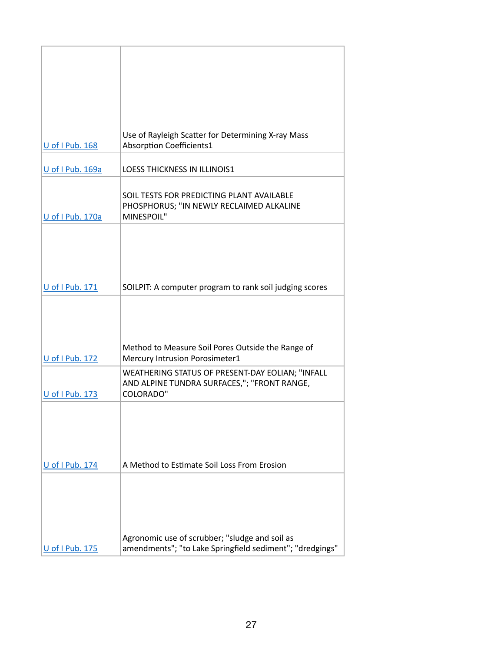|                  | Use of Rayleigh Scatter for Determining X-ray Mass       |
|------------------|----------------------------------------------------------|
| U of I Pub. 168  | <b>Absorption Coefficients1</b>                          |
|                  |                                                          |
|                  |                                                          |
| U of I Pub. 169a | <b>LOESS THICKNESS IN ILLINOIS1</b>                      |
|                  |                                                          |
|                  |                                                          |
|                  | SOIL TESTS FOR PREDICTING PLANT AVAILABLE                |
|                  | PHOSPHORUS; "IN NEWLY RECLAIMED ALKALINE                 |
| U of I Pub. 170a | MINESPOIL"                                               |
|                  |                                                          |
|                  |                                                          |
|                  |                                                          |
|                  |                                                          |
|                  |                                                          |
|                  |                                                          |
|                  |                                                          |
| U of I Pub. 171  | SOILPIT: A computer program to rank soil judging scores  |
|                  |                                                          |
|                  |                                                          |
|                  |                                                          |
|                  |                                                          |
|                  |                                                          |
|                  | Method to Measure Soil Pores Outside the Range of        |
| U of I Pub. 172  | Mercury Intrusion Porosimeter1                           |
|                  |                                                          |
|                  | WEATHERING STATUS OF PRESENT-DAY EOLIAN; "INFALL         |
|                  | AND ALPINE TUNDRA SURFACES,"; "FRONT RANGE,              |
| U of I Pub. 173  | <b>COLORADO"</b>                                         |
|                  |                                                          |
|                  |                                                          |
|                  |                                                          |
|                  |                                                          |
|                  |                                                          |
|                  |                                                          |
| U of I Pub. 174  | A Method to Estimate Soil Loss From Erosion              |
|                  |                                                          |
|                  |                                                          |
|                  |                                                          |
|                  |                                                          |
|                  |                                                          |
|                  |                                                          |
|                  |                                                          |
|                  | Agronomic use of scrubber; "sludge and soil as           |
| U of I Pub. 175  | amendments"; "to Lake Springfield sediment"; "dredgings" |
|                  |                                                          |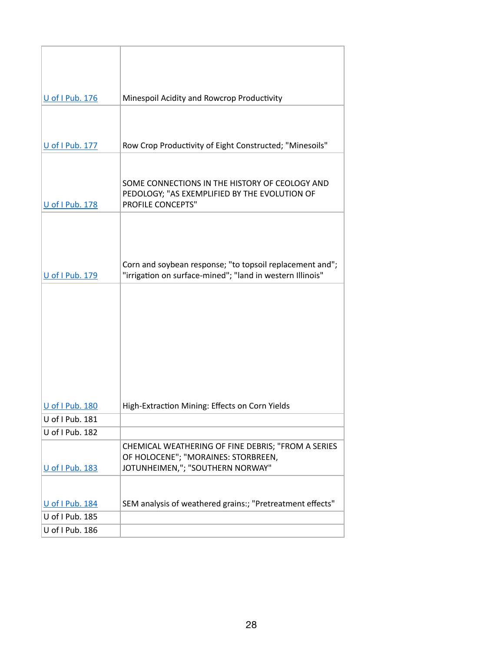| <b>U</b> of I Pub. 176 | Minespoil Acidity and Rowcrop Productivity                                                                            |
|------------------------|-----------------------------------------------------------------------------------------------------------------------|
|                        |                                                                                                                       |
|                        |                                                                                                                       |
| U of I Pub. 177        | Row Crop Productivity of Eight Constructed; "Minesoils"                                                               |
|                        |                                                                                                                       |
| U of I Pub. 178        | SOME CONNECTIONS IN THE HISTORY OF CEOLOGY AND<br>PEDOLOGY; "AS EXEMPLIFIED BY THE EVOLUTION OF<br>PROFILE CONCEPTS"  |
|                        |                                                                                                                       |
|                        |                                                                                                                       |
|                        |                                                                                                                       |
| <b>U</b> of I Pub. 179 | Corn and soybean response; "to topsoil replacement and";<br>"irrigation on surface-mined"; "land in western Illinois" |
|                        |                                                                                                                       |
|                        |                                                                                                                       |
|                        |                                                                                                                       |
|                        |                                                                                                                       |
|                        |                                                                                                                       |
|                        |                                                                                                                       |
|                        |                                                                                                                       |
|                        |                                                                                                                       |
| U of I Pub. 180        | High-Extraction Mining: Effects on Corn Yields                                                                        |
| U of I Pub. 181        |                                                                                                                       |
| U of I Pub. 182        |                                                                                                                       |
|                        | CHEMICAL WEATHERING OF FINE DEBRIS; "FROM A SERIES                                                                    |
|                        | OF HOLOCENE"; "MORAINES: STORBREEN,                                                                                   |
| U of I Pub. 183        | JOTUNHEIMEN,"; "SOUTHERN NORWAY"                                                                                      |
|                        |                                                                                                                       |
| U of I Pub. 184        | SEM analysis of weathered grains:; "Pretreatment effects"                                                             |
| U of I Pub. 185        |                                                                                                                       |
| U of I Pub. 186        |                                                                                                                       |
|                        |                                                                                                                       |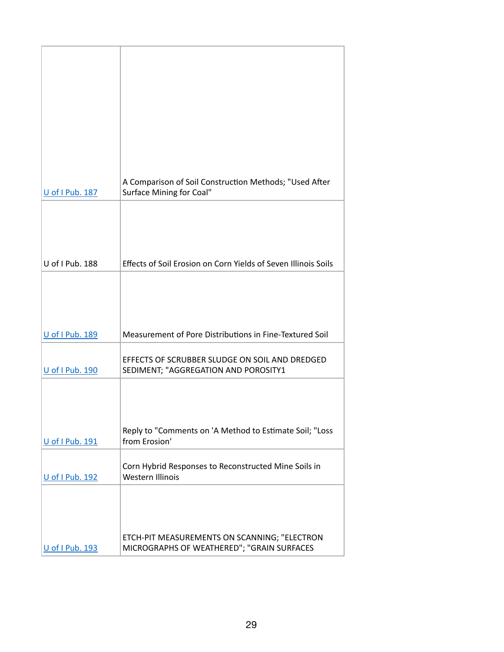| U of I Pub. 187 | A Comparison of Soil Construction Methods; "Used After<br>Surface Mining for Coal"         |
|-----------------|--------------------------------------------------------------------------------------------|
|                 |                                                                                            |
| U of I Pub. 188 | Effects of Soil Erosion on Corn Yields of Seven Illinois Soils                             |
| U of I Pub. 189 | Measurement of Pore Distributions in Fine-Textured Soil                                    |
| U of I Pub. 190 | EFFECTS OF SCRUBBER SLUDGE ON SOIL AND DREDGED<br>SEDIMENT; "AGGREGATION AND POROSITY1     |
| U of I Pub. 191 | Reply to "Comments on 'A Method to Estimate Soil; "Loss<br>from Erosion'                   |
| U of I Pub. 192 | Corn Hybrid Responses to Reconstructed Mine Soils in<br>Western Illinois                   |
| U of I Pub. 193 | ETCH-PIT MEASUREMENTS ON SCANNING; "ELECTRON<br>MICROGRAPHS OF WEATHERED"; "GRAIN SURFACES |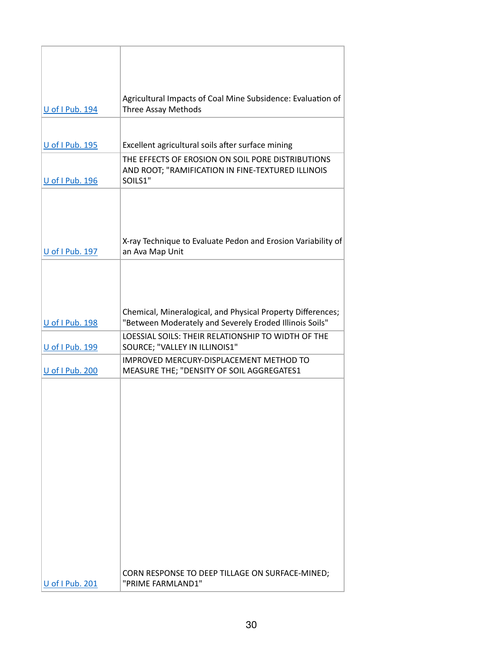| U of I Pub. 194        | Agricultural Impacts of Coal Mine Subsidence: Evaluation of<br>Three Assay Methods                                     |
|------------------------|------------------------------------------------------------------------------------------------------------------------|
| <b>U</b> of I Pub. 195 | Excellent agricultural soils after surface mining                                                                      |
|                        | THE EFFECTS OF EROSION ON SOIL PORE DISTRIBUTIONS<br>AND ROOT; "RAMIFICATION IN FINE-TEXTURED ILLINOIS                 |
| U of I Pub. 196        | SOILS1"                                                                                                                |
| U of I Pub. 197        | X-ray Technique to Evaluate Pedon and Erosion Variability of<br>an Ava Map Unit                                        |
|                        |                                                                                                                        |
| U of I Pub. 198        | Chemical, Mineralogical, and Physical Property Differences;<br>"Between Moderately and Severely Eroded Illinois Soils" |
| U of I Pub. 199        | LOESSIAL SOILS: THEIR RELATIONSHIP TO WIDTH OF THE<br>SOURCE; "VALLEY IN ILLINOIS1"                                    |
| U of I Pub. 200        | IMPROVED MERCURY-DISPLACEMENT METHOD TO<br>MEASURE THE; "DENSITY OF SOIL AGGREGATES1                                   |
|                        |                                                                                                                        |
| U of I Pub. 201        | CORN RESPONSE TO DEEP TILLAGE ON SURFACE-MINED;<br>"PRIME FARMLAND1"                                                   |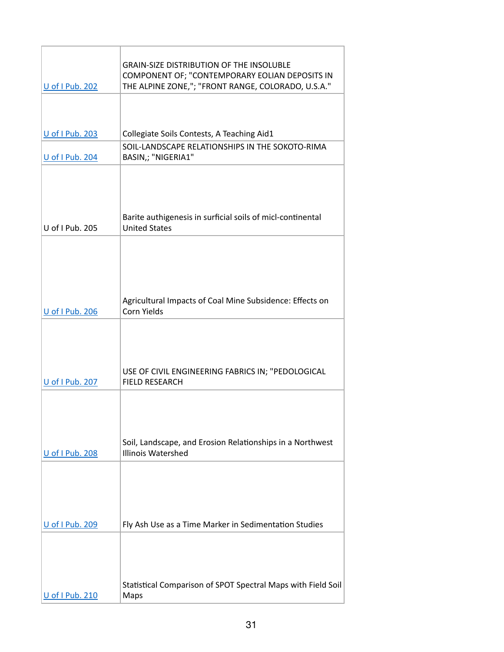| U of I Pub. 202 | <b>GRAIN-SIZE DISTRIBUTION OF THE INSOLUBLE</b><br>COMPONENT OF; "CONTEMPORARY EOLIAN DEPOSITS IN<br>THE ALPINE ZONE,"; "FRONT RANGE, COLORADO, U.S.A." |
|-----------------|---------------------------------------------------------------------------------------------------------------------------------------------------------|
|                 |                                                                                                                                                         |
| U of I Pub. 203 | Collegiate Soils Contests, A Teaching Aid1                                                                                                              |
| U of I Pub. 204 | SOIL-LANDSCAPE RELATIONSHIPS IN THE SOKOTO-RIMA<br>BASIN,; "NIGERIA1"                                                                                   |
| U of I Pub. 205 | Barite authigenesis in surficial soils of micl-continental<br><b>United States</b>                                                                      |
| U of I Pub. 206 | Agricultural Impacts of Coal Mine Subsidence: Effects on<br>Corn Yields                                                                                 |
| U of I Pub. 207 | USE OF CIVIL ENGINEERING FABRICS IN; "PEDOLOGICAL<br><b>FIELD RESEARCH</b>                                                                              |
| U of I Pub. 208 | Soil, Landscape, and Erosion Relationships in a Northwest<br>Illinois Watershed                                                                         |
| U of I Pub. 209 | Fly Ash Use as a Time Marker in Sedimentation Studies                                                                                                   |
| U of I Pub. 210 | Statistical Comparison of SPOT Spectral Maps with Field Soil<br>Maps                                                                                    |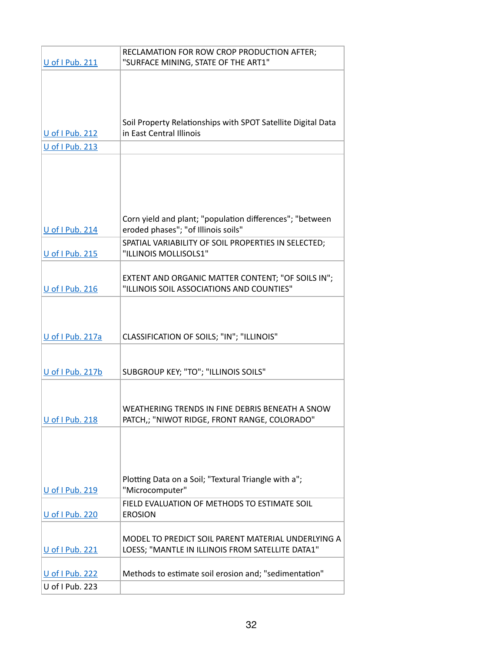|                        | RECLAMATION FOR ROW CROP PRODUCTION AFTER;                                                     |
|------------------------|------------------------------------------------------------------------------------------------|
| U of I Pub. 211        | "SURFACE MINING, STATE OF THE ART1"                                                            |
|                        |                                                                                                |
|                        |                                                                                                |
|                        |                                                                                                |
|                        | Soil Property Relationships with SPOT Satellite Digital Data                                   |
| U of I Pub. 212        | in East Central Illinois                                                                       |
| <b>U</b> of I Pub. 213 |                                                                                                |
|                        |                                                                                                |
|                        |                                                                                                |
|                        |                                                                                                |
|                        |                                                                                                |
|                        | Corn yield and plant; "population differences"; "between                                       |
| U of I Pub. 214        | eroded phases"; "of Illinois soils"                                                            |
|                        | SPATIAL VARIABILITY OF SOIL PROPERTIES IN SELECTED;                                            |
| U of I Pub. 215        | "ILLINOIS MOLLISOLS1"                                                                          |
|                        |                                                                                                |
| U of I Pub. 216        | EXTENT AND ORGANIC MATTER CONTENT; "OF SOILS IN";<br>"ILLINOIS SOIL ASSOCIATIONS AND COUNTIES" |
|                        |                                                                                                |
|                        |                                                                                                |
|                        |                                                                                                |
| U of I Pub. 217a       | CLASSIFICATION OF SOILS; "IN"; "ILLINOIS"                                                      |
|                        |                                                                                                |
| U of I Pub. 217b       | SUBGROUP KEY; "TO"; "ILLINOIS SOILS"                                                           |
|                        |                                                                                                |
|                        |                                                                                                |
|                        | WEATHERING TRENDS IN FINE DEBRIS BENEATH A SNOW                                                |
| U of I Pub. 218        | PATCH,; "NIWOT RIDGE, FRONT RANGE, COLORADO"                                                   |
|                        |                                                                                                |
|                        |                                                                                                |
|                        |                                                                                                |
|                        | Plotting Data on a Soil; "Textural Triangle with a";                                           |
| U of I Pub. 219        | "Microcomputer"                                                                                |
|                        | FIELD EVALUATION OF METHODS TO ESTIMATE SOIL                                                   |
| U of I Pub. 220        | <b>EROSION</b>                                                                                 |
|                        | MODEL TO PREDICT SOIL PARENT MATERIAL UNDERLYING A                                             |
| U of I Pub. 221        | LOESS; "MANTLE IN ILLINOIS FROM SATELLITE DATA1"                                               |
|                        |                                                                                                |
| U of I Pub. 222        | Methods to estimate soil erosion and; "sedimentation"                                          |
| U of I Pub. 223        |                                                                                                |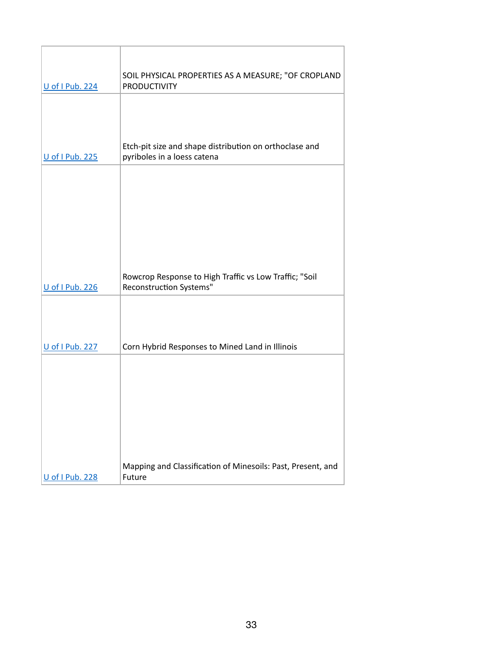| U of I Pub. 224 | SOIL PHYSICAL PROPERTIES AS A MEASURE; "OF CROPLAND<br><b>PRODUCTIVITY</b>            |
|-----------------|---------------------------------------------------------------------------------------|
|                 |                                                                                       |
| U of I Pub. 225 | Etch-pit size and shape distribution on orthoclase and<br>pyriboles in a loess catena |
|                 |                                                                                       |
| U of I Pub. 226 | Rowcrop Response to High Traffic vs Low Traffic; "Soil<br>Reconstruction Systems"     |
|                 |                                                                                       |
| U of I Pub. 227 | Corn Hybrid Responses to Mined Land in Illinois                                       |
|                 |                                                                                       |
| U of I Pub. 228 | Mapping and Classification of Minesoils: Past, Present, and<br>Future                 |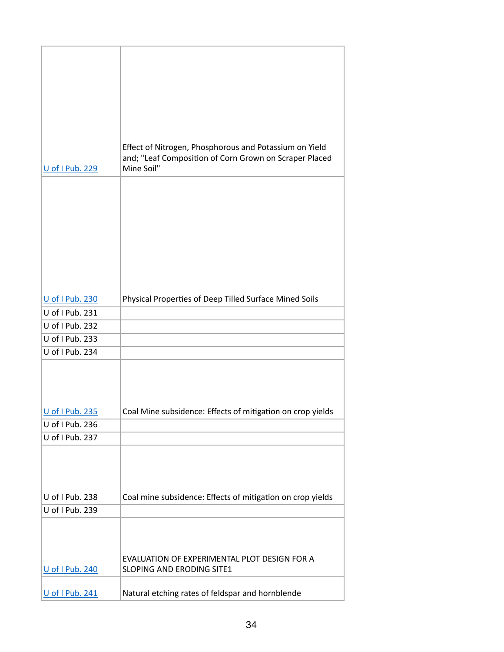| U of I Pub. 229 | Effect of Nitrogen, Phosphorous and Potassium on Yield<br>and; "Leaf Composition of Corn Grown on Scraper Placed<br>Mine Soil" |
|-----------------|--------------------------------------------------------------------------------------------------------------------------------|
|                 |                                                                                                                                |
|                 |                                                                                                                                |
| U of I Pub. 230 | Physical Properties of Deep Tilled Surface Mined Soils                                                                         |
| U of I Pub. 231 |                                                                                                                                |
| U of I Pub. 232 |                                                                                                                                |
| U of I Pub. 233 |                                                                                                                                |
| U of I Pub. 234 |                                                                                                                                |
| U of I Pub. 235 | Coal Mine subsidence: Effects of mitigation on crop yields                                                                     |
| U of I Pub. 236 |                                                                                                                                |
| U of I Pub. 237 |                                                                                                                                |
|                 |                                                                                                                                |
| U of I Pub. 238 | Coal mine subsidence: Effects of mitigation on crop yields                                                                     |
| U of I Pub. 239 |                                                                                                                                |
|                 | EVALUATION OF EXPERIMENTAL PLOT DESIGN FOR A                                                                                   |
| U of I Pub. 240 | SLOPING AND ERODING SITE1                                                                                                      |
| U of I Pub. 241 | Natural etching rates of feldspar and hornblende                                                                               |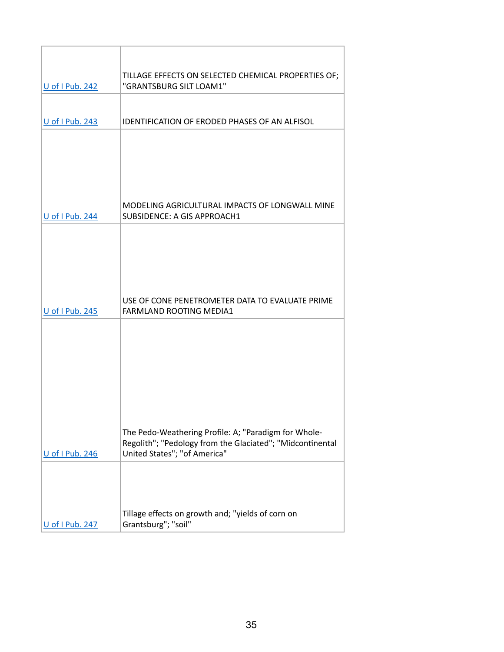| <b>U</b> of I Pub. 242 | TILLAGE EFFECTS ON SELECTED CHEMICAL PROPERTIES OF;<br>"GRANTSBURG SILT LOAM1"                                    |
|------------------------|-------------------------------------------------------------------------------------------------------------------|
|                        |                                                                                                                   |
| <b>U</b> of I Pub. 243 | <b>IDENTIFICATION OF ERODED PHASES OF AN ALFISOL</b>                                                              |
|                        |                                                                                                                   |
|                        |                                                                                                                   |
|                        |                                                                                                                   |
|                        |                                                                                                                   |
| <b>U</b> of I Pub. 244 | MODELING AGRICULTURAL IMPACTS OF LONGWALL MINE<br>SUBSIDENCE: A GIS APPROACH1                                     |
|                        |                                                                                                                   |
|                        |                                                                                                                   |
|                        |                                                                                                                   |
|                        |                                                                                                                   |
| <b>U</b> of I Pub. 245 | USE OF CONE PENETROMETER DATA TO EVALUATE PRIME<br><b>FARMLAND ROOTING MEDIA1</b>                                 |
|                        |                                                                                                                   |
|                        |                                                                                                                   |
|                        |                                                                                                                   |
|                        |                                                                                                                   |
|                        |                                                                                                                   |
|                        |                                                                                                                   |
|                        | The Pedo-Weathering Profile: A; "Paradigm for Whole-<br>Regolith"; "Pedology from the Glaciated"; "Midcontinental |
| U of I Pub. 246        | United States"; "of America"                                                                                      |
|                        |                                                                                                                   |
|                        |                                                                                                                   |
|                        | Tillage effects on growth and; "yields of corn on                                                                 |
| U of I Pub. 247        | Grantsburg"; "soil"                                                                                               |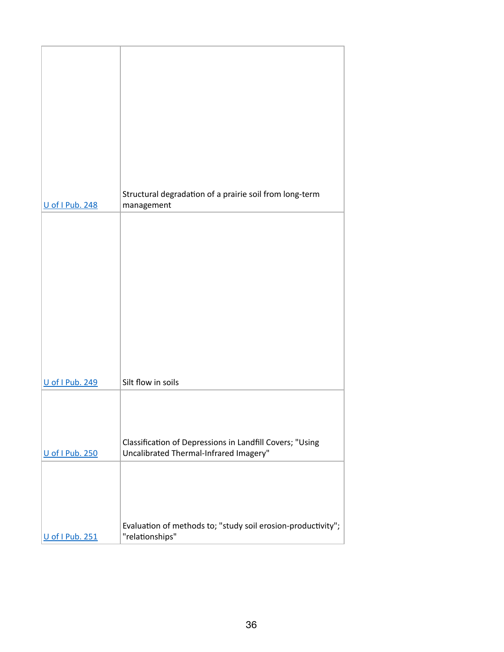|                 | Structural degradation of a prairie soil from long-term                                            |
|-----------------|----------------------------------------------------------------------------------------------------|
| U of I Pub. 248 | management                                                                                         |
|                 |                                                                                                    |
|                 |                                                                                                    |
|                 |                                                                                                    |
|                 |                                                                                                    |
|                 |                                                                                                    |
|                 |                                                                                                    |
|                 |                                                                                                    |
|                 |                                                                                                    |
| U of I Pub. 249 | Silt flow in soils                                                                                 |
|                 |                                                                                                    |
|                 |                                                                                                    |
|                 |                                                                                                    |
| U of I Pub. 250 | Classification of Depressions in Landfill Covers; "Using<br>Uncalibrated Thermal-Infrared Imagery" |
|                 |                                                                                                    |
|                 |                                                                                                    |
|                 |                                                                                                    |
|                 | Evaluation of methods to; "study soil erosion-productivity";                                       |
| U of I Pub. 251 | "relationships"                                                                                    |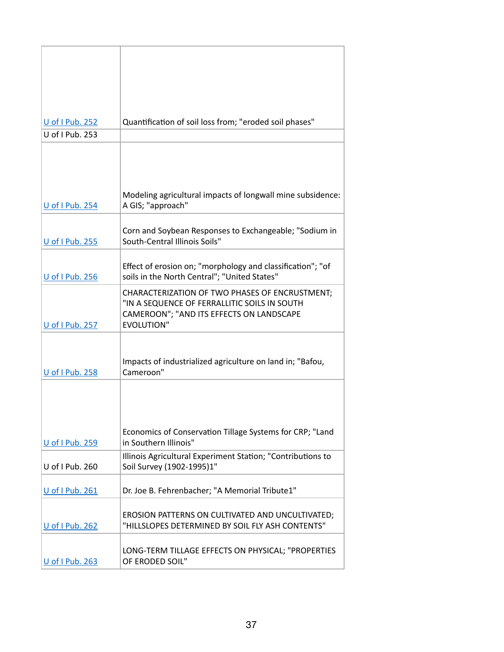| U of I Pub. 252        | Quantification of soil loss from; "eroded soil phases"                                                                                                          |
|------------------------|-----------------------------------------------------------------------------------------------------------------------------------------------------------------|
| U of I Pub. 253        |                                                                                                                                                                 |
|                        | Modeling agricultural impacts of longwall mine subsidence:                                                                                                      |
| U of I Pub. 254        | A GIS; "approach"                                                                                                                                               |
| U of I Pub. 255        | Corn and Soybean Responses to Exchangeable; "Sodium in<br>South-Central Illinois Soils"                                                                         |
| U of I Pub. 256        | Effect of erosion on; "morphology and classification"; "of<br>soils in the North Central"; "United States"                                                      |
| U of I Pub. 257        | CHARACTERIZATION OF TWO PHASES OF ENCRUSTMENT;<br>"IN A SEQUENCE OF FERRALLITIC SOILS IN SOUTH<br>CAMEROON"; "AND ITS EFFECTS ON LANDSCAPE<br><b>EVOLUTION"</b> |
| U of I Pub. 258        | Impacts of industrialized agriculture on land in; "Bafou,<br>Cameroon"                                                                                          |
| <b>U</b> of I Pub. 259 | Economics of Conservation Tillage Systems for CRP; "Land<br>in Southern Illinois"                                                                               |
|                        | Illinois Agricultural Experiment Station; "Contributions to                                                                                                     |
| U of I Pub. 260        | Soil Survey (1902-1995)1"                                                                                                                                       |
| U of I Pub. 261        | Dr. Joe B. Fehrenbacher; "A Memorial Tribute1"                                                                                                                  |
| U of I Pub. 262        | EROSION PATTERNS ON CULTIVATED AND UNCULTIVATED;<br>"HILLSLOPES DETERMINED BY SOIL FLY ASH CONTENTS"                                                            |
| U of I Pub. 263        | LONG-TERM TILLAGE EFFECTS ON PHYSICAL; "PROPERTIES<br>OF ERODED SOIL"                                                                                           |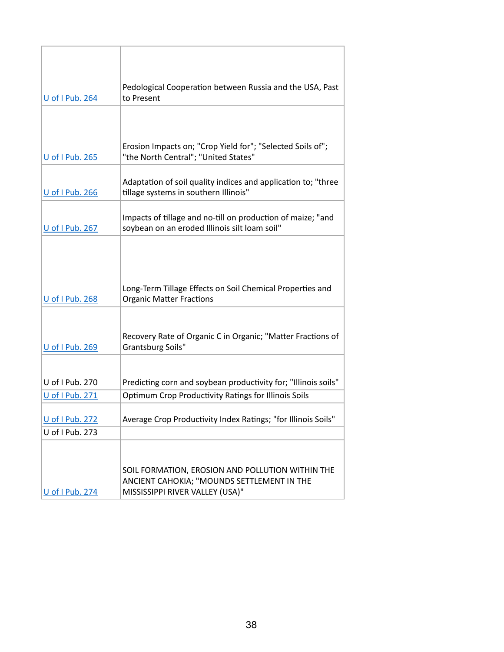| <b>U</b> of I Pub. 264 | Pedological Cooperation between Russia and the USA, Past<br>to Present                                       |  |
|------------------------|--------------------------------------------------------------------------------------------------------------|--|
|                        |                                                                                                              |  |
|                        |                                                                                                              |  |
|                        |                                                                                                              |  |
| <b>U</b> of I Pub. 265 | Erosion Impacts on; "Crop Yield for"; "Selected Soils of";<br>"the North Central"; "United States"           |  |
| U of I Pub. 266        | Adaptation of soil quality indices and application to; "three<br>tillage systems in southern Illinois"       |  |
| U of I Pub. 267        | Impacts of tillage and no-till on production of maize; "and<br>soybean on an eroded Illinois silt loam soil" |  |
|                        |                                                                                                              |  |
|                        |                                                                                                              |  |
|                        |                                                                                                              |  |
| U of I Pub. 268        | Long-Term Tillage Effects on Soil Chemical Properties and<br><b>Organic Matter Fractions</b>                 |  |
|                        |                                                                                                              |  |
| U of I Pub. 269        | Recovery Rate of Organic C in Organic; "Matter Fractions of<br>Grantsburg Soils"                             |  |
|                        |                                                                                                              |  |
|                        |                                                                                                              |  |
| U of I Pub. 270        | Predicting corn and soybean productivity for; "Illinois soils"                                               |  |
| U of I Pub. 271        | <b>Optimum Crop Productivity Ratings for Illinois Soils</b>                                                  |  |
| U of I Pub. 272        | Average Crop Productivity Index Ratings; "for Illinois Soils"                                                |  |
| U of I Pub. 273        |                                                                                                              |  |
|                        |                                                                                                              |  |
|                        | SOIL FORMATION, EROSION AND POLLUTION WITHIN THE                                                             |  |
| U of I Pub. 274        | ANCIENT CAHOKIA; "MOUNDS SETTLEMENT IN THE<br>MISSISSIPPI RIVER VALLEY (USA)"                                |  |
|                        |                                                                                                              |  |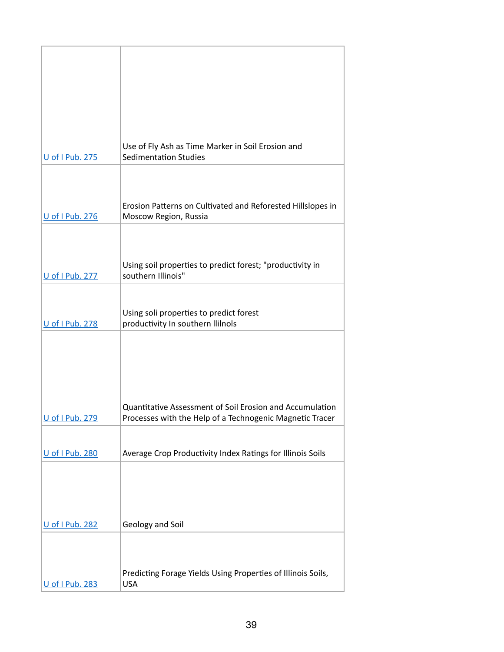|                 | Use of Fly Ash as Time Marker in Soil Erosion and                                                                           |
|-----------------|-----------------------------------------------------------------------------------------------------------------------------|
| U of I Pub. 275 | <b>Sedimentation Studies</b>                                                                                                |
|                 |                                                                                                                             |
|                 |                                                                                                                             |
|                 |                                                                                                                             |
|                 | Erosion Patterns on Cultivated and Reforested Hillslopes in                                                                 |
| U of I Pub. 276 | Moscow Region, Russia                                                                                                       |
|                 |                                                                                                                             |
|                 |                                                                                                                             |
|                 | Using soil properties to predict forest; "productivity in                                                                   |
| U of I Pub. 277 | southern Illinois"                                                                                                          |
|                 |                                                                                                                             |
|                 |                                                                                                                             |
| U of I Pub. 278 | Using soli properties to predict forest<br>productivity In southern Ililnols                                                |
|                 |                                                                                                                             |
|                 |                                                                                                                             |
|                 |                                                                                                                             |
|                 |                                                                                                                             |
|                 |                                                                                                                             |
|                 |                                                                                                                             |
| U of I Pub. 279 | <b>Quantitative Assessment of Soil Erosion and Accumulation</b><br>Processes with the Help of a Technogenic Magnetic Tracer |
|                 |                                                                                                                             |
|                 |                                                                                                                             |
| U of I Pub. 280 | Average Crop Productivity Index Ratings for Illinois Soils                                                                  |
|                 |                                                                                                                             |
|                 |                                                                                                                             |
|                 |                                                                                                                             |
|                 |                                                                                                                             |
| U of I Pub. 282 | Geology and Soil                                                                                                            |
|                 |                                                                                                                             |
|                 |                                                                                                                             |
|                 |                                                                                                                             |
|                 | Predicting Forage Yields Using Properties of Illinois Soils,                                                                |
| U of I Pub. 283 | <b>USA</b>                                                                                                                  |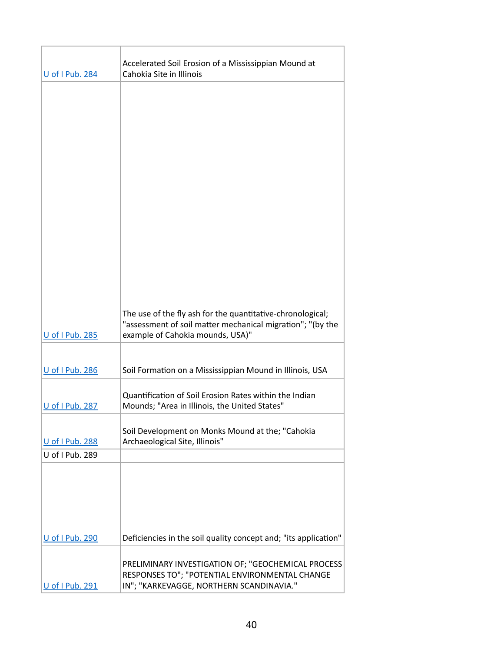| <b>U</b> of I Pub. 284 | Accelerated Soil Erosion of a Mississippian Mound at<br>Cahokia Site in Illinois                                                                 |  |  |
|------------------------|--------------------------------------------------------------------------------------------------------------------------------------------------|--|--|
|                        |                                                                                                                                                  |  |  |
|                        |                                                                                                                                                  |  |  |
|                        |                                                                                                                                                  |  |  |
|                        |                                                                                                                                                  |  |  |
|                        |                                                                                                                                                  |  |  |
|                        |                                                                                                                                                  |  |  |
|                        |                                                                                                                                                  |  |  |
|                        |                                                                                                                                                  |  |  |
|                        |                                                                                                                                                  |  |  |
|                        | The use of the fly ash for the quantitative-chronological;                                                                                       |  |  |
| U of I Pub. 285        | "assessment of soil matter mechanical migration"; "(by the<br>example of Cahokia mounds, USA)"                                                   |  |  |
|                        |                                                                                                                                                  |  |  |
| <b>U</b> of I Pub. 286 | Soil Formation on a Mississippian Mound in Illinois, USA                                                                                         |  |  |
| U of I Pub. 287        | Quantification of Soil Erosion Rates within the Indian<br>Mounds; "Area in Illinois, the United States"                                          |  |  |
| U of I Pub. 288        | Soil Development on Monks Mound at the; "Cahokia<br>Archaeological Site, Illinois"                                                               |  |  |
| U of I Pub. 289        |                                                                                                                                                  |  |  |
|                        |                                                                                                                                                  |  |  |
| <b>U</b> of I Pub. 290 | Deficiencies in the soil quality concept and; "its application"                                                                                  |  |  |
| U of I Pub. 291        | PRELIMINARY INVESTIGATION OF; "GEOCHEMICAL PROCESS<br>RESPONSES TO"; "POTENTIAL ENVIRONMENTAL CHANGE<br>IN"; "KARKEVAGGE, NORTHERN SCANDINAVIA." |  |  |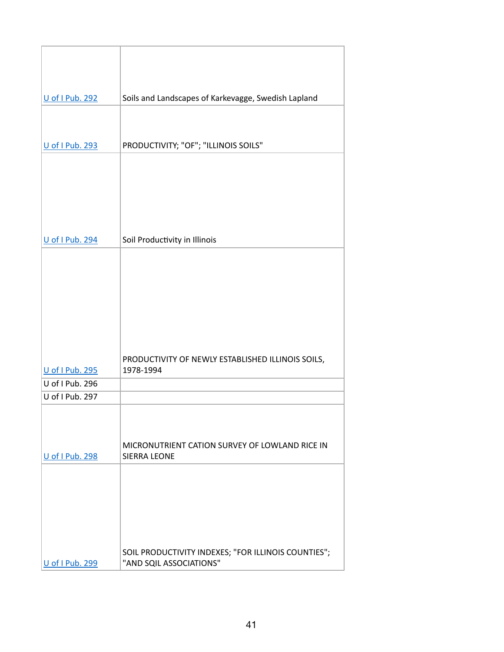| U of I Pub. 292        | Soils and Landscapes of Karkevagge, Swedish Lapland            |
|------------------------|----------------------------------------------------------------|
|                        |                                                                |
|                        |                                                                |
| U of I Pub. 293        | PRODUCTIVITY; "OF"; "ILLINOIS SOILS"                           |
|                        |                                                                |
|                        |                                                                |
|                        |                                                                |
|                        |                                                                |
|                        |                                                                |
| U of I Pub. 294        | Soil Productivity in Illinois                                  |
|                        |                                                                |
|                        |                                                                |
|                        |                                                                |
|                        |                                                                |
|                        |                                                                |
|                        |                                                                |
|                        |                                                                |
| U of I Pub. 295        | PRODUCTIVITY OF NEWLY ESTABLISHED ILLINOIS SOILS,<br>1978-1994 |
| U of I Pub. 296        |                                                                |
| U of I Pub. 297        |                                                                |
|                        |                                                                |
|                        |                                                                |
|                        | MICRONUTRIENT CATION SURVEY OF LOWLAND RICE IN                 |
| <b>U</b> of I Pub. 298 | <b>SIERRA LEONE</b>                                            |
|                        |                                                                |
|                        |                                                                |
|                        |                                                                |
|                        |                                                                |
|                        |                                                                |
|                        | SOIL PRODUCTIVITY INDEXES; "FOR ILLINOIS COUNTIES";            |
| U of I Pub. 299        | "AND SQIL ASSOCIATIONS"                                        |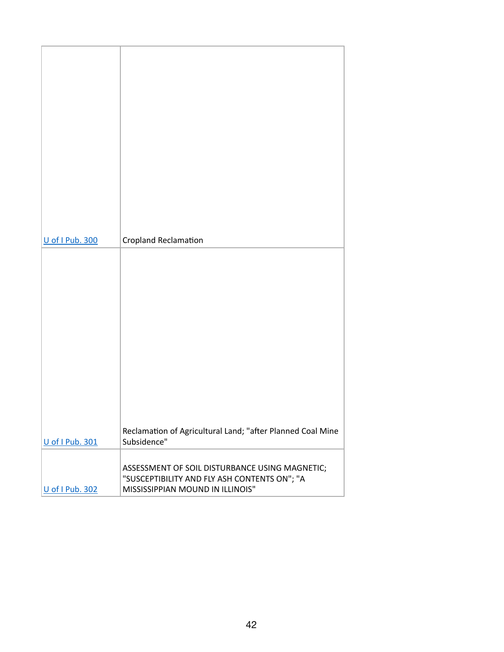| U of I Pub. 300 | <b>Cropland Reclamation</b>                                               |
|-----------------|---------------------------------------------------------------------------|
|                 |                                                                           |
|                 |                                                                           |
|                 |                                                                           |
|                 |                                                                           |
|                 |                                                                           |
|                 |                                                                           |
|                 |                                                                           |
|                 |                                                                           |
|                 |                                                                           |
|                 |                                                                           |
|                 |                                                                           |
|                 |                                                                           |
|                 |                                                                           |
| U of I Pub. 301 | Reclamation of Agricultural Land; "after Planned Coal Mine<br>Subsidence" |
|                 |                                                                           |
|                 | ASSESSMENT OF SOIL DISTURBANCE USING MAGNETIC;                            |
|                 | "SUSCEPTIBILITY AND FLY ASH CONTENTS ON"; "A                              |
| U of I Pub. 302 | MISSISSIPPIAN MOUND IN ILLINOIS"                                          |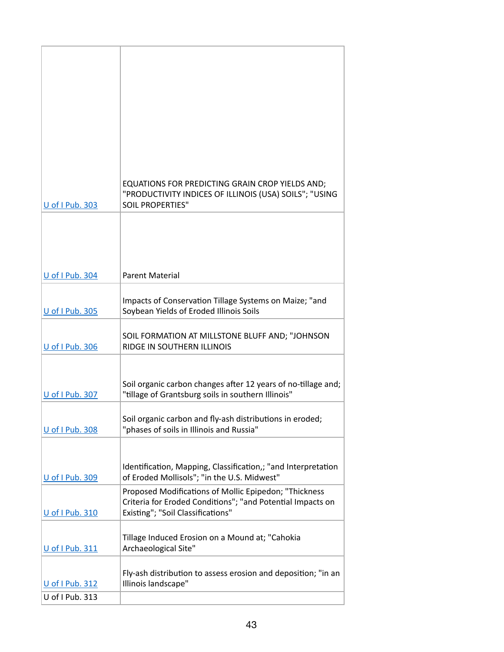|                        | EQUATIONS FOR PREDICTING GRAIN CROP YIELDS AND;<br>"PRODUCTIVITY INDICES OF ILLINOIS (USA) SOILS"; "USING |
|------------------------|-----------------------------------------------------------------------------------------------------------|
| <b>U</b> of I Pub. 303 | <b>SOIL PROPERTIES"</b>                                                                                   |
|                        |                                                                                                           |
|                        |                                                                                                           |
|                        |                                                                                                           |
| U of I Pub. 304        | <b>Parent Material</b>                                                                                    |
|                        |                                                                                                           |
| U of I Pub. 305        | Impacts of Conservation Tillage Systems on Maize; "and<br>Soybean Yields of Eroded Illinois Soils         |
|                        |                                                                                                           |
| U of I Pub. 306        | SOIL FORMATION AT MILLSTONE BLUFF AND; "JOHNSON<br>RIDGE IN SOUTHERN ILLINOIS                             |
|                        |                                                                                                           |
|                        | Soil organic carbon changes after 12 years of no-tillage and;                                             |
| U of I Pub. 307        | "tillage of Grantsburg soils in southern Illinois"                                                        |
|                        | Soil organic carbon and fly-ash distributions in eroded;                                                  |
| U of I Pub. 308        | "phases of soils in Illinois and Russia"                                                                  |
|                        |                                                                                                           |
|                        | Identification, Mapping, Classification,; "and Interpretation                                             |
| U of I Pub. 309        | of Eroded Mollisols"; "in the U.S. Midwest"<br>Proposed Modifications of Mollic Epipedon; "Thickness      |
|                        | Criteria for Eroded Conditions"; "and Potential Impacts on                                                |
| U of I Pub. 310        | Existing"; "Soil Classifications"                                                                         |
|                        | Tillage Induced Erosion on a Mound at; "Cahokia                                                           |
| U of I Pub. 311        | Archaeological Site"                                                                                      |
|                        | Fly-ash distribution to assess erosion and deposition; "in an                                             |
| U of I Pub. 312        | Illinois landscape"                                                                                       |
| U of I Pub. 313        |                                                                                                           |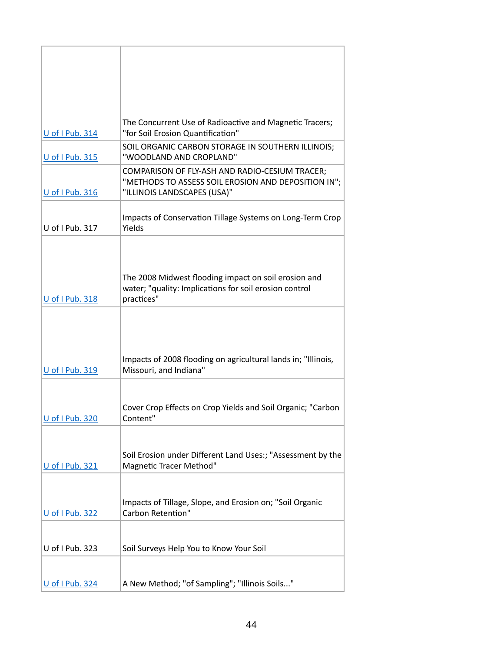| U of I Pub. 314 | The Concurrent Use of Radioactive and Magnetic Tracers;<br>"for Soil Erosion Quantification"                                         |
|-----------------|--------------------------------------------------------------------------------------------------------------------------------------|
| U of I Pub. 315 | SOIL ORGANIC CARBON STORAGE IN SOUTHERN ILLINOIS;<br>"WOODLAND AND CROPLAND"                                                         |
| U of I Pub. 316 | COMPARISON OF FLY-ASH AND RADIO-CESIUM TRACER;<br>"METHODS TO ASSESS SOIL EROSION AND DEPOSITION IN";<br>"ILLINOIS LANDSCAPES (USA)" |
| U of I Pub. 317 | Impacts of Conservation Tillage Systems on Long-Term Crop<br>Yields                                                                  |
|                 |                                                                                                                                      |
| U of I Pub. 318 | The 2008 Midwest flooding impact on soil erosion and<br>water; "quality: Implications for soil erosion control<br>practices"         |
| U of I Pub. 319 | Impacts of 2008 flooding on agricultural lands in; "Illinois,<br>Missouri, and Indiana"                                              |
|                 |                                                                                                                                      |
| U of I Pub. 320 | Cover Crop Effects on Crop Yields and Soil Organic; "Carbon<br>Content"                                                              |
|                 |                                                                                                                                      |
| U of I Pub. 321 | Soil Erosion under Different Land Uses:; "Assessment by the<br>Magnetic Tracer Method"                                               |
|                 |                                                                                                                                      |
| U of I Pub. 322 | Impacts of Tillage, Slope, and Erosion on; "Soil Organic<br>Carbon Retention"                                                        |
|                 |                                                                                                                                      |
| U of I Pub. 323 | Soil Surveys Help You to Know Your Soil                                                                                              |
|                 |                                                                                                                                      |
| U of I Pub. 324 | A New Method; "of Sampling"; "Illinois Soils"                                                                                        |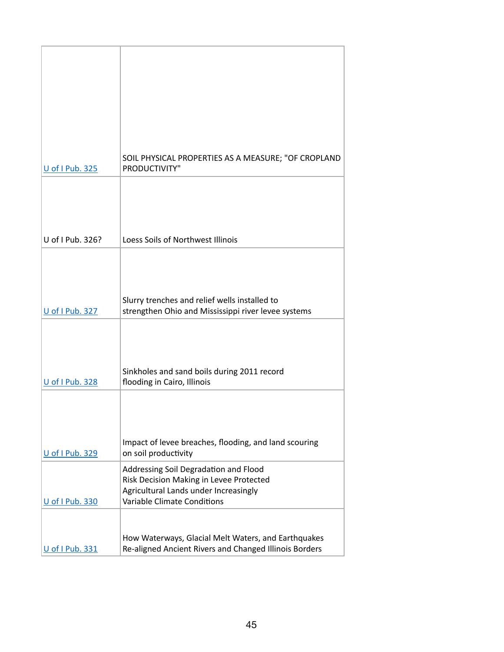|                        | SOIL PHYSICAL PROPERTIES AS A MEASURE; "OF CROPLAND                                                                                                             |
|------------------------|-----------------------------------------------------------------------------------------------------------------------------------------------------------------|
| U of I Pub. 325        | PRODUCTIVITY"                                                                                                                                                   |
|                        |                                                                                                                                                                 |
| U of I Pub. 326?       | Loess Soils of Northwest Illinois                                                                                                                               |
| U of I Pub. 327        | Slurry trenches and relief wells installed to<br>strengthen Ohio and Mississippi river levee systems                                                            |
| <b>U</b> of I Pub. 328 | Sinkholes and sand boils during 2011 record<br>flooding in Cairo, Illinois                                                                                      |
| U of I Pub. 329        | Impact of levee breaches, flooding, and land scouring<br>on soil productivity                                                                                   |
| U of I Pub. 330        | Addressing Soil Degradation and Flood<br>Risk Decision Making in Levee Protected<br>Agricultural Lands under Increasingly<br><b>Variable Climate Conditions</b> |
| U of I Pub. 331        | How Waterways, Glacial Melt Waters, and Earthquakes<br>Re-aligned Ancient Rivers and Changed Illinois Borders                                                   |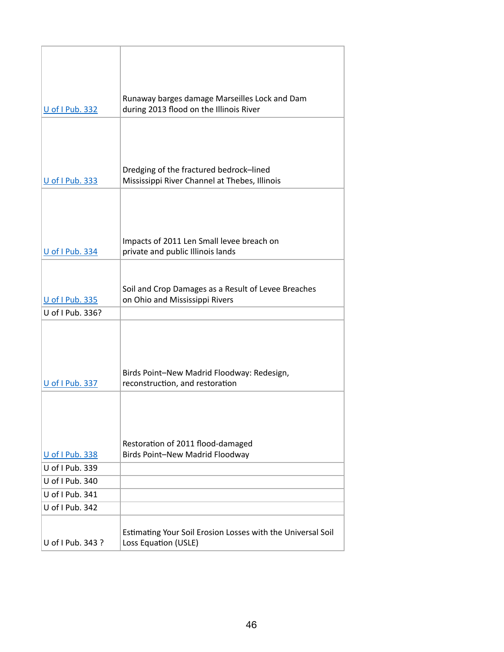|                   | Runaway barges damage Marseilles Lock and Dam                                            |
|-------------------|------------------------------------------------------------------------------------------|
| U of I Pub. 332   | during 2013 flood on the Illinois River                                                  |
|                   |                                                                                          |
|                   |                                                                                          |
|                   |                                                                                          |
| U of I Pub. 333   | Dredging of the fractured bedrock-lined<br>Mississippi River Channel at Thebes, Illinois |
|                   |                                                                                          |
|                   |                                                                                          |
|                   |                                                                                          |
| U of I Pub. 334   | Impacts of 2011 Len Small levee breach on<br>private and public Illinois lands           |
|                   |                                                                                          |
|                   | Soil and Crop Damages as a Result of Levee Breaches                                      |
| U of I Pub. 335   | on Ohio and Mississippi Rivers                                                           |
| U of I Pub. 336?  |                                                                                          |
|                   |                                                                                          |
|                   |                                                                                          |
|                   |                                                                                          |
|                   | Birds Point-New Madrid Floodway: Redesign,                                               |
| U of I Pub. 337   | reconstruction, and restoration                                                          |
|                   |                                                                                          |
|                   |                                                                                          |
|                   |                                                                                          |
| U of I Pub. 338   | Restoration of 2011 flood-damaged<br>Birds Point-New Madrid Floodway                     |
| U of I Pub. 339   |                                                                                          |
| U of I Pub. 340   |                                                                                          |
| U of I Pub. 341   |                                                                                          |
| U of I Pub. 342   |                                                                                          |
|                   |                                                                                          |
|                   | Estimating Your Soil Erosion Losses with the Universal Soil                              |
| U of I Pub. 343 ? | Loss Equation (USLE)                                                                     |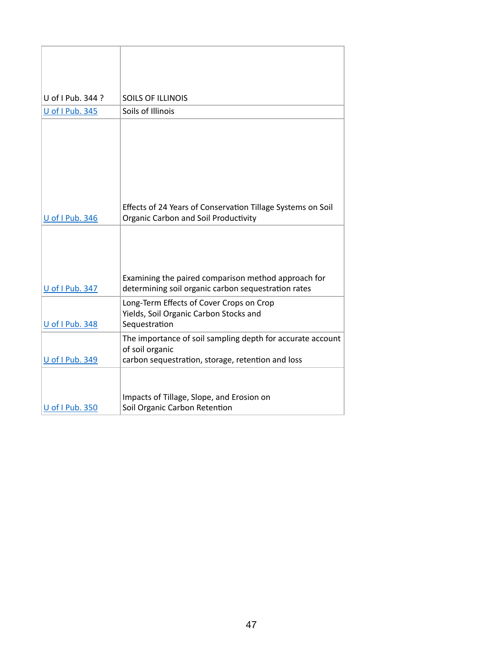| U of I Pub. 344 ?      | <b>SOILS OF ILLINOIS</b>                                                                                                           |
|------------------------|------------------------------------------------------------------------------------------------------------------------------------|
| U of I Pub. 345        | Soils of Illinois                                                                                                                  |
| <b>U</b> of I Pub. 346 | Effects of 24 Years of Conservation Tillage Systems on Soil<br><b>Organic Carbon and Soil Productivity</b>                         |
| U of I Pub. 347        | Examining the paired comparison method approach for<br>determining soil organic carbon sequestration rates                         |
| U of I Pub. 348        | Long-Term Effects of Cover Crops on Crop<br>Yields, Soil Organic Carbon Stocks and<br>Sequestration                                |
| <b>U</b> of I Pub. 349 | The importance of soil sampling depth for accurate account<br>of soil organic<br>carbon sequestration, storage, retention and loss |
| U of I Pub. 350        | Impacts of Tillage, Slope, and Erosion on<br>Soil Organic Carbon Retention                                                         |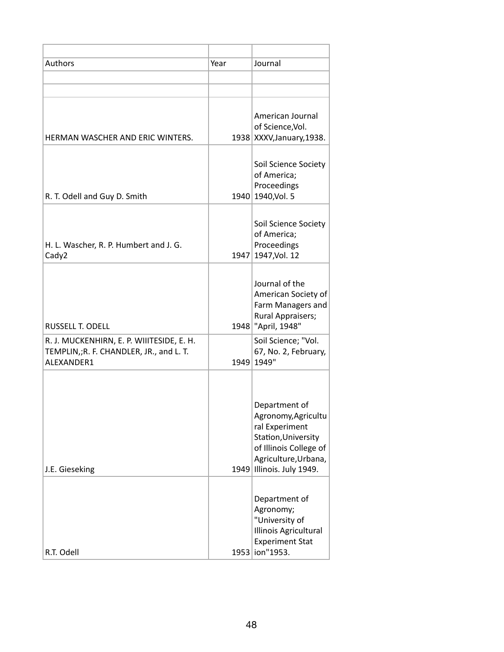| Authors                                                                                            | Year | Journal                                                                                                                                                      |
|----------------------------------------------------------------------------------------------------|------|--------------------------------------------------------------------------------------------------------------------------------------------------------------|
|                                                                                                    |      |                                                                                                                                                              |
|                                                                                                    |      |                                                                                                                                                              |
| HERMAN WASCHER AND ERIC WINTERS.                                                                   |      | American Journal<br>of Science, Vol.<br>1938 XXXV, January, 1938.                                                                                            |
| R. T. Odell and Guy D. Smith                                                                       |      | Soil Science Society<br>of America;<br>Proceedings<br>1940 1940, Vol. 5                                                                                      |
| H. L. Wascher, R. P. Humbert and J. G.<br>Cady2                                                    |      | Soil Science Society<br>of America;<br>Proceedings<br>1947 1947, Vol. 12                                                                                     |
| <b>RUSSELL T. ODELL</b>                                                                            |      | Journal of the<br>American Society of<br>Farm Managers and<br>Rural Appraisers;<br>1948 <sup>"</sup> April, 1948"                                            |
| R. J. MUCKENHIRN, E. P. WIIITESIDE, E. H.<br>TEMPLIN,;R. F. CHANDLER, JR., and L. T.<br>ALEXANDER1 |      | Soil Science; "Vol.<br>67, No. 2, February,<br>1949 1949"                                                                                                    |
| J.E. Gieseking                                                                                     |      | Department of<br>Agronomy, Agricultu<br>ral Experiment<br>Station, University<br>of Illinois College of<br>Agriculture, Urbana,<br>1949 Illinois. July 1949. |
| R.T. Odell                                                                                         |      | Department of<br>Agronomy;<br>"University of<br>Illinois Agricultural<br><b>Experiment Stat</b><br>1953 ion"1953.                                            |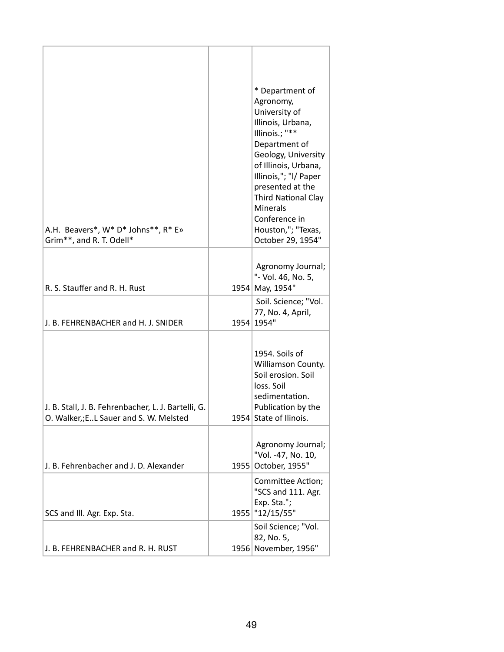| A.H. Beavers*, W* D* Johns**, R* E»<br>Grim**, and R. T. Odell*                                 |      | * Department of<br>Agronomy,<br>University of<br>Illinois, Urbana,<br>Illinois.; "**<br>Department of<br>Geology, University<br>of Illinois, Urbana,<br>Illinois,"; "I/ Paper<br>presented at the<br><b>Third National Clay</b><br><b>Minerals</b><br>Conference in<br>Houston,"; "Texas,<br>October 29, 1954" |
|-------------------------------------------------------------------------------------------------|------|----------------------------------------------------------------------------------------------------------------------------------------------------------------------------------------------------------------------------------------------------------------------------------------------------------------|
|                                                                                                 |      | Agronomy Journal;                                                                                                                                                                                                                                                                                              |
| R. S. Stauffer and R. H. Rust                                                                   |      | "- Vol. 46, No. 5,<br>1954 May, 1954"                                                                                                                                                                                                                                                                          |
| J. B. FEHRENBACHER and H. J. SNIDER                                                             |      | Soil. Science; "Vol.<br>77, No. 4, April,<br>1954 1954"                                                                                                                                                                                                                                                        |
| J. B. Stall, J. B. Fehrenbacher, L. J. Bartelli, G.<br>O. Walker,; E. L Sauer and S. W. Melsted |      | 1954. Soils of<br>Williamson County.<br>Soil erosion. Soil<br>loss. Soil<br>sedimentation.<br>Publication by the<br>1954 State of Ilinois.                                                                                                                                                                     |
| J. B. Fehrenbacher and J. D. Alexander                                                          | 1955 | Agronomy Journal;<br>"Vol. -47, No. 10,<br>October, 1955"                                                                                                                                                                                                                                                      |
| SCS and III. Agr. Exp. Sta.                                                                     |      | Committee Action;<br>"SCS and 111. Agr.<br>Exp. Sta.";<br>1955   "12/15/55"                                                                                                                                                                                                                                    |
| J. B. FEHRENBACHER and R. H. RUST                                                               |      | Soil Science; "Vol.<br>82, No. 5,<br>1956 November, 1956"                                                                                                                                                                                                                                                      |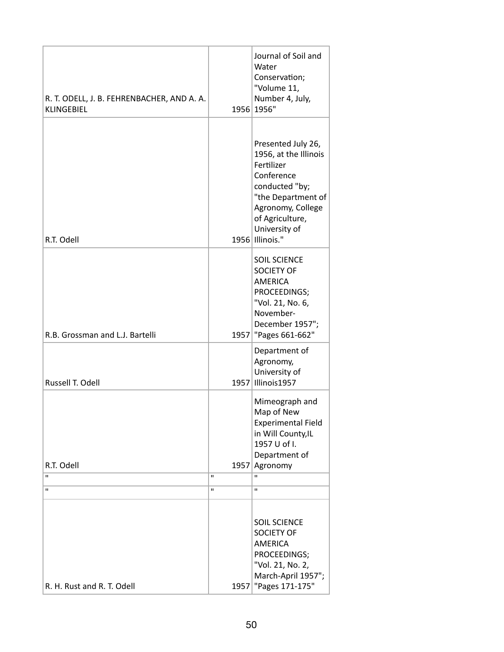| R. T. ODELL, J. B. FEHRENBACHER, AND A. A.<br><b>KLINGEBIEL</b> | 1956                 | Journal of Soil and<br>Water<br>Conservation;<br>"Volume 11,<br>Number 4, July,<br>1956"                                                                                                    |
|-----------------------------------------------------------------|----------------------|---------------------------------------------------------------------------------------------------------------------------------------------------------------------------------------------|
| R.T. Odell                                                      |                      | Presented July 26,<br>1956, at the Illinois<br>Fertilizer<br>Conference<br>conducted "by;<br>"the Department of<br>Agronomy, College<br>of Agriculture,<br>University of<br>1956 Illinois." |
| R.B. Grossman and L.J. Bartelli                                 |                      | <b>SOIL SCIENCE</b><br><b>SOCIETY OF</b><br><b>AMERICA</b><br>PROCEEDINGS;<br>"Vol. 21, No. 6,<br>November-<br>December 1957";<br>1957   "Pages 661-662"                                    |
| Russell T. Odell                                                | 1957                 | Department of<br>Agronomy,<br>University of<br>Illinois1957                                                                                                                                 |
| R.T. Odell<br>Ħ.                                                | 1957<br>$\mathbf{H}$ | Mimeograph and<br>Map of New<br><b>Experimental Field</b><br>in Will County, IL<br>1957 U of I.<br>Department of<br>Agronomy<br>п                                                           |
| $\mathbf{H}$                                                    | $\mathbf{H}$         | П                                                                                                                                                                                           |
| R. H. Rust and R. T. Odell                                      |                      | <b>SOIL SCIENCE</b><br><b>SOCIETY OF</b><br><b>AMERICA</b><br>PROCEEDINGS;<br>"Vol. 21, No. 2,<br>March-April 1957";<br>1957   "Pages 171-175"                                              |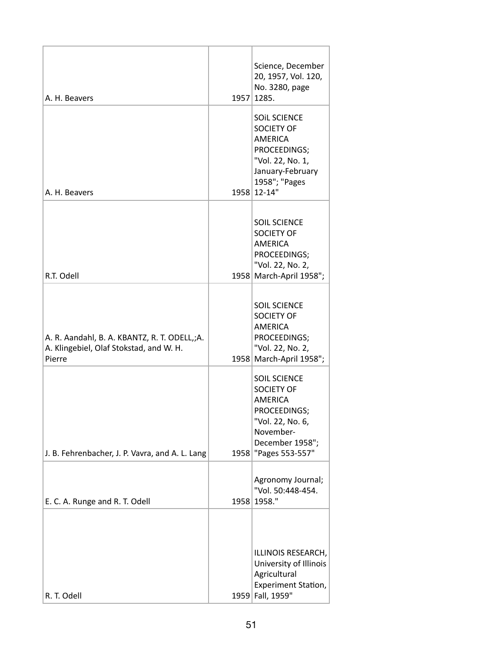| A. H. Beavers                                                                                     | 1957 | Science, December<br>20, 1957, Vol. 120,<br>No. 3280, page<br>1285.                                                                                |
|---------------------------------------------------------------------------------------------------|------|----------------------------------------------------------------------------------------------------------------------------------------------------|
| A. H. Beavers                                                                                     |      | <b>SOIL SCIENCE</b><br><b>SOCIETY OF</b><br><b>AMERICA</b><br>PROCEEDINGS;<br>"Vol. 22, No. 1,<br>January-February<br>1958"; "Pages<br>1958 12-14" |
| R.T. Odell                                                                                        |      | <b>SOIL SCIENCE</b><br><b>SOCIETY OF</b><br><b>AMERICA</b><br>PROCEEDINGS;<br>"Vol. 22, No. 2,<br>1958 March-April 1958";                          |
| A. R. Aandahl, B. A. KBANTZ, R. T. ODELL,;A.<br>A. Klingebiel, Olaf Stokstad, and W. H.<br>Pierre |      | <b>SOIL SCIENCE</b><br><b>SOCIETY OF</b><br><b>AMERICA</b><br>PROCEEDINGS;<br>"Vol. 22, No. 2,<br>1958 March-April 1958";                          |
| J. B. Fehrenbacher, J. P. Vavra, and A. L. Lang                                                   | 1958 | <b>SOIL SCIENCE</b><br><b>SOCIETY OF</b><br><b>AMERICA</b><br>PROCEEDINGS;<br>"Vol. 22, No. 6,<br>November-<br>December 1958";<br>"Pages 553-557"  |
| E. C. A. Runge and R. T. Odell                                                                    |      | Agronomy Journal;<br>"Vol. 50:448-454.<br>1958 1958."                                                                                              |
| R. T. Odell                                                                                       |      | ILLINOIS RESEARCH,<br>University of Illinois<br>Agricultural<br><b>Experiment Station,</b><br>1959 Fall, 1959"                                     |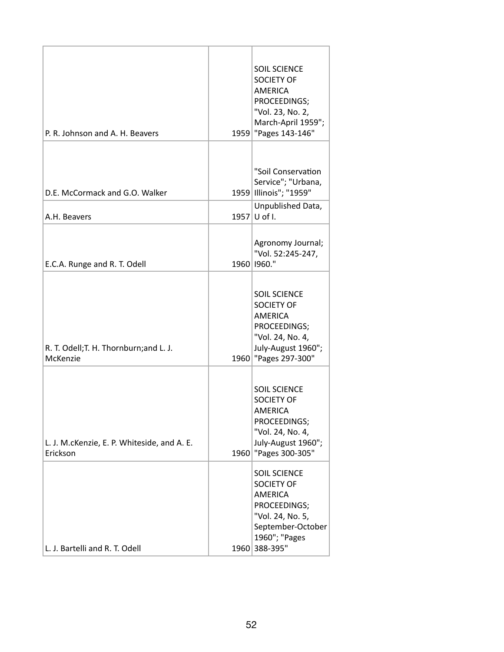| P. R. Johnson and A. H. Beavers                         |      | <b>SOIL SCIENCE</b><br><b>SOCIETY OF</b><br><b>AMERICA</b><br>PROCEEDINGS;<br>"Vol. 23, No. 2,<br>March-April 1959";<br>1959   "Pages 143-146"        |
|---------------------------------------------------------|------|-------------------------------------------------------------------------------------------------------------------------------------------------------|
| D.E. McCormack and G.O. Walker                          |      | "Soil Conservation<br>Service"; "Urbana,<br>1959 Illinois"; "1959"<br>Unpublished Data,                                                               |
| A.H. Beavers                                            |      | 1957 U of I.                                                                                                                                          |
| E.C.A. Runge and R. T. Odell                            |      | Agronomy Journal;<br>"Vol. 52:245-247,<br>1960   1960."                                                                                               |
| R. T. Odell; T. H. Thornburn; and L. J.<br>McKenzie     |      | <b>SOIL SCIENCE</b><br><b>SOCIETY OF</b><br><b>AMERICA</b><br>PROCEEDINGS;<br>"Vol. 24, No. 4,<br>July-August 1960";<br>1960   "Pages 297-300"        |
| L. J. M.cKenzie, E. P. Whiteside, and A. E.<br>Erickson | 1960 | <b>SOIL SCIENCE</b><br><b>SOCIETY OF</b><br><b>AMERICA</b><br>PROCEEDINGS;<br>"Vol. 24, No. 4,<br>July-August 1960";<br>"Pages 300-305"               |
| L. J. Bartelli and R. T. Odell                          |      | <b>SOIL SCIENCE</b><br><b>SOCIETY OF</b><br><b>AMERICA</b><br>PROCEEDINGS;<br>"Vol. 24, No. 5,<br>September-October<br>1960"; "Pages<br>1960 388-395" |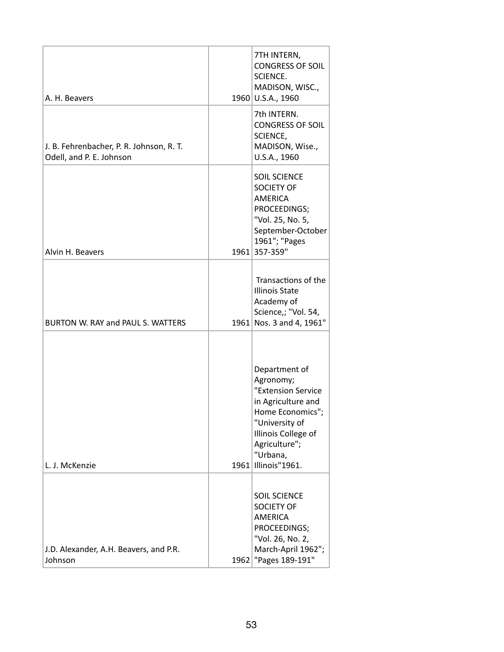| A. H. Beavers                                                        |      | 7TH INTERN,<br><b>CONGRESS OF SOIL</b><br>SCIENCE.<br>MADISON, WISC.,<br>1960 U.S.A., 1960                                                                                         |
|----------------------------------------------------------------------|------|------------------------------------------------------------------------------------------------------------------------------------------------------------------------------------|
| J. B. Fehrenbacher, P. R. Johnson, R. T.<br>Odell, and P. E. Johnson |      | 7th INTERN.<br><b>CONGRESS OF SOIL</b><br>SCIENCE,<br>MADISON, Wise.,<br>U.S.A., 1960                                                                                              |
| Alvin H. Beavers                                                     |      | <b>SOIL SCIENCE</b><br><b>SOCIETY OF</b><br><b>AMERICA</b><br>PROCEEDINGS;<br>"Vol. 25, No. 5,<br>September-October<br>1961"; "Pages<br>1961 357-359"                              |
| BURTON W. RAY and PAUL S. WATTERS                                    |      | Transactions of the<br><b>Illinois State</b><br>Academy of<br>Science,; "Vol. 54,<br>1961 Nos. 3 and 4, 1961"                                                                      |
| L. J. McKenzie                                                       | 1961 | Department of<br>Agronomy;<br>"Extension Service<br>in Agriculture and<br>Home Economics";<br>"University of<br>Illinois College of<br>Agriculture";<br>"Urbana,<br>Illinois"1961. |
| J.D. Alexander, A.H. Beavers, and P.R.<br>Johnson                    | 1962 | <b>SOIL SCIENCE</b><br><b>SOCIETY OF</b><br><b>AMERICA</b><br>PROCEEDINGS;<br>"Vol. 26, No. 2,<br>March-April 1962";<br>"Pages 189-191"                                            |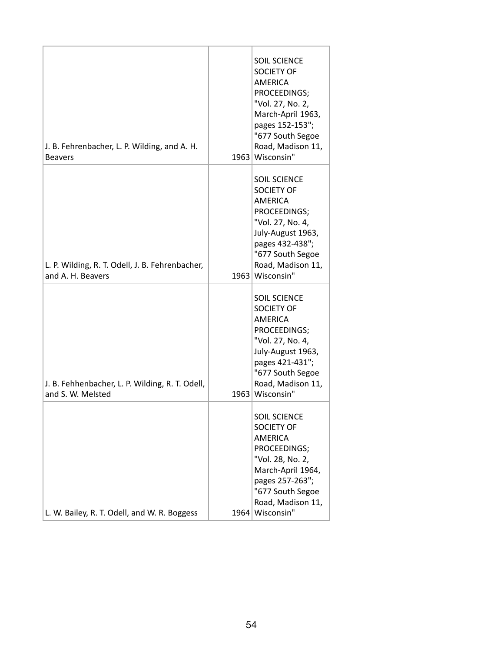| J. B. Fehrenbacher, L. P. Wilding, and A. H.<br><b>Beavers</b>       | <b>SOIL SCIENCE</b><br><b>SOCIETY OF</b><br><b>AMERICA</b><br>PROCEEDINGS;<br>"Vol. 27, No. 2,<br>March-April 1963,<br>pages 152-153";<br>"677 South Segoe<br>Road, Madison 11,<br>1963 Wisconsin" |
|----------------------------------------------------------------------|----------------------------------------------------------------------------------------------------------------------------------------------------------------------------------------------------|
| L. P. Wilding, R. T. Odell, J. B. Fehrenbacher,<br>and A. H. Beavers | <b>SOIL SCIENCE</b><br><b>SOCIETY OF</b><br><b>AMERICA</b><br>PROCEEDINGS;<br>"Vol. 27, No. 4,<br>July-August 1963,<br>pages 432-438";<br>"677 South Segoe<br>Road, Madison 11,<br>1963 Wisconsin" |
| J. B. Fehhenbacher, L. P. Wilding, R. T. Odell,<br>and S. W. Melsted | <b>SOIL SCIENCE</b><br><b>SOCIETY OF</b><br><b>AMERICA</b><br>PROCEEDINGS;<br>"Vol. 27, No. 4,<br>July-August 1963,<br>pages 421-431";<br>"677 South Segoe<br>Road, Madison 11,<br>1963 Wisconsin" |
| L. W. Bailey, R. T. Odell, and W. R. Boggess                         | <b>SOIL SCIENCE</b><br>SOCIETY OF<br><b>AMERICA</b><br>PROCEEDINGS;<br>"Vol. 28, No. 2,<br>March-April 1964,<br>pages 257-263";<br>"677 South Segoe<br>Road, Madison 11,<br>1964 Wisconsin"        |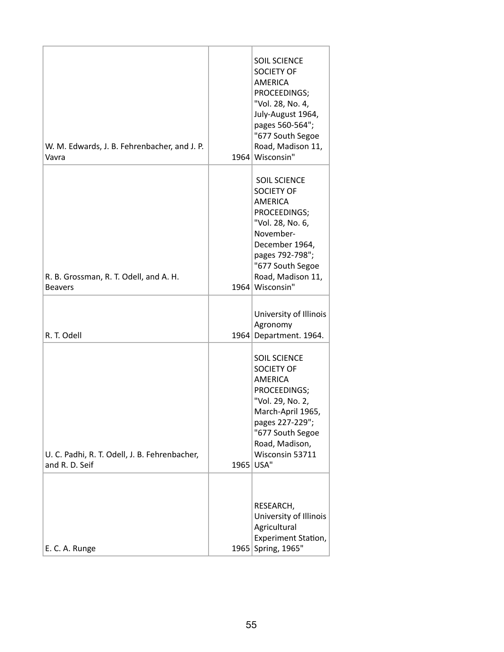| W. M. Edwards, J. B. Fehrenbacher, and J. P.<br>Vavra           |      | <b>SOIL SCIENCE</b><br><b>SOCIETY OF</b><br><b>AMERICA</b><br>PROCEEDINGS;<br>"Vol. 28, No. 4,<br>July-August 1964,<br>pages 560-564";<br>"677 South Segoe<br>Road, Madison 11,<br>1964 Wisconsin"           |
|-----------------------------------------------------------------|------|--------------------------------------------------------------------------------------------------------------------------------------------------------------------------------------------------------------|
| R. B. Grossman, R. T. Odell, and A. H.<br><b>Beavers</b>        |      | <b>SOIL SCIENCE</b><br><b>SOCIETY OF</b><br><b>AMERICA</b><br>PROCEEDINGS;<br>"Vol. 28, No. 6,<br>November-<br>December 1964,<br>pages 792-798";<br>"677 South Segoe<br>Road, Madison 11,<br>1964 Wisconsin" |
| R. T. Odell                                                     |      | University of Illinois<br>Agronomy<br>1964 Department. 1964.                                                                                                                                                 |
| U. C. Padhi, R. T. Odell, J. B. Fehrenbacher,<br>and R. D. Seif | 1965 | <b>SOIL SCIENCE</b><br><b>SOCIETY OF</b><br><b>AMERICA</b><br>PROCEEDINGS;<br>"Vol. 29, No. 2,<br>March-April 1965,<br>pages 227-229";<br>"677 South Segoe<br>Road, Madison,<br>Wisconsin 53711<br>USA"      |
| E. C. A. Runge                                                  |      | RESEARCH,<br>University of Illinois<br>Agricultural<br>Experiment Station,<br>1965 Spring, 1965"                                                                                                             |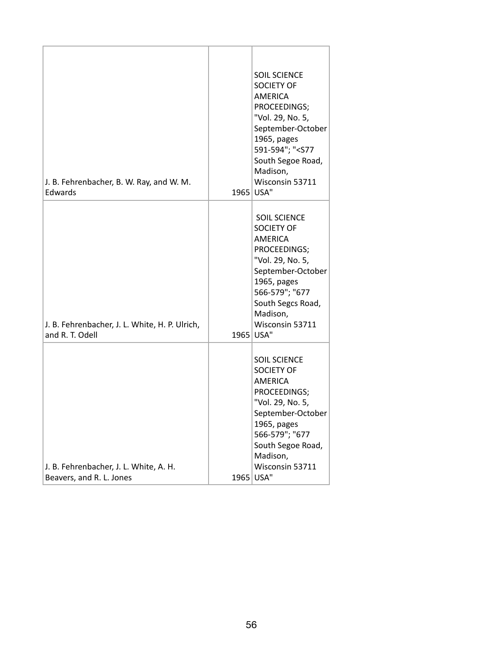| J. B. Fehrenbacher, B. W. Ray, and W. M.<br>Edwards                |      | <b>SOIL SCIENCE</b><br><b>SOCIETY OF</b><br><b>AMERICA</b><br>PROCEEDINGS;<br>"Vol. 29, No. 5,<br>September-October<br>1965, pages<br>591-594"; " <s77<br>South Segoe Road,<br/>Madison,<br/>Wisconsin 53711<br/>1965 USA"</s77<br> |
|--------------------------------------------------------------------|------|-------------------------------------------------------------------------------------------------------------------------------------------------------------------------------------------------------------------------------------|
| J. B. Fehrenbacher, J. L. White, H. P. Ulrich,<br>and R. T. Odell  | 1965 | <b>SOIL SCIENCE</b><br><b>SOCIETY OF</b><br><b>AMERICA</b><br>PROCEEDINGS;<br>"Vol. 29, No. 5,<br>September-October<br>1965, pages<br>566-579"; "677<br>South Segcs Road,<br>Madison,<br>Wisconsin 53711<br>USA"                    |
| J. B. Fehrenbacher, J. L. White, A. H.<br>Beavers, and R. L. Jones | 1965 | <b>SOIL SCIENCE</b><br><b>SOCIETY OF</b><br>AMERICA<br>PROCEEDINGS;<br>"Vol. 29, No. 5,<br>September-October<br>1965, pages<br>566-579"; "677<br>South Segoe Road,<br>Madison,<br>Wisconsin 53711<br>USA"                           |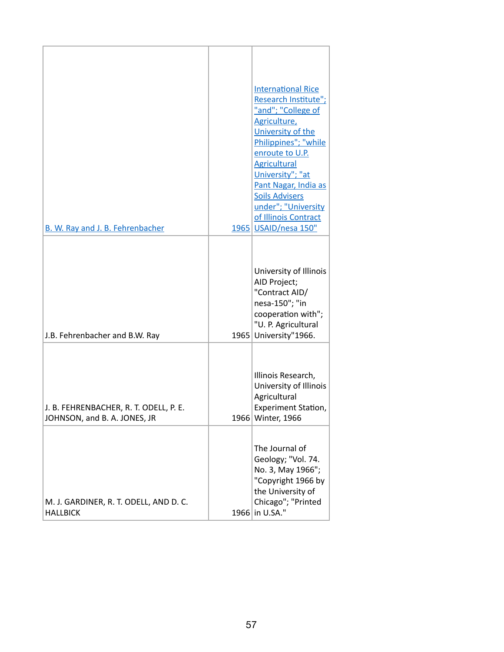| B. W. Ray and J. B. Fehrenbacher                                       |      | <b>International Rice</b><br>Research Institute";<br>"and"; "College of<br>Agriculture,<br>University of the<br>Philippines"; "while<br>enroute to U.P.<br><b>Agricultural</b><br>University"; "at<br>Pant Nagar, India as<br><b>Soils Advisers</b><br>under"; "University<br>of Illinois Contract<br>1965 USAID/nesa 150" |
|------------------------------------------------------------------------|------|----------------------------------------------------------------------------------------------------------------------------------------------------------------------------------------------------------------------------------------------------------------------------------------------------------------------------|
| J.B. Fehrenbacher and B.W. Ray                                         | 1965 | University of Illinois<br>AID Project;<br>"Contract AID/<br>nesa-150"; "in<br>cooperation with";<br>"U. P. Agricultural<br>University"1966.                                                                                                                                                                                |
| J. B. FEHRENBACHER, R. T. ODELL, P. E.<br>JOHNSON, and B. A. JONES, JR |      | Illinois Research,<br>University of Illinois<br>Agricultural<br>Experiment Station,<br>1966 Winter, 1966                                                                                                                                                                                                                   |
| M. J. GARDINER, R. T. ODELL, AND D. C.<br><b>HALLBICK</b>              |      | The Journal of<br>Geology; "Vol. 74.<br>No. 3, May 1966";<br>"Copyright 1966 by<br>the University of<br>Chicago"; "Printed<br>1966 in U.SA."                                                                                                                                                                               |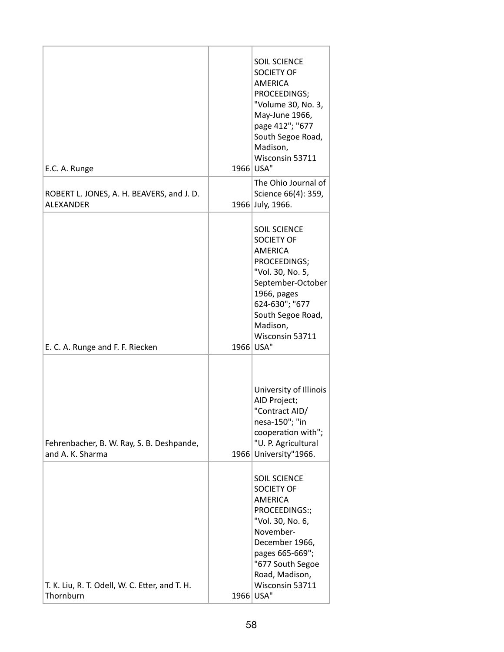| E.C. A. Runge                                                 |      | <b>SOIL SCIENCE</b><br><b>SOCIETY OF</b><br><b>AMERICA</b><br>PROCEEDINGS;<br>"Volume 30, No. 3,<br>May-June 1966,<br>page 412"; "677<br>South Segoe Road,<br>Madison,<br>Wisconsin 53711<br>1966 USA"                  |
|---------------------------------------------------------------|------|-------------------------------------------------------------------------------------------------------------------------------------------------------------------------------------------------------------------------|
| ROBERT L. JONES, A. H. BEAVERS, and J. D.<br><b>ALEXANDER</b> |      | The Ohio Journal of<br>Science 66(4): 359,<br>1966 July, 1966.                                                                                                                                                          |
| E. C. A. Runge and F. F. Riecken                              |      | <b>SOIL SCIENCE</b><br><b>SOCIETY OF</b><br><b>AMERICA</b><br>PROCEEDINGS;<br>"Vol. 30, No. 5,<br>September-October<br>1966, pages<br>624-630"; "677<br>South Segoe Road,<br>Madison,<br>Wisconsin 53711<br>1966 USA"   |
| Fehrenbacher, B. W. Ray, S. B. Deshpande,<br>and A. K. Sharma | 1966 | University of Illinois<br>AID Project;<br>"Contract AID/<br>nesa-150"; "in<br>cooperation with";<br>"U. P. Agricultural<br>University"1966.                                                                             |
| T. K. Liu, R. T. Odell, W. C. Etter, and T. H.<br>Thornburn   |      | <b>SOIL SCIENCE</b><br><b>SOCIETY OF</b><br><b>AMERICA</b><br>PROCEEDINGS:;<br>"Vol. 30, No. 6,<br>November-<br>December 1966,<br>pages 665-669";<br>"677 South Segoe<br>Road, Madison,<br>Wisconsin 53711<br>1966 USA" |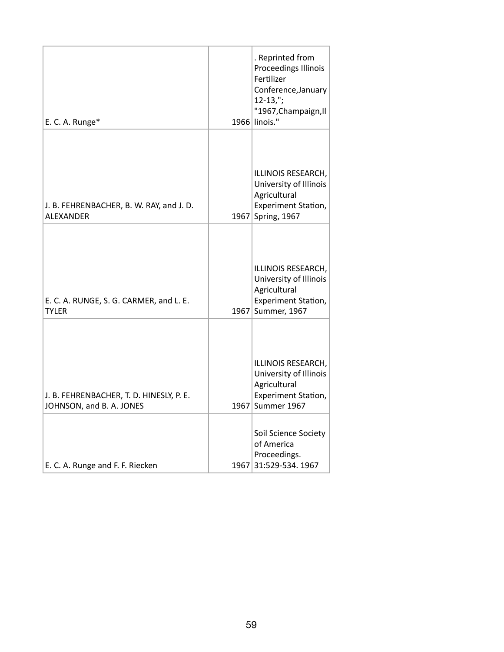| E. C. A. Runge*                                                      |      | . Reprinted from<br>Proceedings Illinois<br>Fertilizer<br>Conference, January<br>$12 - 13,$ ";<br>"1967, Champaign, Il<br>1966 linois." |
|----------------------------------------------------------------------|------|-----------------------------------------------------------------------------------------------------------------------------------------|
| J. B. FEHRENBACHER, B. W. RAY, and J. D.<br><b>ALEXANDER</b>         | 1967 | ILLINOIS RESEARCH,<br>University of Illinois<br>Agricultural<br>Experiment Station,<br>Spring, 1967                                     |
| E. C. A. RUNGE, S. G. CARMER, and L. E.<br><b>TYLER</b>              |      | ILLINOIS RESEARCH,<br>University of Illinois<br>Agricultural<br>Experiment Station,<br>1967 Summer, 1967                                |
| J. B. FEHRENBACHER, T. D. HINESLY, P. E.<br>JOHNSON, and B. A. JONES |      | ILLINOIS RESEARCH,<br>University of Illinois<br>Agricultural<br>Experiment Station,<br>1967 Summer 1967                                 |
| E. C. A. Runge and F. F. Riecken                                     |      | Soil Science Society<br>of America<br>Proceedings.<br>1967 31:529-534. 1967                                                             |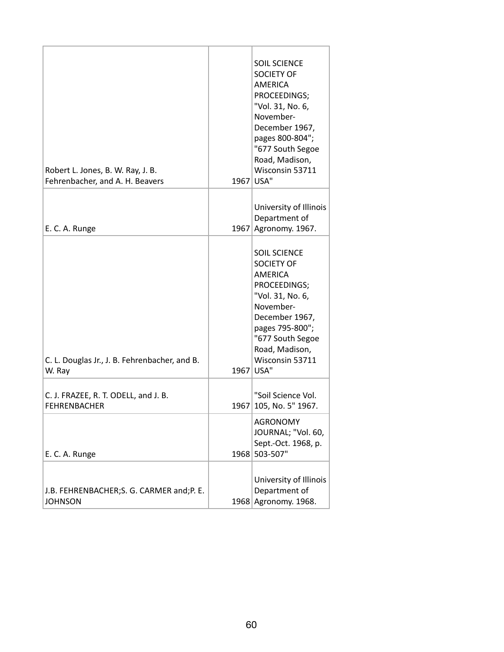| Robert L. Jones, B. W. Ray, J. B.<br>Fehrenbacher, and A. H. Beavers |      | <b>SOIL SCIENCE</b><br><b>SOCIETY OF</b><br><b>AMERICA</b><br>PROCEEDINGS;<br>"Vol. 31, No. 6,<br>November-<br>December 1967,<br>pages 800-804";<br>"677 South Segoe<br>Road, Madison,<br>Wisconsin 53711<br>1967 USA" |
|----------------------------------------------------------------------|------|------------------------------------------------------------------------------------------------------------------------------------------------------------------------------------------------------------------------|
| E. C. A. Runge                                                       |      | University of Illinois<br>Department of<br>1967 Agronomy. 1967.                                                                                                                                                        |
| C. L. Douglas Jr., J. B. Fehrenbacher, and B.<br>W. Ray              | 1967 | <b>SOIL SCIENCE</b><br><b>SOCIETY OF</b><br>AMERICA<br>PROCEEDINGS;<br>"Vol. 31, No. 6,<br>November-<br>December 1967,<br>pages 795-800";<br>"677 South Segoe<br>Road, Madison,<br>Wisconsin 53711<br>USA"             |
| C. J. FRAZEE, R. T. ODELL, and J. B.<br><b>FEHRENBACHER</b>          | 1967 | "Soil Science Vol.<br>105, No. 5" 1967.                                                                                                                                                                                |
| E. C. A. Runge                                                       | 1968 | <b>AGRONOMY</b><br>JOURNAL; "Vol. 60,<br>Sept.-Oct. 1968, p.<br>503-507"                                                                                                                                               |
| J.B. FEHRENBACHER; S. G. CARMER and; P. E.<br><b>JOHNSON</b>         |      | University of Illinois<br>Department of<br>1968 Agronomy. 1968.                                                                                                                                                        |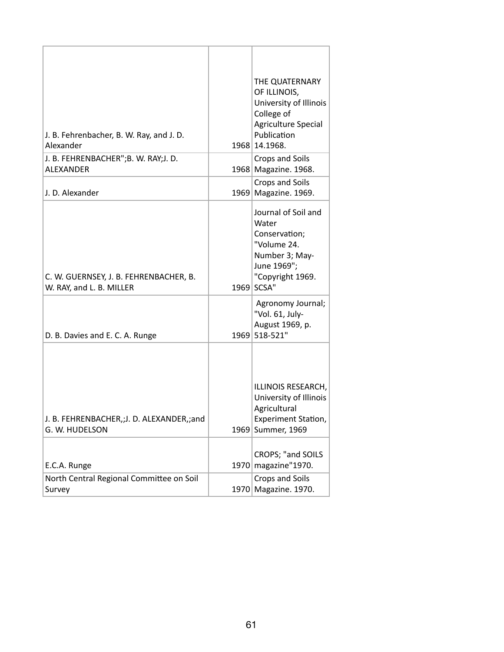| J. B. Fehrenbacher, B. W. Ray, and J. D.<br>Alexander              |      | THE QUATERNARY<br>OF ILLINOIS,<br>University of Illinois<br>College of<br>Agriculture Special<br>Publication<br>1968 14.1968.   |
|--------------------------------------------------------------------|------|---------------------------------------------------------------------------------------------------------------------------------|
| J. B. FEHRENBACHER";B. W. RAY;J. D.<br><b>ALEXANDER</b>            |      | Crops and Soils<br>1968 Magazine. 1968.                                                                                         |
| J. D. Alexander                                                    |      | Crops and Soils<br>1969 Magazine. 1969.                                                                                         |
| C. W. GUERNSEY, J. B. FEHRENBACHER, B.<br>W. RAY, and L. B. MILLER |      | Journal of Soil and<br>Water<br>Conservation;<br>"Volume 24.<br>Number 3; May-<br>June 1969";<br>"Copyright 1969.<br>1969 SCSA" |
| D. B. Davies and E. C. A. Runge                                    |      | Agronomy Journal;<br>"Vol. 61, July-<br>August 1969, p.<br>1969 518-521"                                                        |
| J. B. FEHRENBACHER,;J. D. ALEXANDER,;and<br>G. W. HUDELSON         | 1969 | ILLINOIS RESEARCH,<br>University of Illinois<br>Agricultural<br><b>Experiment Station,</b><br><b>Summer, 1969</b>               |
| E.C.A. Runge                                                       |      | CROPS; "and SOILS<br>1970 magazine" 1970.                                                                                       |
| North Central Regional Committee on Soil<br>Survey                 |      | Crops and Soils<br>1970 Magazine. 1970.                                                                                         |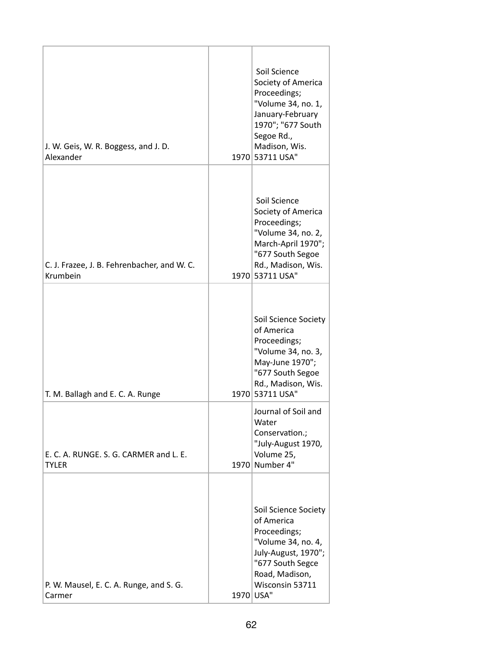| J. W. Geis, W. R. Boggess, and J. D.<br>Alexander       | Soil Science<br>Society of America<br>Proceedings;<br>"Volume 34, no. 1,<br>January-February<br>1970"; "677 South<br>Segoe Rd.,<br>Madison, Wis.<br>1970 53711 USA"   |
|---------------------------------------------------------|-----------------------------------------------------------------------------------------------------------------------------------------------------------------------|
| C. J. Frazee, J. B. Fehrenbacher, and W. C.<br>Krumbein | Soil Science<br>Society of America<br>Proceedings;<br>"Volume 34, no. 2,<br>March-April 1970";<br>"677 South Segoe<br>Rd., Madison, Wis.<br>1970 53711 USA"           |
| T. M. Ballagh and E. C. A. Runge                        | Soil Science Society<br>of America<br>Proceedings;<br>"Volume 34, no. 3,<br>May-June 1970";<br>"677 South Segoe<br>Rd., Madison, Wis.<br>1970 53711 USA"              |
| E. C. A. RUNGE. S. G. CARMER and L. E.<br><b>TYLER</b>  | Journal of Soil and<br>Water<br>Conservation.;<br>"July-August 1970,<br>Volume 25,<br>1970 Number 4"                                                                  |
| P. W. Mausel, E. C. A. Runge, and S. G.<br>Carmer       | Soil Science Society<br>of America<br>Proceedings;<br>"Volume 34, no. 4,<br>July-August, 1970";<br>"677 South Segce<br>Road, Madison,<br>Wisconsin 53711<br>1970 USA" |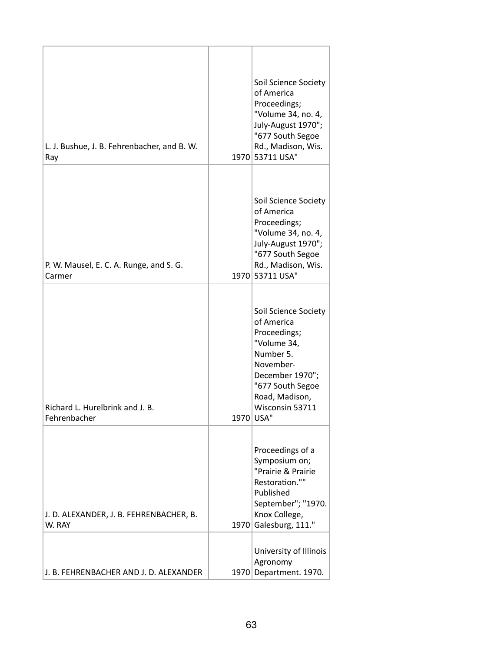| L. J. Bushue, J. B. Fehrenbacher, and B. W.<br>Ray |      | Soil Science Society<br>of America<br>Proceedings;<br>"Volume 34, no. 4,<br>July-August 1970";<br>"677 South Segoe<br>Rd., Madison, Wis.<br>1970 53711 USA"                          |
|----------------------------------------------------|------|--------------------------------------------------------------------------------------------------------------------------------------------------------------------------------------|
| P. W. Mausel, E. C. A. Runge, and S. G.<br>Carmer  |      | Soil Science Society<br>of America<br>Proceedings;<br>"Volume 34, no. 4,<br>July-August 1970";<br>"677 South Segoe<br>Rd., Madison, Wis.<br>1970 53711 USA"                          |
| Richard L. Hurelbrink and J. B.<br>Fehrenbacher    |      | Soil Science Society<br>of America<br>Proceedings;<br>"Volume 34,<br>Number 5.<br>November-<br>December 1970";<br>"677 South Segoe<br>Road, Madison,<br>Wisconsin 53711<br>1970 USA" |
| J. D. ALEXANDER, J. B. FEHRENBACHER, B.<br>W. RAY  |      | Proceedings of a<br>Symposium on;<br>"Prairie & Prairie<br>Restoration.""<br>Published<br>September"; "1970.<br>Knox College,<br>1970 Galesburg, 111."                               |
| J. B. FEHRENBACHER AND J. D. ALEXANDER             | 1970 | University of Illinois<br>Agronomy<br>Department. 1970.                                                                                                                              |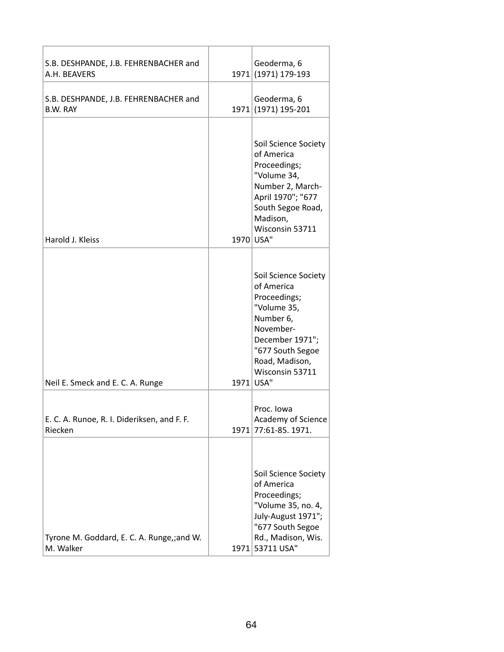| S.B. DESHPANDE, J.B. FEHRENBACHER and<br>A.H. BEAVERS    |      | Geoderma, 6<br>1971 (1971) 179-193                                                                                                                                                   |
|----------------------------------------------------------|------|--------------------------------------------------------------------------------------------------------------------------------------------------------------------------------------|
| S.B. DESHPANDE, J.B. FEHRENBACHER and<br>B.W. RAY        |      | Geoderma, 6<br>1971 (1971) 195-201                                                                                                                                                   |
| Harold J. Kleiss                                         |      | Soil Science Society<br>of America<br>Proceedings;<br>"Volume 34,<br>Number 2, March-<br>April 1970"; "677<br>South Segoe Road,<br>Madison,<br>Wisconsin 53711<br>1970 USA"          |
| Neil E. Smeck and E. C. A. Runge                         |      | Soil Science Society<br>of America<br>Proceedings;<br>"Volume 35,<br>Number 6,<br>November-<br>December 1971";<br>"677 South Segoe<br>Road, Madison,<br>Wisconsin 53711<br>1971 USA" |
| E. C. A. Runoe, R. I. Dideriksen, and F. F.<br>Riecken   | 1971 | Proc. Iowa<br>Academy of Science<br>77:61-85. 1971.                                                                                                                                  |
| Tyrone M. Goddard, E. C. A. Runge, ; and W.<br>M. Walker | 1971 | Soil Science Society<br>of America<br>Proceedings;<br>"Volume 35, no. 4,<br>July-August 1971";<br>"677 South Segoe<br>Rd., Madison, Wis.<br>53711 USA"                               |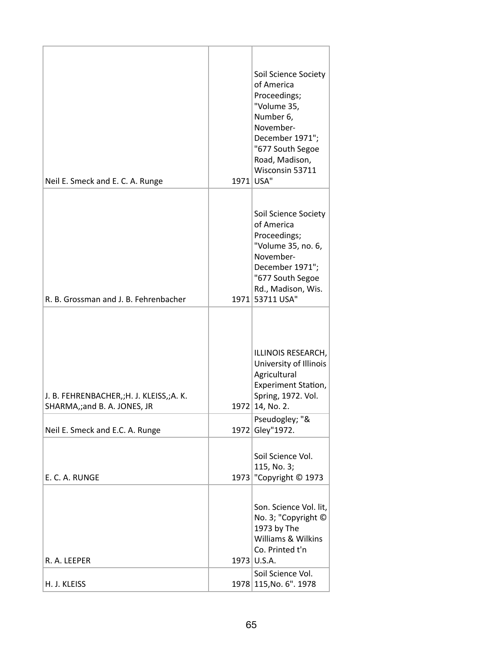| Neil E. Smeck and E. C. A. Runge                                       | Soil Science Society<br>of America<br>Proceedings;<br>"Volume 35,<br>Number 6,<br>November-<br>December 1971";<br>"677 South Segoe<br>Road, Madison,<br>Wisconsin 53711<br>1971 USA" |
|------------------------------------------------------------------------|--------------------------------------------------------------------------------------------------------------------------------------------------------------------------------------|
| R. B. Grossman and J. B. Fehrenbacher                                  | Soil Science Society<br>of America<br>Proceedings;<br>"Volume 35, no. 6,<br>November-<br>December 1971";<br>"677 South Segoe<br>Rd., Madison, Wis.<br>1971 53711 USA"                |
| J. B. FEHRENBACHER,;H. J. KLEISS,;A. K.<br>SHARMA,;and B. A. JONES, JR | ILLINOIS RESEARCH,<br>University of Illinois<br>Agricultural<br><b>Experiment Station,</b><br>Spring, 1972. Vol.<br>1972 14, No. 2.                                                  |
| Neil E. Smeck and E.C. A. Runge                                        | Pseudogley; "&<br>1972 Gley"1972.                                                                                                                                                    |
| F. C. A. RUNGF                                                         | Soil Science Vol.<br>115, No. 3;<br>1973   "Copyright © 1973                                                                                                                         |
| R. A. LEEPER                                                           | Son. Science Vol. lit,<br>No. 3; "Copyright ©<br>1973 by The<br>Williams & Wilkins<br>Co. Printed t'n<br>1973 U.S.A.                                                                 |
| H. J. KLEISS                                                           | Soil Science Vol.<br>1978 115, No. 6". 1978                                                                                                                                          |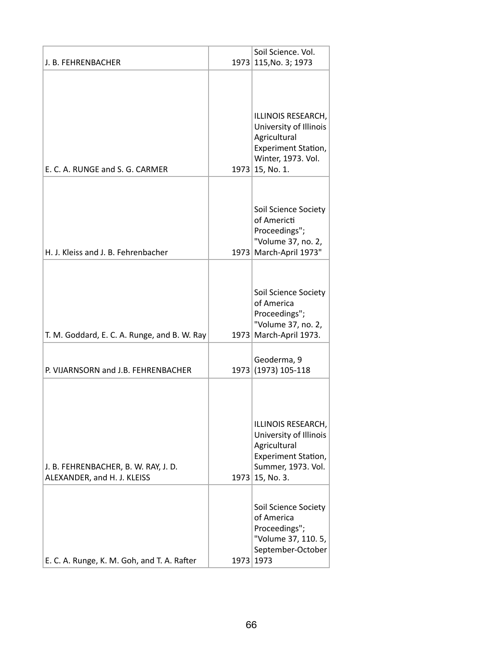|                                                                     |      | Soil Science. Vol.                                                                                                             |
|---------------------------------------------------------------------|------|--------------------------------------------------------------------------------------------------------------------------------|
| J. B. FEHRENBACHER                                                  |      | 1973 115, No. 3; 1973                                                                                                          |
| E. C. A. RUNGE and S. G. CARMER                                     |      | ILLINOIS RESEARCH,<br>University of Illinois<br>Agricultural<br>Experiment Station,<br>Winter, 1973. Vol.<br>$1973$ 15, No. 1. |
| H. J. Kleiss and J. B. Fehrenbacher                                 | 1973 | Soil Science Society<br>of Americti<br>Proceedings";<br>"Volume 37, no. 2,<br>March-April 1973"                                |
| T. M. Goddard, E. C. A. Runge, and B. W. Ray                        | 1973 | Soil Science Society<br>of America<br>Proceedings";<br>"Volume 37, no. 2,<br>March-April 1973.                                 |
| P. VIJARNSORN and J.B. FEHRENBACHER                                 |      | Geoderma, 9<br>1973 (1973) 105-118                                                                                             |
| J. B. FEHRENBACHER, B. W. RAY, J. D.<br>ALEXANDER, and H. J. KLEISS |      | ILLINOIS RESEARCH,<br>University of Illinois<br>Agricultural<br>Experiment Station,<br>Summer, 1973. Vol.<br>$1973$ 15, No. 3. |
| E. C. A. Runge, K. M. Goh, and T. A. Rafter                         |      | Soil Science Society<br>of America<br>Proceedings";<br>"Volume 37, 110. 5,<br>September-October<br>1973 1973                   |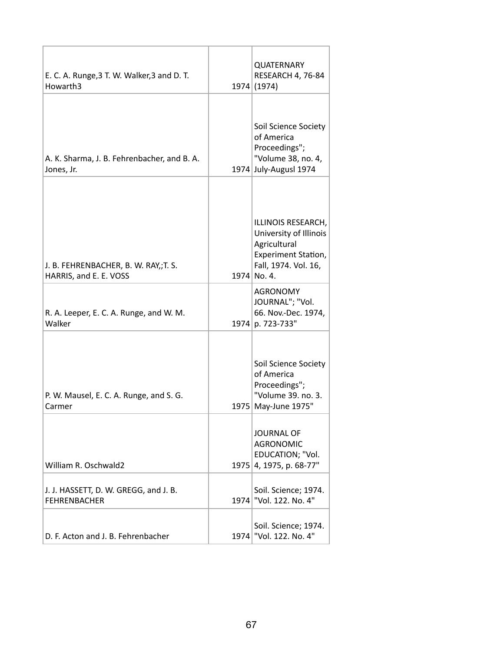| E. C. A. Runge, 3 T. W. Walker, 3 and D. T.<br>Howarth3         | <b>QUATERNARY</b><br>RESEARCH 4, 76-84<br>1974 (1974)                                                                      |
|-----------------------------------------------------------------|----------------------------------------------------------------------------------------------------------------------------|
| A. K. Sharma, J. B. Fehrenbacher, and B. A.<br>Jones, Jr.       | Soil Science Society<br>of America<br>Proceedings";<br>"Volume 38, no. 4,<br>1974 July-Augusl 1974                         |
| J. B. FEHRENBACHER, B. W. RAY,; T. S.<br>HARRIS, and E. E. VOSS | ILLINOIS RESEARCH,<br>University of Illinois<br>Agricultural<br>Experiment Station,<br>Fall, 1974. Vol. 16,<br>1974 No. 4. |
| R. A. Leeper, E. C. A. Runge, and W. M.<br>Walker               | <b>AGRONOMY</b><br>JOURNAL"; "Vol.<br>66. Nov.-Dec. 1974,<br>1974 p. 723-733"                                              |
| P. W. Mausel, E. C. A. Runge, and S. G.<br>Carmer               | Soil Science Society<br>of America<br>Proceedings";<br>"Volume 39. no. 3.<br>1975 May-June 1975"                           |
| William R. Oschwald2                                            | <b>JOURNAL OF</b><br><b>AGRONOMIC</b><br>EDUCATION; "Vol.<br>1975 4, 1975, p. 68-77"                                       |
| J. J. HASSETT, D. W. GREGG, and J. B.<br><b>FEHRENBACHER</b>    | Soil. Science; 1974.<br>1974   "Vol. 122. No. 4"                                                                           |
| D. F. Acton and J. B. Fehrenbacher                              | Soil. Science; 1974.<br>1974   "Vol. 122. No. 4"                                                                           |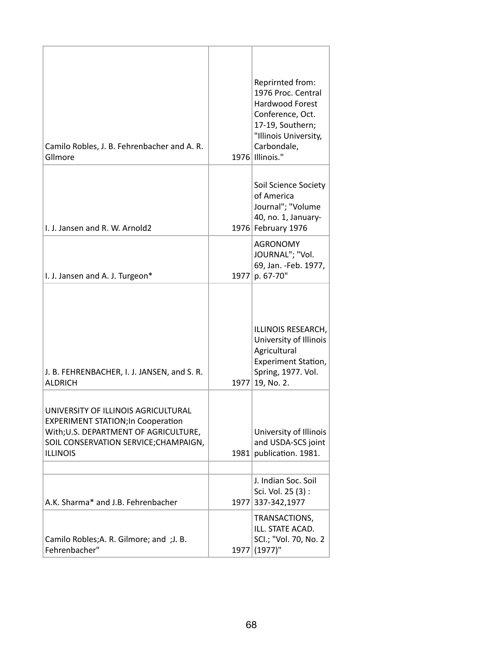| Camilo Robles, J. B. Fehrenbacher and A. R.<br>Gllmore                                                                                                                                |      | Reprirnted from:<br>1976 Proc. Central<br>Hardwood Forest<br>Conference, Oct.<br>17-19, Southern;<br>"Illinois University,<br>Carbondale,<br>1976 Illinois." |
|---------------------------------------------------------------------------------------------------------------------------------------------------------------------------------------|------|--------------------------------------------------------------------------------------------------------------------------------------------------------------|
| I. J. Jansen and R. W. Arnold2                                                                                                                                                        |      | Soil Science Society<br>of America<br>Journal"; "Volume<br>40, no. 1, January-<br>1976 February 1976                                                         |
| I. J. Jansen and A. J. Turgeon*                                                                                                                                                       | 1977 | <b>AGRONOMY</b><br>JOURNAL"; "Vol.<br>69, Jan. - Feb. 1977,<br>p. 67-70"                                                                                     |
| J. B. FEHRENBACHER, I. J. JANSEN, and S. R.<br><b>ALDRICH</b>                                                                                                                         |      | ILLINOIS RESEARCH,<br>University of Illinois<br>Agricultural<br>Experiment Station,<br>Spring, 1977. Vol.<br>1977 19, No. 2.                                 |
| UNIVERSITY OF ILLINOIS AGRICULTURAL<br><b>EXPERIMENT STATION; In Cooperation</b><br>With; U.S. DEPARTMENT OF AGRICULTURE,<br>SOIL CONSERVATION SERVICE; CHAMPAIGN,<br><b>ILLINOIS</b> | 1981 | University of Illinois<br>and USDA-SCS joint<br>publication. 1981.                                                                                           |
| A.K. Sharma* and J.B. Fehrenbacher                                                                                                                                                    | 1977 | J. Indian Soc. Soil<br>Sci. Vol. 25 (3):<br>337-342,1977                                                                                                     |
| Camilo Robles; A. R. Gilmore; and ; J. B.<br>Fehrenbacher"                                                                                                                            | 1977 | TRANSACTIONS,<br>ILL. STATE ACAD.<br>SCI.; "Vol. 70, No. 2<br>$(1977)$ "                                                                                     |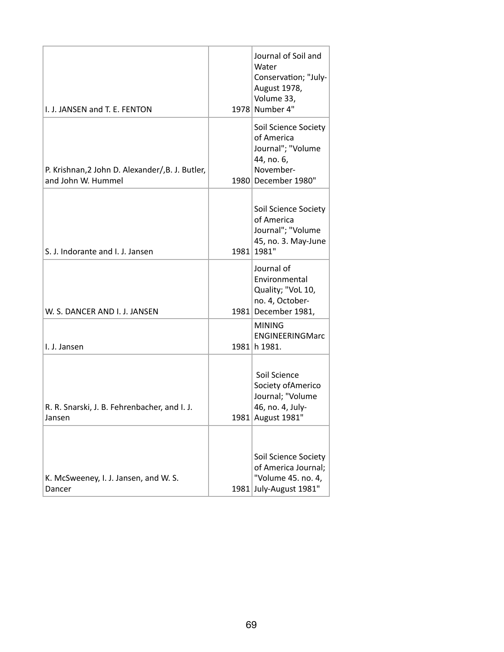| I. J. JANSEN and T. E. FENTON                                          |      | Journal of Soil and<br>Water<br>Conservation; "July-<br>August 1978,<br>Volume 33,<br>1978 Number 4"      |
|------------------------------------------------------------------------|------|-----------------------------------------------------------------------------------------------------------|
| P. Krishnan, 2 John D. Alexander/, B. J. Butler,<br>and John W. Hummel |      | Soil Science Society<br>of America<br>Journal"; "Volume<br>44, no. 6,<br>November-<br>1980 December 1980" |
| S. J. Indorante and I. J. Jansen                                       |      | Soil Science Society<br>of America<br>Journal"; "Volume<br>45, no. 3. May-June<br>1981 1981"              |
| W. S. DANCER AND I. J. JANSEN                                          |      | Journal of<br>Environmental<br>Quality; "VoL 10,<br>no. 4, October-<br>1981 December 1981,                |
| I. J. Jansen                                                           |      | <b>MINING</b><br>ENGINEERINGMarc<br>1981 h 1981.                                                          |
| R. R. Snarski, J. B. Fehrenbacher, and I. J.<br>Jansen                 |      | Soil Science<br>Society of Americo<br>Journal; "Volume<br>46, no. 4, July-<br>1981 August 1981"           |
| K. McSweeney, I. J. Jansen, and W. S.<br>Dancer                        | 1981 | Soil Science Society<br>of America Journal;<br>"Volume 45. no. 4,<br>July-August 1981"                    |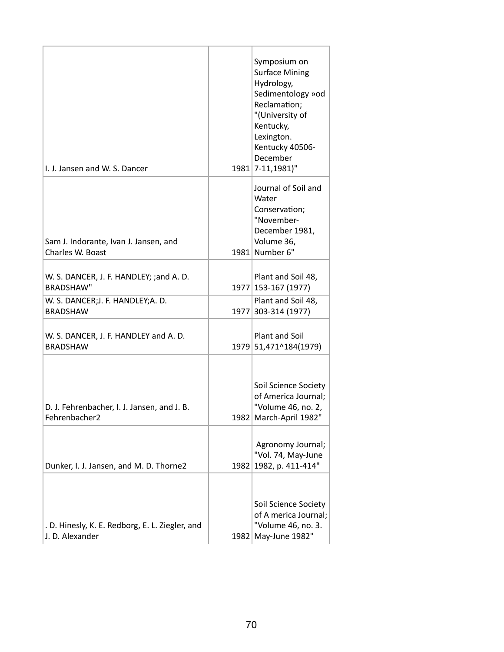| I. J. Jansen and W. S. Dancer                                      |      | Symposium on<br><b>Surface Mining</b><br>Hydrology,<br>Sedimentology »od<br>Reclamation;<br>"(University of<br>Kentucky,<br>Lexington.<br>Kentucky 40506-<br>December<br>1981 7-11,1981)" |
|--------------------------------------------------------------------|------|-------------------------------------------------------------------------------------------------------------------------------------------------------------------------------------------|
| Sam J. Indorante, Ivan J. Jansen, and<br>Charles W. Boast          |      | Journal of Soil and<br>Water<br>Conservation;<br>"November-<br>December 1981,<br>Volume 36,<br>1981 Number 6"                                                                             |
| W. S. DANCER, J. F. HANDLEY; ;and A. D.<br><b>BRADSHAW"</b>        |      | Plant and Soil 48,<br>1977 153-167 (1977)                                                                                                                                                 |
| W. S. DANCER;J. F. HANDLEY;A. D.<br><b>BRADSHAW</b>                | 1977 | Plant and Soil 48,<br>303-314 (1977)                                                                                                                                                      |
| W. S. DANCER, J. F. HANDLEY and A. D.<br><b>BRADSHAW</b>           |      | Plant and Soil<br>1979 51,471^184(1979)                                                                                                                                                   |
| D. J. Fehrenbacher, I. J. Jansen, and J. B.<br>Fehrenbacher2       |      | Soil Science Society<br>of America Journal;<br>"Volume 46, no. 2,<br>1982 March-April 1982"                                                                                               |
| Dunker, I. J. Jansen, and M. D. Thorne2                            | 1982 | Agronomy Journal;<br>"Vol. 74, May-June<br>1982, p. 411-414"                                                                                                                              |
| . D. Hinesly, K. E. Redborg, E. L. Ziegler, and<br>J. D. Alexander | 1982 | Soil Science Society<br>of A merica Journal;<br>"Volume 46, no. 3.<br>May-June 1982"                                                                                                      |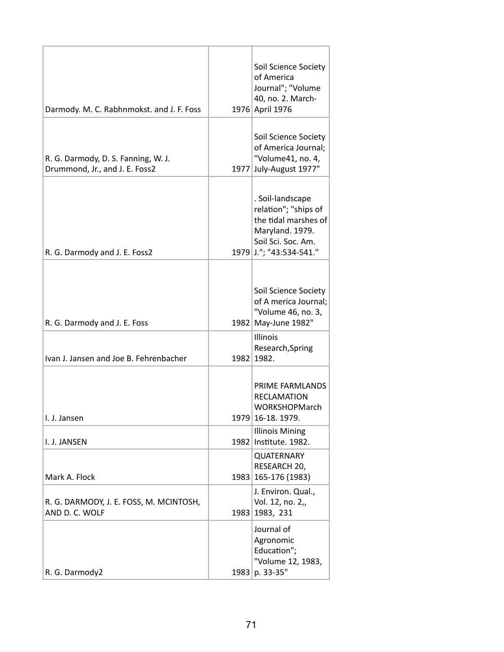| Darmody. M. C. Rabhnmokst. and J. F. Foss                             |      | Soil Science Society<br>of America<br>Journal"; "Volume<br>40, no. 2. March-<br>1976 April 1976                                      |
|-----------------------------------------------------------------------|------|--------------------------------------------------------------------------------------------------------------------------------------|
| R. G. Darmody, D. S. Fanning, W. J.<br>Drummond, Jr., and J. E. Foss2 |      | Soil Science Society<br>of America Journal;<br>"Volume41, no. 4,<br>1977 July-August 1977"                                           |
| R. G. Darmody and J. E. Foss2                                         |      | . Soil-landscape<br>relation"; "ships of<br>the tidal marshes of<br>Maryland. 1979.<br>Soil Sci. Soc. Am.<br>1979 J."; "43:534-541." |
| R. G. Darmody and J. E. Foss                                          |      | Soil Science Society<br>of A merica Journal;<br>"Volume 46, no. 3,<br>1982 May-June 1982"                                            |
| Ivan J. Jansen and Joe B. Fehrenbacher                                |      | Illinois<br>Research, Spring<br>1982 1982.                                                                                           |
| I. J. Jansen                                                          |      | PRIME FARMLANDS<br><b>RECLAMATION</b><br><b>WORKSHOPMarch</b><br>1979 16-18. 1979.                                                   |
| I. J. JANSEN                                                          |      | <b>Illinois Mining</b><br>1982 Institute. 1982.                                                                                      |
| Mark A. Flock                                                         |      | <b>QUATERNARY</b><br>RESEARCH 20,<br>1983 165-176 (1983)                                                                             |
| R. G. DARMODY, J. E. FOSS, M. MCINTOSH,<br>AND D. C. WOLF             | 1983 | J. Environ. Qual.,<br>Vol. 12, no. 2,,<br>1983, 231                                                                                  |
| R. G. Darmody2                                                        | 1983 | Journal of<br>Agronomic<br>Education";<br>"Volume 12, 1983,<br>p. 33-35"                                                             |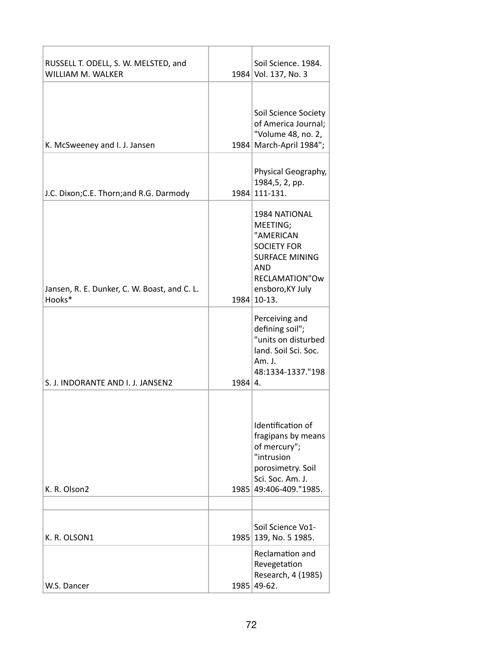| RUSSELL T. ODELL, S. W. MELSTED, and<br>WILLIAM M. WALKER |                | Soil Science. 1984.<br>1984 Vol. 137, No. 3                                                                                                              |
|-----------------------------------------------------------|----------------|----------------------------------------------------------------------------------------------------------------------------------------------------------|
| K. McSweeney and I. J. Jansen                             |                | Soil Science Society<br>of America Journal;<br>"Volume 48, no. 2,<br>1984 March-April 1984";                                                             |
| J.C. Dixon; C.E. Thorn; and R.G. Darmody                  |                | Physical Geography,<br>1984, 5, 2, pp.<br>1984 111-131.                                                                                                  |
| Jansen, R. E. Dunker, C. W. Boast, and C. L.<br>Hooks*    |                | 1984 NATIONAL<br>MEETING;<br>"AMERICAN<br><b>SOCIETY FOR</b><br><b>SURFACE MINING</b><br><b>AND</b><br>RECLAMATION"Ow<br>ensboro, KY July<br>1984 10-13. |
| S. J. INDORANTE AND I. J. JANSEN2                         | $1984 \mid 4.$ | Perceiving and<br>defining soil";<br>"units on disturbed<br>land. Soil Sci. Soc.<br>Am. J.<br>48:1334-1337."198                                          |
| K. R. Olson2                                              |                | Identification of<br>fragipans by means<br>of mercury";<br>"intrusion<br>porosimetry. Soil<br>Sci. Soc. Am. J.<br>1985 49:406-409."1985.                 |
|                                                           |                |                                                                                                                                                          |
| K. R. OLSON1                                              |                | Soil Science Vo1-<br>1985 139, No. 5 1985.                                                                                                               |
| W.S. Dancer                                               |                | Reclamation and<br>Revegetation<br>Research, 4 (1985)<br>1985 49-62.                                                                                     |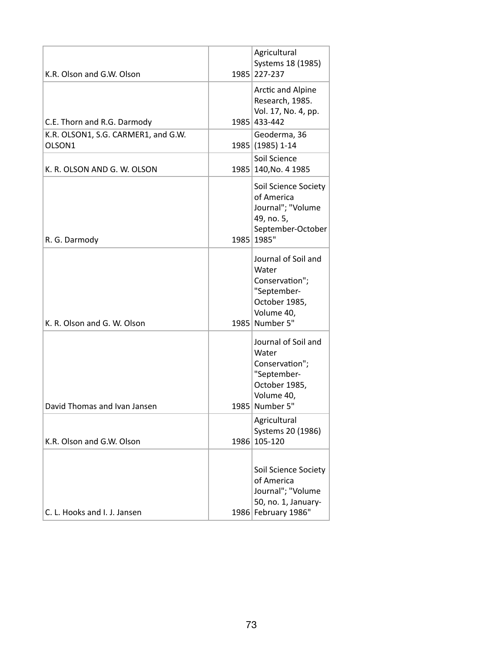| K.R. Olson and G.W. Olson                     | Agricultural<br>Systems 18 (1985)<br>1985 227-237                                                              |
|-----------------------------------------------|----------------------------------------------------------------------------------------------------------------|
| C.E. Thorn and R.G. Darmody                   | Arctic and Alpine<br>Research, 1985.<br>Vol. 17, No. 4, pp.<br>1985 433-442                                    |
| K.R. OLSON1, S.G. CARMER1, and G.W.<br>OLSON1 | Geoderma, 36<br>1985 (1985) 1-14                                                                               |
| K. R. OLSON AND G. W. OLSON                   | Soil Science<br>1985 140, No. 4 1985                                                                           |
| R. G. Darmody                                 | Soil Science Society<br>of America<br>Journal"; "Volume<br>49, no. 5,<br>September-October<br>1985 1985"       |
| K. R. Olson and G. W. Olson                   | Journal of Soil and<br>Water<br>Conservation";<br>"September-<br>October 1985,<br>Volume 40,<br>1985 Number 5" |
| David Thomas and Ivan Jansen                  | Journal of Soil and<br>Water<br>Conservation";<br>"September-<br>October 1985,<br>Volume 40,<br>1985 Number 5" |
| K.R. Olson and G.W. Olson                     | Agricultural<br>Systems 20 (1986)<br>1986 105-120                                                              |
| C. L. Hooks and I. J. Jansen                  | Soil Science Society<br>of America<br>Journal"; "Volume<br>50, no. 1, January-<br>1986 February 1986"          |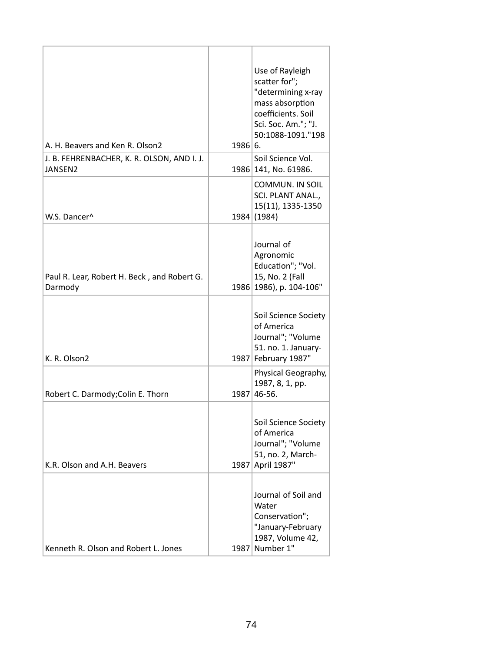| A. H. Beavers and Ken R. Olson2                        | 1986 6. | Use of Rayleigh<br>scatter for";<br>"determining x-ray<br>mass absorption<br>coefficients. Soil<br>Sci. Soc. Am."; "J.<br>50:1088-1091."198 |
|--------------------------------------------------------|---------|---------------------------------------------------------------------------------------------------------------------------------------------|
| J. B. FEHRENBACHER, K. R. OLSON, AND I. J.<br>JANSEN2  |         | Soil Science Vol.<br>1986 141, No. 61986.                                                                                                   |
| W.S. Dancer^                                           |         | <b>COMMUN. IN SOIL</b><br>SCI. PLANT ANAL.,<br>15(11), 1335-1350<br>1984 (1984)                                                             |
| Paul R. Lear, Robert H. Beck, and Robert G.<br>Darmody |         | Journal of<br>Agronomic<br>Education"; "Vol.<br>15, No. 2 (Fall<br>1986 1986), p. 104-106"                                                  |
| K. R. Olson2                                           |         | Soil Science Society<br>of America<br>Journal"; "Volume<br>51. no. 1. January-<br>1987 February 1987"                                       |
| Robert C. Darmody; Colin E. Thorn                      |         | Physical Geography,<br>1987, 8, 1, pp.<br>1987 46-56.                                                                                       |
| K.R. Olson and A.H. Beavers                            |         | Soil Science Society<br>of America<br>Journal": "Volume<br>51, no. 2, March-<br>1987 April 1987"                                            |
| Kenneth R. Olson and Robert L. Jones                   |         | Journal of Soil and<br>Water<br>Conservation";<br>"January-February<br>1987, Volume 42,<br>1987 Number 1"                                   |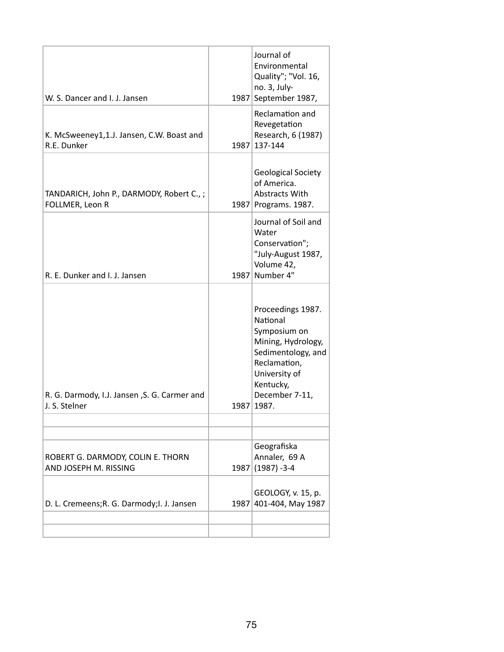| W. S. Dancer and I. J. Jansen                                 |      | Journal of<br>Environmental<br>Quality"; "Vol. 16,<br>no. 3, July-<br>1987 September 1987,                                                                         |
|---------------------------------------------------------------|------|--------------------------------------------------------------------------------------------------------------------------------------------------------------------|
| K. McSweeney1,1.J. Jansen, C.W. Boast and<br>R.E. Dunker      | 1987 | Reclamation and<br>Revegetation<br>Research, 6 (1987)<br>137-144                                                                                                   |
| TANDARICH, John P., DARMODY, Robert C.,;<br>FOLLMER, Leon R   |      | <b>Geological Society</b><br>of America.<br>Abstracts With<br>1987 Programs. 1987.                                                                                 |
| R. E. Dunker and I. J. Jansen                                 | 1987 | Journal of Soil and<br>Water<br>Conservation";<br>"July-August 1987,<br>Volume 42,<br>Number 4"                                                                    |
| R. G. Darmody, I.J. Jansen, S. G. Carmer and<br>J. S. Stelner | 1987 | Proceedings 1987.<br>National<br>Symposium on<br>Mining, Hydrology,<br>Sedimentology, and<br>Reclamation,<br>University of<br>Kentucky,<br>December 7-11,<br>1987. |
|                                                               |      |                                                                                                                                                                    |
| ROBERT G. DARMODY, COLIN E. THORN<br>AND JOSEPH M. RISSING    | 1987 | Geografiska<br>Annaler, 69 A<br>$(1987) -3-4$                                                                                                                      |
| D. L. Cremeens; R. G. Darmody; I. J. Jansen                   |      | GEOLOGY, v. 15, p.<br>1987 401-404, May 1987                                                                                                                       |
|                                                               |      |                                                                                                                                                                    |
|                                                               |      |                                                                                                                                                                    |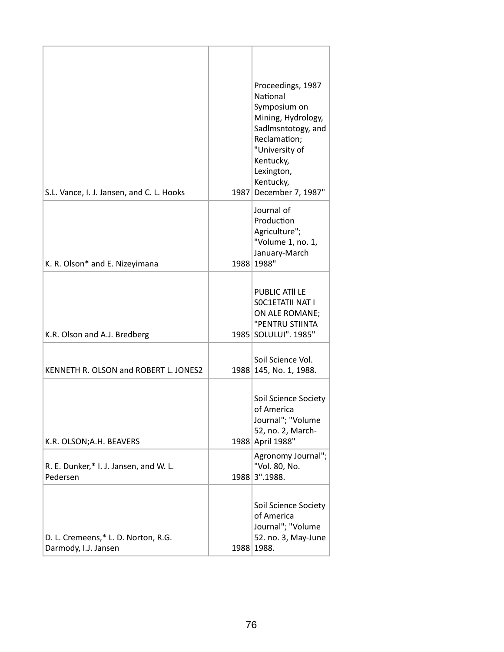| S.L. Vance, I. J. Jansen, and C. L. Hooks                   | 1987 | Proceedings, 1987<br>National<br>Symposium on<br>Mining, Hydrology,<br>Sadlmsntotogy, and<br>Reclamation;<br>"University of<br>Kentucky,<br>Lexington,<br>Kentucky,<br>December 7, 1987" |
|-------------------------------------------------------------|------|------------------------------------------------------------------------------------------------------------------------------------------------------------------------------------------|
| K. R. Olson* and E. Nizeyimana                              |      | Journal of<br>Production<br>Agriculture";<br>"Volume 1, no. 1,<br>January-March<br>1988 1988"                                                                                            |
| K.R. Olson and A.J. Bredberg                                |      | PUBLIC ATII LE<br>SOC1ETATII NAT I<br>ON ALE ROMANE;<br>"PENTRU STIINTA<br>1985 SOLULUI". 1985"                                                                                          |
| KENNETH R. OLSON and ROBERT L. JONES2                       |      | Soil Science Vol.<br>1988 145, No. 1, 1988.                                                                                                                                              |
| K.R. OLSON; A.H. BEAVERS                                    |      | Soil Science Society<br>of America<br>Journal"; "Volume<br>52, no. 2, March-<br>1988 April 1988"                                                                                         |
| R. E. Dunker,* I. J. Jansen, and W. L.<br>Pedersen          | 1988 | Agronomy Journal";<br>"Vol. 80, No.<br>3".1988.                                                                                                                                          |
| D. L. Cremeens,* L. D. Norton, R.G.<br>Darmody, I.J. Jansen |      | Soil Science Society<br>of America<br>Journal"; "Volume<br>52. no. 3, May-June<br>1988 1988.                                                                                             |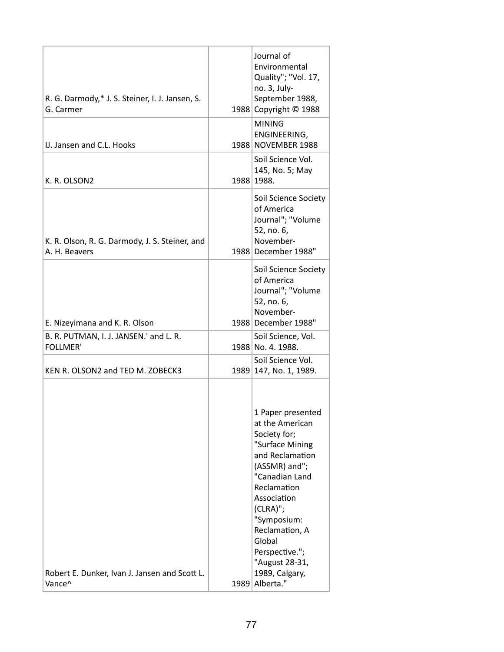| R. G. Darmody,* J. S. Steiner, I. J. Jansen, S.<br>G. Carmer    | Journal of<br>Environmental<br>Quality"; "Vol. 17,<br>no. 3, July-<br>September 1988,<br>1988 Copyright © 1988                                                                                                                                                                                |
|-----------------------------------------------------------------|-----------------------------------------------------------------------------------------------------------------------------------------------------------------------------------------------------------------------------------------------------------------------------------------------|
| IJ. Jansen and C.L. Hooks                                       | <b>MINING</b><br>ENGINEERING,<br>1988 NOVEMBER 1988                                                                                                                                                                                                                                           |
| K. R. OLSON2                                                    | Soil Science Vol.<br>145, No. 5; May<br>1988 1988.                                                                                                                                                                                                                                            |
| K. R. Olson, R. G. Darmody, J. S. Steiner, and<br>A. H. Beavers | Soil Science Society<br>of America<br>Journal"; "Volume<br>52, no. 6,<br>November-<br>1988 December 1988"                                                                                                                                                                                     |
| E. Nizeyimana and K. R. Olson                                   | Soil Science Society<br>of America<br>Journal"; "Volume<br>52, no. 6,<br>November-<br>1988 December 1988"                                                                                                                                                                                     |
| B. R. PUTMAN, I. J. JANSEN.' and L. R.<br><b>FOLLMER'</b>       | Soil Science, Vol.<br>1988 No. 4. 1988.                                                                                                                                                                                                                                                       |
|                                                                 | Soil Science Vol.                                                                                                                                                                                                                                                                             |
| KEN R. OLSON2 and TED M. ZOBECK3                                | 1989 147, No. 1, 1989.                                                                                                                                                                                                                                                                        |
| Robert E. Dunker, Ivan J. Jansen and Scott L.<br>Vance^         | 1 Paper presented<br>at the American<br>Society for;<br>"Surface Mining<br>and Reclamation<br>(ASSMR) and";<br>"Canadian Land<br>Reclamation<br>Association<br>$(CLRA)$ ";<br>"Symposium:<br>Reclamation, A<br>Global<br>Perspective.";<br>"August 28-31,<br>1989, Calgary,<br>1989 Alberta." |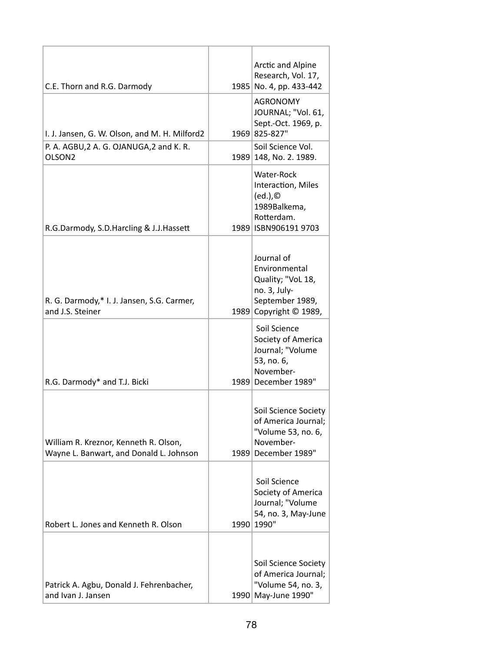|                                                                                  |      | Arctic and Alpine                                                                                             |
|----------------------------------------------------------------------------------|------|---------------------------------------------------------------------------------------------------------------|
| C.E. Thorn and R.G. Darmody                                                      |      | Research, Vol. 17,<br>1985 No. 4, pp. 433-442                                                                 |
|                                                                                  |      | <b>AGRONOMY</b>                                                                                               |
|                                                                                  |      | JOURNAL; "Vol. 61,                                                                                            |
| I. J. Jansen, G. W. Olson, and M. H. Milford2                                    |      | Sept.-Oct. 1969, p.<br>1969 825-827"                                                                          |
| P. A. AGBU, 2 A. G. OJANUGA, 2 and K. R.                                         |      | Soil Science Vol.                                                                                             |
| OLSON <sub>2</sub>                                                               |      | 1989 148, No. 2. 1989.                                                                                        |
| R.G.Darmody, S.D.Harcling & J.J.Hassett                                          |      | Water-Rock<br>Interaction, Miles<br>(ed.),<br>1989Balkema,<br>Rotterdam.<br>1989   ISBN 906191 9703           |
|                                                                                  |      |                                                                                                               |
| R. G. Darmody,* I. J. Jansen, S.G. Carmer,<br>and J.S. Steiner                   |      | Journal of<br>Environmental<br>Quality; "VoL 18,<br>no. 3, July-<br>September 1989,<br>1989 Copyright © 1989, |
| R.G. Darmody* and T.J. Bicki                                                     |      | Soil Science<br>Society of America<br>Journal; "Volume<br>53, no. 6,<br>November-<br>1989 December 1989"      |
|                                                                                  |      |                                                                                                               |
| William R. Kreznor, Kenneth R. Olson,<br>Wayne L. Banwart, and Donald L. Johnson |      | Soil Science Society<br>of America Journal;<br>"Volume 53, no. 6,<br>November-<br>1989 December 1989"         |
| Robert L. Jones and Kenneth R. Olson                                             |      | Soil Science<br>Society of America<br>Journal; "Volume<br>54, no. 3, May-June<br>1990 1990"                   |
|                                                                                  |      |                                                                                                               |
| Patrick A. Agbu, Donald J. Fehrenbacher,<br>and Ivan J. Jansen                   | 1990 | Soil Science Society<br>of America Journal;<br>"Volume 54, no. 3,<br>May-June 1990"                           |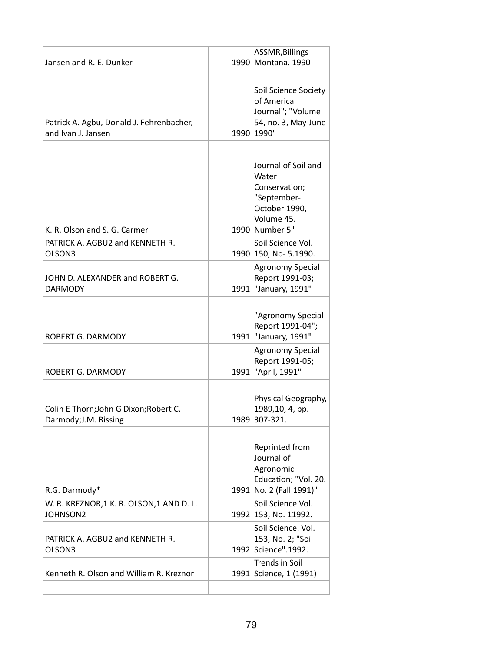|                                                                 | ASSMR, Billings                                                                                               |
|-----------------------------------------------------------------|---------------------------------------------------------------------------------------------------------------|
| Jansen and R. E. Dunker                                         | 1990 Montana. 1990                                                                                            |
| Patrick A. Agbu, Donald J. Fehrenbacher,<br>and Ivan J. Jansen  | Soil Science Society<br>of America<br>Journal"; "Volume<br>54, no. 3, May-June<br>1990 1990"                  |
|                                                                 |                                                                                                               |
| K. R. Olson and S. G. Carmer                                    | Journal of Soil and<br>Water<br>Conservation;<br>"September-<br>October 1990,<br>Volume 45.<br>1990 Number 5" |
| PATRICK A. AGBU2 and KENNETH R.                                 | Soil Science Vol.                                                                                             |
| OLSON3                                                          | 1990 150, No- 5.1990.                                                                                         |
| JOHN D. ALEXANDER and ROBERT G.<br><b>DARMODY</b>               | <b>Agronomy Special</b><br>Report 1991-03;<br>1991   "January, 1991"                                          |
| <b>ROBERT G. DARMODY</b>                                        | "Agronomy Special<br>Report 1991-04";<br>1991   "January, 1991"                                               |
| <b>ROBERT G. DARMODY</b>                                        | <b>Agronomy Special</b><br>Report 1991-05;<br>1991   "April, 1991"                                            |
| Colin E Thorn; John G Dixon; Robert C.<br>Darmody; J.M. Rissing | Physical Geography,<br>1989,10, 4, pp.<br>1989 307-321.                                                       |
| R.G. Darmody*                                                   | Reprinted from<br>Journal of<br>Agronomic<br>Education; "Vol. 20.<br>1991 No. 2 (Fall 1991)"                  |
| W. R. KREZNOR, 1 K. R. OLSON, 1 AND D. L.<br>JOHNSON2           | Soil Science Vol.<br>1992 153, No. 11992.                                                                     |
| PATRICK A. AGBU2 and KENNETH R.<br>OLSON3                       | Soil Science. Vol.<br>153, No. 2; "Soil<br>1992 Science".1992.                                                |
| Kenneth R. Olson and William R. Kreznor                         | <b>Trends in Soil</b><br>1991 Science, 1 (1991)                                                               |
|                                                                 |                                                                                                               |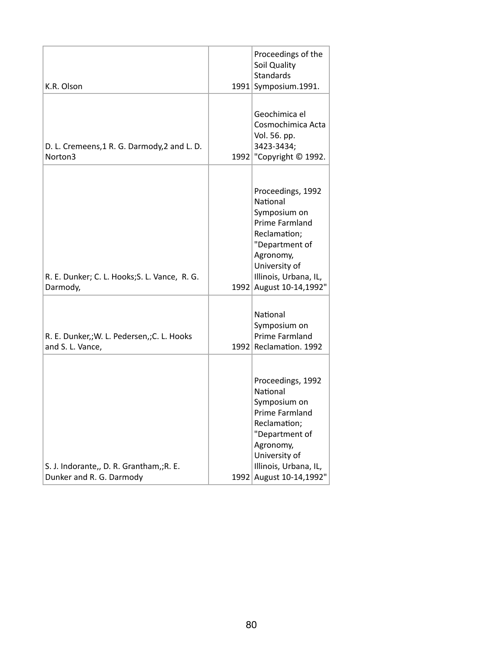| K.R. Olson                                                           | Proceedings of the<br>Soil Quality<br><b>Standards</b><br>1991 Symposium.1991.                                                                                                      |
|----------------------------------------------------------------------|-------------------------------------------------------------------------------------------------------------------------------------------------------------------------------------|
| D. L. Cremeens, 1 R. G. Darmody, 2 and L. D.<br>Norton3              | Geochimica el<br>Cosmochimica Acta<br>Vol. 56. pp.<br>3423-3434;<br>1992   "Copyright © 1992.                                                                                       |
| R. E. Dunker; C. L. Hooks; S. L. Vance, R. G.<br>Darmody,            | Proceedings, 1992<br>National<br>Symposium on<br>Prime Farmland<br>Reclamation;<br>"Department of<br>Agronomy,<br>University of<br>Illinois, Urbana, IL,<br>1992 August 10-14,1992" |
| R. E. Dunker,; W. L. Pedersen,; C. L. Hooks<br>and S. L. Vance,      | National<br>Symposium on<br><b>Prime Farmland</b><br>1992 Reclamation. 1992                                                                                                         |
| S. J. Indorante,, D. R. Grantham,; R. E.<br>Dunker and R. G. Darmody | Proceedings, 1992<br>National<br>Symposium on<br>Prime Farmland<br>Reclamation;<br>"Department of<br>Agronomy,<br>University of<br>Illinois, Urbana, IL,<br>1992 August 10-14,1992" |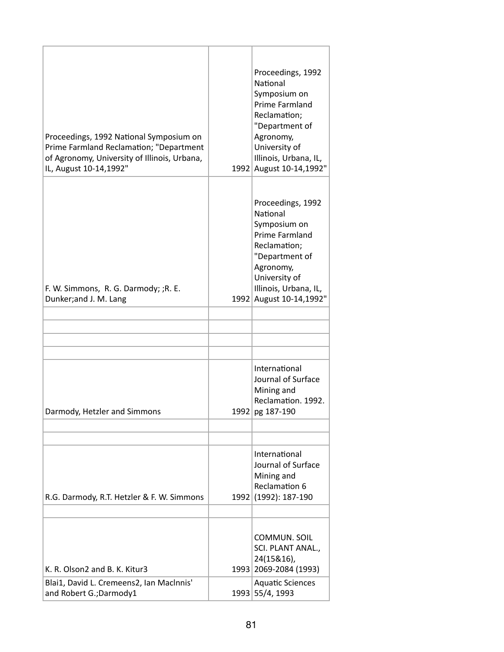| Proceedings, 1992 National Symposium on<br>Prime Farmland Reclamation; "Department<br>of Agronomy, University of Illinois, Urbana,<br>IL, August 10-14,1992" |      | Proceedings, 1992<br>National<br>Symposium on<br>Prime Farmland<br>Reclamation;<br>"Department of<br>Agronomy,<br>University of<br>Illinois, Urbana, IL,<br>1992 August 10-14,1992"   |
|--------------------------------------------------------------------------------------------------------------------------------------------------------------|------|---------------------------------------------------------------------------------------------------------------------------------------------------------------------------------------|
| F. W. Simmons, R. G. Darmody; ;R. E.<br>Dunker;and J. M. Lang                                                                                                | 1992 | Proceedings, 1992<br><b>National</b><br>Symposium on<br>Prime Farmland<br>Reclamation;<br>"Department of<br>Agronomy,<br>University of<br>Illinois, Urbana, IL,<br>August 10-14,1992" |
|                                                                                                                                                              |      |                                                                                                                                                                                       |
| Darmody, Hetzler and Simmons                                                                                                                                 | 1992 | International<br>Journal of Surface<br>Mining and<br>Reclamation. 1992.<br>pg 187-190                                                                                                 |
|                                                                                                                                                              |      |                                                                                                                                                                                       |
| R.G. Darmody, R.T. Hetzler & F. W. Simmons                                                                                                                   | 1992 | International<br>Journal of Surface<br>Mining and<br>Reclamation 6<br>(1992): 187-190                                                                                                 |
| K. R. Olson2 and B. K. Kitur3                                                                                                                                |      | COMMUN. SOIL<br>SCI. PLANT ANAL.,<br>24(15&16),<br>1993 2069-2084 (1993)                                                                                                              |
| Blai1, David L. Cremeens2, Ian MacInnis'<br>and Robert G.; Darmody1                                                                                          |      | <b>Aquatic Sciences</b><br>1993 55/4, 1993                                                                                                                                            |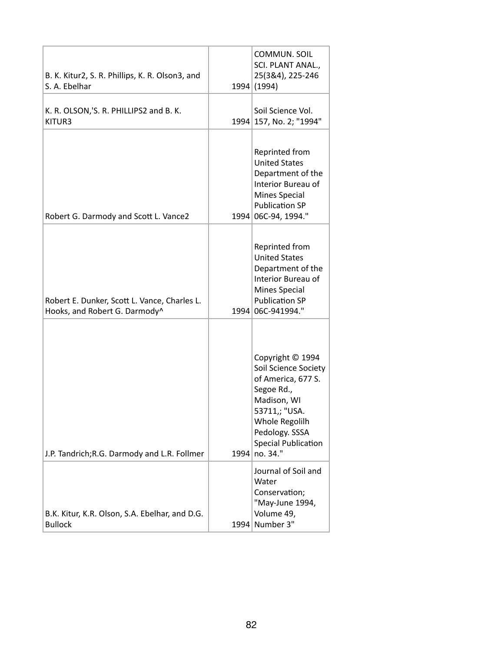| B. K. Kitur2, S. R. Phillips, K. R. Olson3, and<br>S. A. Ebelhar              | COMMUN. SOIL<br>SCI. PLANT ANAL.,<br>25(3&4), 225-246<br>1994 (1994)                                                                                                                            |
|-------------------------------------------------------------------------------|-------------------------------------------------------------------------------------------------------------------------------------------------------------------------------------------------|
| K. R. OLSON,'S. R. PHILLIPS2 and B. K.<br>KITUR3                              | Soil Science Vol.<br>1994 157, No. 2; "1994"                                                                                                                                                    |
| Robert G. Darmody and Scott L. Vance2                                         | Reprinted from<br><b>United States</b><br>Department of the<br>Interior Bureau of<br><b>Mines Special</b><br><b>Publication SP</b><br>1994 06C-94, 1994."                                       |
| Robert E. Dunker, Scott L. Vance, Charles L.<br>Hooks, and Robert G. Darmody^ | Reprinted from<br><b>United States</b><br>Department of the<br>Interior Bureau of<br><b>Mines Special</b><br><b>Publication SP</b><br>1994 06C-941994."                                         |
| J.P. Tandrich; R.G. Darmody and L.R. Follmer                                  | Copyright © 1994<br>Soil Science Society<br>of America, 677 S.<br>Segoe Rd.,<br>Madison, WI<br>53711,; "USA.<br>Whole Regolilh<br>Pedology. SSSA<br><b>Special Publication</b><br>1994 no. 34." |
| B.K. Kitur, K.R. Olson, S.A. Ebelhar, and D.G.<br><b>Bullock</b>              | Journal of Soil and<br>Water<br>Conservation;<br>"May-June 1994,<br>Volume 49,<br>1994 Number 3"                                                                                                |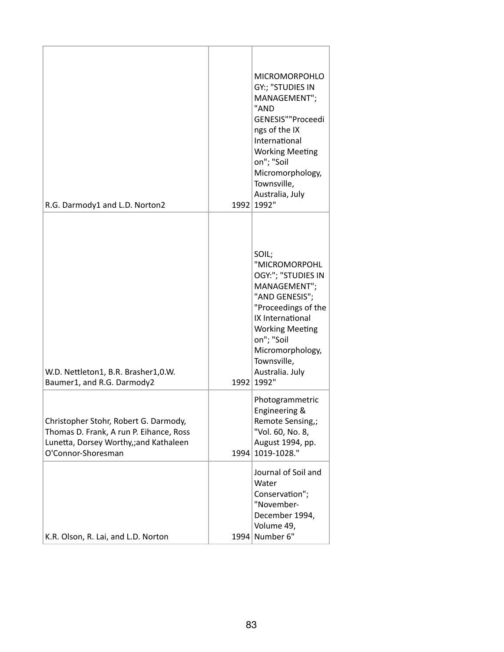| R.G. Darmody1 and L.D. Norton2                                                                                                                  |      | <b>MICROMORPOHLO</b><br>GY:; "STUDIES IN<br>MANAGEMENT";<br>"AND<br>GENESIS""Proceedi<br>ngs of the IX<br>International<br><b>Working Meeting</b><br>on"; "Soil<br>Micromorphology,<br>Townsville,<br>Australia, July<br>1992 1992"   |
|-------------------------------------------------------------------------------------------------------------------------------------------------|------|---------------------------------------------------------------------------------------------------------------------------------------------------------------------------------------------------------------------------------------|
| W.D. Nettleton1, B.R. Brasher1,0.W.<br>Baumer1, and R.G. Darmody2                                                                               |      | SOIL;<br>"MICROMORPOHL<br>OGY:"; "STUDIES IN<br>MANAGEMENT";<br>"AND GENESIS";<br>"Proceedings of the<br>IX International<br><b>Working Meeting</b><br>on"; "Soil<br>Micromorphology,<br>Townsville,<br>Australia. July<br>1992 1992" |
| Christopher Stohr, Robert G. Darmody,<br>Thomas D. Frank, A run P. Eihance, Ross<br>Lunetta, Dorsey Worthy,;and Kathaleen<br>O'Connor-Shoresman | 1994 | Photogrammetric<br>Engineering &<br>Remote Sensing,;<br>"Vol. 60, No. 8,<br>August 1994, pp.<br>1019-1028."                                                                                                                           |
| K.R. Olson, R. Lai, and L.D. Norton                                                                                                             | 1994 | Journal of Soil and<br>Water<br>Conservation";<br>"November-<br>December 1994,<br>Volume 49,<br>Number 6"                                                                                                                             |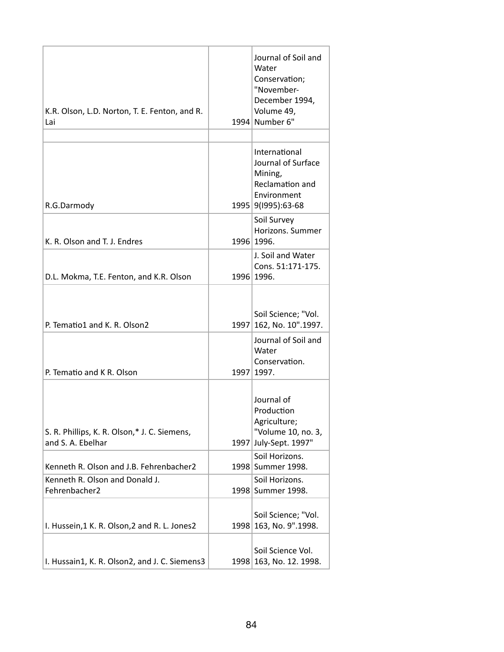| K.R. Olson, L.D. Norton, T. E. Fenton, and R.<br>Lai              |      | Journal of Soil and<br>Water<br>Conservation;<br>"November-<br>December 1994,<br>Volume 49,<br>1994 Number 6" |
|-------------------------------------------------------------------|------|---------------------------------------------------------------------------------------------------------------|
|                                                                   |      |                                                                                                               |
| R.G.Darmody                                                       |      | International<br>Journal of Surface<br>Mining,<br>Reclamation and<br>Environment<br>1995 9(1995):63-68        |
| K. R. Olson and T. J. Endres                                      |      | Soil Survey<br>Horizons. Summer<br>1996 1996.                                                                 |
| D.L. Mokma, T.E. Fenton, and K.R. Olson                           |      | J. Soil and Water<br>Cons. 51:171-175.<br>1996 1996.                                                          |
| P. Tematio1 and K. R. Olson2                                      |      | Soil Science; "Vol.<br>1997 162, No. 10".1997.<br>Journal of Soil and                                         |
| P. Tematio and K R. Olson                                         |      | Water<br>Conservation.<br>1997 1997.                                                                          |
| S. R. Phillips, K. R. Olson,* J. C. Siemens,<br>and S. A. Ebelhar | 1997 | Journal of<br>Production<br>Agriculture;<br>"Volume 10, no. 3,<br>July-Sept. 1997"                            |
| Kenneth R. Olson and J.B. Fehrenbacher2                           |      | Soil Horizons.<br>1998 Summer 1998.                                                                           |
| Kenneth R. Olson and Donald J.<br>Fehrenbacher2                   |      | Soil Horizons.<br>1998 Summer 1998.                                                                           |
| I. Hussein, 1 K. R. Olson, 2 and R. L. Jones2                     | 1998 | Soil Science; "Vol.<br>163, No. 9".1998.                                                                      |
| I. Hussain1, K. R. Olson2, and J. C. Siemens3                     |      | Soil Science Vol.<br>1998 163, No. 12. 1998.                                                                  |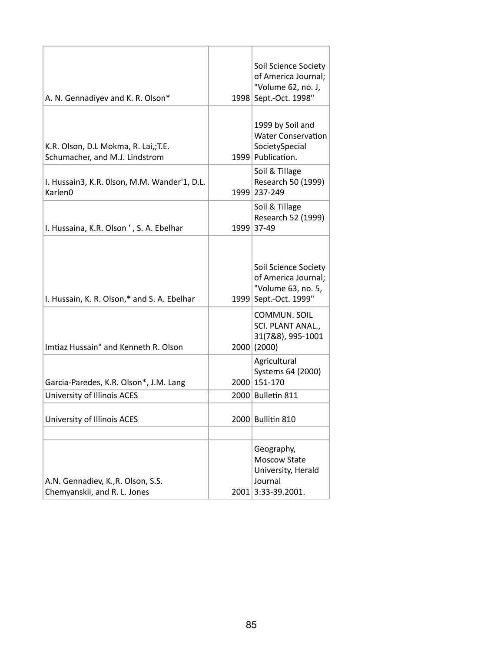| A. N. Gennadiyev and K. R. Olson*                                      | Soil Science Society<br>of America Journal;<br>"Volume 62, no. J,<br>1998 Sept.-Oct. 1998" |
|------------------------------------------------------------------------|--------------------------------------------------------------------------------------------|
| K.R. Olson, D.L Mokma, R. Lai,; T.E.<br>Schumacher, and M.J. Lindstrom | 1999 by Soil and<br><b>Water Conservation</b><br>SocietySpecial<br>1999 Publication.       |
| I. Hussain3, K.R. Olson, M.M. Wander'1, D.L.<br>Karlen <sub>0</sub>    | Soil & Tillage<br>Research 50 (1999)<br>1999 237-249                                       |
| I. Hussaina, K.R. Olson ', S. A. Ebelhar                               | Soil & Tillage<br>Research 52 (1999)<br>1999 37-49                                         |
| I. Hussain, K. R. Olson,* and S. A. Ebelhar                            | Soil Science Society<br>of America Journal;<br>"Volume 63, no. 5,<br>1999 Sept.-Oct. 1999" |
| Imtiaz Hussain" and Kenneth R. Olson                                   | COMMUN. SOIL<br>SCI. PLANT ANAL.,<br>31(7&8), 995-1001<br>2000(2000)                       |
| Garcia-Paredes, K.R. Olson*, J.M. Lang                                 | Agricultural<br>Systems 64 (2000)<br>2000 151-170                                          |
| University of Illinois ACES                                            | 2000 Bulletin 811                                                                          |
| University of Illinois ACES                                            | 2000 Bullitin 810                                                                          |
| A.N. Gennadiev, K., R. Olson, S.S.<br>Chemyanskii, and R. L. Jones     | Geography,<br>Moscow State<br>University, Herald<br>Journal<br>2001 3:33-39.2001.          |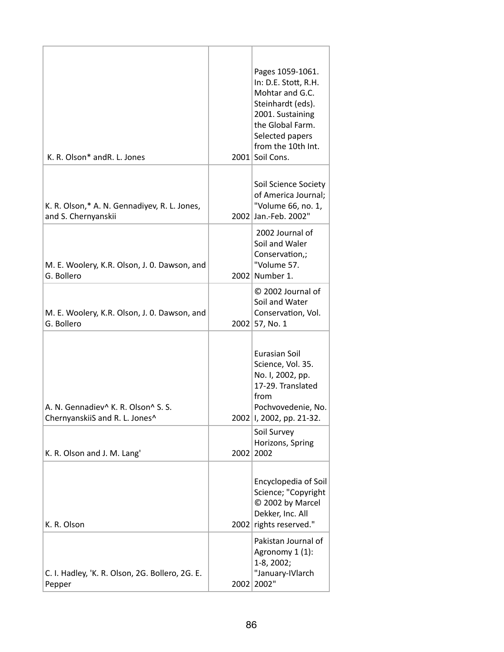| K. R. Olson* and R. L. Jones                                                                  |      | Pages 1059-1061.<br>In: D.E. Stott, R.H.<br>Mohtar and G.C.<br>Steinhardt (eds).<br>2001. Sustaining<br>the Global Farm.<br>Selected papers<br>from the 10th Int.<br>2001 Soil Cons. |
|-----------------------------------------------------------------------------------------------|------|--------------------------------------------------------------------------------------------------------------------------------------------------------------------------------------|
| K. R. Olson,* A. N. Gennadiyev, R. L. Jones,<br>and S. Chernyanskii                           |      | Soil Science Society<br>of America Journal;<br>"Volume 66, no. 1,<br>2002 Jan.-Feb. 2002"                                                                                            |
| M. E. Woolery, K.R. Olson, J. O. Dawson, and<br>G. Bollero                                    |      | 2002 Journal of<br>Soil and Waler<br>Conservation,;<br>"Volume 57.<br>2002 Number 1.                                                                                                 |
| M. E. Woolery, K.R. Olson, J. O. Dawson, and<br>G. Bollero                                    |      | © 2002 Journal of<br>Soil and Water<br>Conservation, Vol.<br>2002 57, No. 1                                                                                                          |
| A. N. Gennadiev <sup>^</sup> K. R. Olson <sup>^</sup> S. S.<br>ChernyanskiiS and R. L. Jones^ |      | Eurasian Soil<br>Science, Vol. 35.<br>No. I, 2002, pp.<br>17-29. Translated<br>from<br>Pochvovedenie, No.<br>2002   I, 2002, pp. 21-32.                                              |
| K. R. Olson and J. M. Lang'                                                                   | 2002 | Soil Survey<br>Horizons, Spring<br>2002                                                                                                                                              |
| K. R. Olson                                                                                   |      | Encyclopedia of Soil<br>Science; "Copyright<br>C 2002 by Marcel<br>Dekker, Inc. All<br>2002 rights reserved."                                                                        |
| C. I. Hadley, 'K. R. Olson, 2G. Bollero, 2G. E.<br>Pepper                                     |      | Pakistan Journal of<br>Agronomy 1 (1):<br>$1-8, 2002;$<br>"January-IVlarch<br>2002 2002"                                                                                             |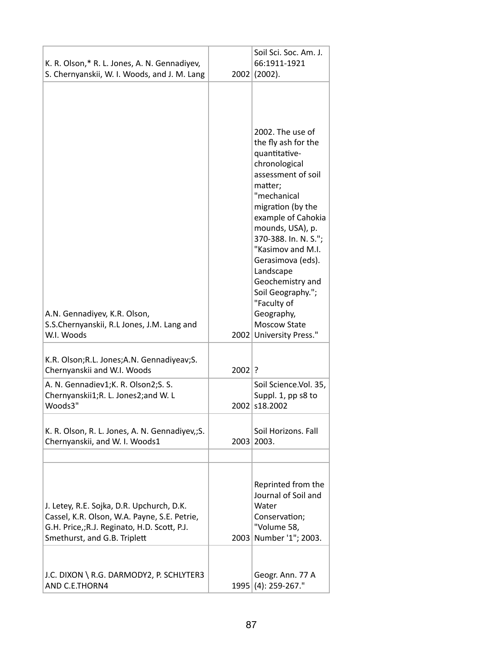| K. R. Olson,* R. L. Jones, A. N. Gennadiyev,<br>S. Chernyanskii, W. I. Woods, and J. M. Lang                                                                             | 2002     | Soil Sci. Soc. Am. J.<br>66:1911-1921<br>(2002).                                                                                                                                                                                                                                                                                                                                                |
|--------------------------------------------------------------------------------------------------------------------------------------------------------------------------|----------|-------------------------------------------------------------------------------------------------------------------------------------------------------------------------------------------------------------------------------------------------------------------------------------------------------------------------------------------------------------------------------------------------|
| A.N. Gennadiyev, K.R. Olson,<br>S.S.Chernyanskii, R.L Jones, J.M. Lang and<br>W.I. Woods                                                                                 |          | 2002. The use of<br>the fly ash for the<br>quantitative-<br>chronological<br>assessment of soil<br>matter;<br>"mechanical<br>migration (by the<br>example of Cahokia<br>mounds, USA), p.<br>370-388. In. N. S.";<br>"Kasimov and M.I.<br>Gerasimova (eds).<br>Landscape<br>Geochemistry and<br>Soil Geography.";<br>"Faculty of<br>Geography,<br><b>Moscow State</b><br>2002 University Press." |
| K.R. Olson; R.L. Jones; A.N. Gennadiyeav; S.<br>Chernyanskii and W.I. Woods                                                                                              | $2002$ ? |                                                                                                                                                                                                                                                                                                                                                                                                 |
| A. N. Gennadiev1;K. R. Olson2;S. S.<br>Chernyanskii1;R. L. Jones2;and W. L<br>Woods3"                                                                                    |          | Soil Science.Vol. 35,<br>Suppl. 1, pp s8 to<br>2002 s18.2002                                                                                                                                                                                                                                                                                                                                    |
| K. R. Olson, R. L. Jones, A. N. Gennadiyev,; S.<br>Chernyanskii, and W. I. Woods1                                                                                        |          | Soil Horizons. Fall<br>2003 2003.                                                                                                                                                                                                                                                                                                                                                               |
| J. Letey, R.E. Sojka, D.R. Upchurch, D.K.<br>Cassel, K.R. Olson, W.A. Payne, S.E. Petrie,<br>G.H. Price,;R.J. Reginato, H.D. Scott, P.J.<br>Smethurst, and G.B. Triplett |          | Reprinted from the<br>Journal of Soil and<br>Water<br>Conservation;<br>"Volume 58,<br>2003 Number '1"; 2003.                                                                                                                                                                                                                                                                                    |
| J.C. DIXON \ R.G. DARMODY2, P. SCHLYTER3<br>AND C.E.THORN4                                                                                                               |          | Geogr. Ann. 77 A<br>1995 (4): 259-267."                                                                                                                                                                                                                                                                                                                                                         |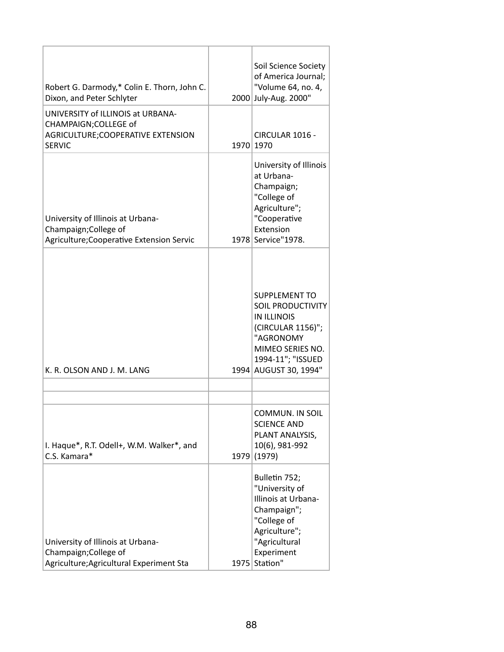| Robert G. Darmody,* Colin E. Thorn, John C.<br>Dixon, and Peter Schlyter<br>UNIVERSITY of ILLINOIS at URBANA- | Soil Science Society<br>of America Journal;<br>"Volume 64, no. 4,<br>2000 July-Aug. 2000"                                                                                  |
|---------------------------------------------------------------------------------------------------------------|----------------------------------------------------------------------------------------------------------------------------------------------------------------------------|
| CHAMPAIGN; COLLEGE of<br>AGRICULTURE;COOPERATIVE EXTENSION<br><b>SERVIC</b>                                   | CIRCULAR 1016 -<br>1970 1970                                                                                                                                               |
| University of Illinois at Urbana-<br>Champaign; College of<br>Agriculture; Cooperative Extension Servic       | University of Illinois<br>at Urbana-<br>Champaign;<br>"College of<br>Agriculture";<br>"Cooperative<br>Extension<br>1978 Service" 1978.                                     |
| K. R. OLSON AND J. M. LANG                                                                                    | <b>SUPPLEMENT TO</b><br><b>SOIL PRODUCTIVITY</b><br><b>IN ILLINOIS</b><br>(CIRCULAR 1156)";<br>"AGRONOMY<br>MIMEO SERIES NO.<br>1994-11"; "ISSUED<br>1994 AUGUST 30, 1994" |
|                                                                                                               |                                                                                                                                                                            |
| I. Haque*, R.T. Odell+, W.M. Walker*, and<br>C.S. Kamara*                                                     | COMMUN. IN SOIL<br><b>SCIENCE AND</b><br>PLANT ANALYSIS,<br>10(6), 981-992<br>1979 (1979)                                                                                  |
| University of Illinois at Urbana-<br>Champaign; College of<br>Agriculture; Agricultural Experiment Sta        | Bulletin 752;<br>"University of<br>Illinois at Urbana-<br>Champaign";<br>"College of<br>Agriculture";<br>"Agricultural<br>Experiment<br>1975 Station"                      |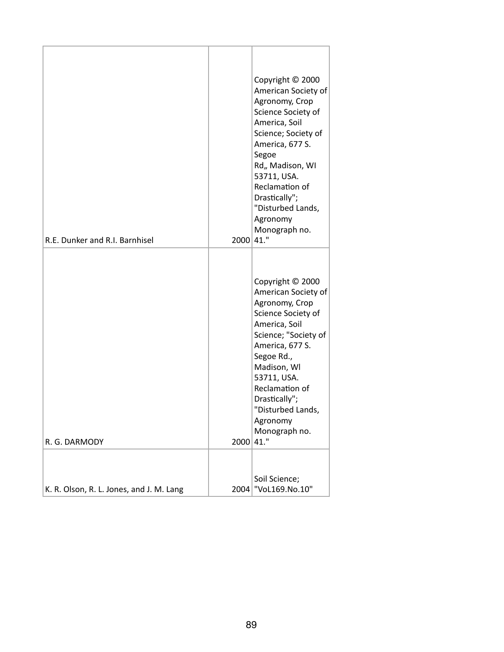| R.E. Dunker and R.I. Barnhisel           | 2000 41." | Copyright © 2000<br>American Society of<br>Agronomy, Crop<br>Science Society of<br>America, Soil<br>Science; Society of<br>America, 677 S.<br>Segoe<br>Rd,, Madison, WI<br>53711, USA.<br>Reclamation of<br>Drastically";<br>"Disturbed Lands,<br>Agronomy<br>Monograph no.  |
|------------------------------------------|-----------|------------------------------------------------------------------------------------------------------------------------------------------------------------------------------------------------------------------------------------------------------------------------------|
| R. G. DARMODY                            | 2000 41." | Copyright © 2000<br>American Society of<br>Agronomy, Crop<br>Science Society of<br>America, Soil<br>Science; "Society of<br>America, 677 S.<br>Segoe Rd.,<br>Madison, WI<br>53711, USA.<br>Reclamation of<br>Drastically";<br>"Disturbed Lands,<br>Agronomy<br>Monograph no. |
| K. R. Olson, R. L. Jones, and J. M. Lang |           | Soil Science;<br>2004 VoL169.No.10"                                                                                                                                                                                                                                          |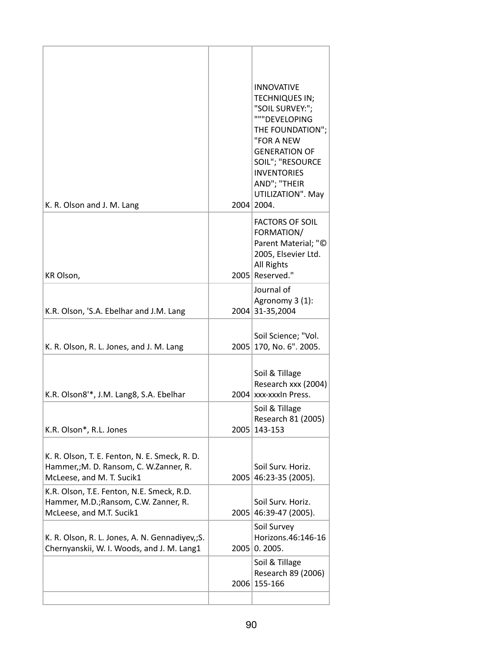| K. R. Olson and J. M. Lang                                                                                           |      | <b>INNOVATIVE</b><br>TECHNIQUES IN;<br>"SOIL SURVEY:";<br>"""DEVELOPING<br>THE FOUNDATION";<br>"FOR A NEW<br><b>GENERATION OF</b><br>SOIL"; "RESOURCE<br><b>INVENTORIES</b><br>AND"; "THEIR<br>UTILIZATION". May<br>2004 2004. |
|----------------------------------------------------------------------------------------------------------------------|------|--------------------------------------------------------------------------------------------------------------------------------------------------------------------------------------------------------------------------------|
| KR Olson,                                                                                                            |      | <b>FACTORS OF SOIL</b><br>FORMATION/<br>Parent Material; "©<br>2005, Elsevier Ltd.<br>All Rights<br>2005 Reserved."                                                                                                            |
| K.R. Olson, 'S.A. Ebelhar and J.M. Lang                                                                              |      | Journal of<br>Agronomy 3 (1):<br>2004 31-35,2004                                                                                                                                                                               |
| K. R. Olson, R. L. Jones, and J. M. Lang                                                                             |      | Soil Science; "Vol.<br>2005 170, No. 6". 2005.                                                                                                                                                                                 |
| K.R. Olson8 <sup>1*</sup> , J.M. Lang8, S.A. Ebelhar                                                                 |      | Soil & Tillage<br>Research xxx (2004)<br>2004 xxx-xxxln Press.<br>Soil & Tillage                                                                                                                                               |
| K.R. Olson*, R.L. Jones                                                                                              |      | Research 81 (2005)<br>2005 143-153                                                                                                                                                                                             |
| K. R. Olson, T. E. Fenton, N. E. Smeck, R. D.<br>Hammer,; M. D. Ransom, C. W.Zanner, R.<br>McLeese, and M. T. Sucik1 | 2005 | Soil Surv. Horiz.<br>46:23-35 (2005).                                                                                                                                                                                          |
| K.R. Olson, T.E. Fenton, N.E. Smeck, R.D.<br>Hammer, M.D.; Ransom, C.W. Zanner, R.<br>McLeese, and M.T. Sucik1       |      | Soil Surv. Horiz.<br>2005 46:39-47 (2005).                                                                                                                                                                                     |
| K. R. Olson, R. L. Jones, A. N. Gennadiyev,; S.<br>Chernyanskii, W. I. Woods, and J. M. Lang1                        |      | Soil Survey<br>Horizons.46:146-16<br>2005 0. 2005.                                                                                                                                                                             |
|                                                                                                                      |      | Soil & Tillage<br>Research 89 (2006)<br>2006 155-166                                                                                                                                                                           |
|                                                                                                                      |      |                                                                                                                                                                                                                                |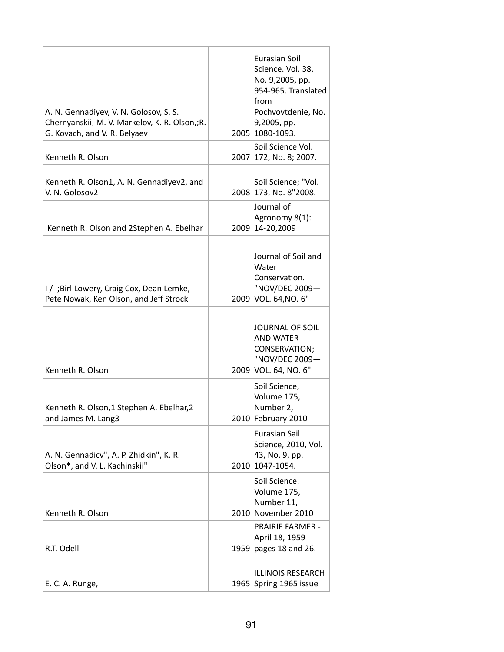| A. N. Gennadiyev, V. N. Golosov, S. S.<br>Chernyanskii, M. V. Markelov, K. R. Olson,;R.<br>G. Kovach, and V. R. Belyaev | Eurasian Soil<br>Science. Vol. 38,<br>No. 9,2005, pp.<br>954-965. Translated<br>from<br>Pochvovtdenie, No.<br>9,2005, pp.<br>2005 1080-1093. |
|-------------------------------------------------------------------------------------------------------------------------|----------------------------------------------------------------------------------------------------------------------------------------------|
| Kenneth R. Olson                                                                                                        | Soil Science Vol.<br>2007 172, No. 8; 2007.                                                                                                  |
| Kenneth R. Olson1, A. N. Gennadiyev2, and<br>V. N. Golosov2                                                             | Soil Science; "Vol.<br>2008 173, No. 8"2008.                                                                                                 |
| 'Kenneth R. Olson and 2Stephen A. Ebelhar                                                                               | Journal of<br>Agronomy 8(1):<br>2009 14-20,2009                                                                                              |
| I / I;Birl Lowery, Craig Cox, Dean Lemke,<br>Pete Nowak, Ken Olson, and Jeff Strock                                     | Journal of Soil and<br>Water<br>Conservation.<br>"NOV/DEC 2009-<br>2009 VOL. 64, NO. 6"                                                      |
| Kenneth R. Olson                                                                                                        | <b>JOURNAL OF SOIL</b><br><b>AND WATER</b><br>CONSERVATION;<br>"NOV/DEC 2009-<br>2009 VOL. 64, NO. 6"                                        |
| Kenneth R. Olson, 1 Stephen A. Ebelhar, 2<br>and James M. Lang3                                                         | Soil Science,<br>Volume 175,<br>Number 2,<br>2010 February 2010                                                                              |
| A. N. Gennadicv", A. P. Zhidkin", K. R.<br>Olson*, and V. L. Kachinskii"                                                | <b>Eurasian Sail</b><br>Science, 2010, Vol.<br>43, No. 9, pp.<br>2010 1047-1054.                                                             |
| Kenneth R. Olson                                                                                                        | Soil Science.<br>Volume 175,<br>Number 11,<br>2010 November 2010                                                                             |
| R.T. Odell                                                                                                              | <b>PRAIRIE FARMER -</b><br>April 18, 1959<br>1959 pages 18 and 26.                                                                           |
| E. C. A. Runge,                                                                                                         | <b>ILLINOIS RESEARCH</b><br>1965 Spring 1965 issue                                                                                           |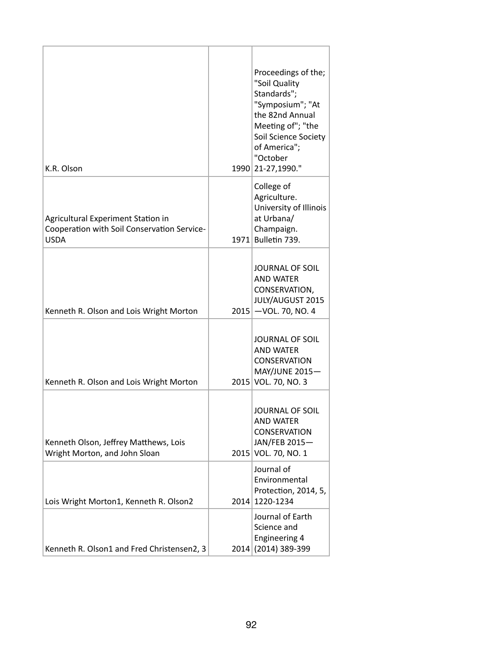| K.R. Olson                                                                                       | Proceedings of the;<br>"Soil Quality<br>Standards";<br>"Symposium"; "At<br>the 82nd Annual<br>Meeting of"; "the<br>Soil Science Society<br>of America";<br>"October<br>1990 21-27,1990." |
|--------------------------------------------------------------------------------------------------|------------------------------------------------------------------------------------------------------------------------------------------------------------------------------------------|
| Agricultural Experiment Station in<br>Cooperation with Soil Conservation Service-<br><b>USDA</b> | College of<br>Agriculture.<br>University of Illinois<br>at Urbana/<br>Champaign.<br>1971 Bulletin 739.                                                                                   |
| Kenneth R. Olson and Lois Wright Morton                                                          | <b>JOURNAL OF SOIL</b><br><b>AND WATER</b><br>CONSERVATION,<br>JULY/AUGUST 2015<br>$2015$ -VOL. 70, NO. 4                                                                                |
| Kenneth R. Olson and Lois Wright Morton                                                          | <b>JOURNAL OF SOIL</b><br><b>AND WATER</b><br><b>CONSERVATION</b><br><b>MAY/JUNE 2015-</b><br>2015 VOL. 70, NO. 3                                                                        |
| Kenneth Olson, Jeffrey Matthews, Lois<br>Wright Morton, and John Sloan                           | <b>JOURNAL OF SOIL</b><br><b>AND WATER</b><br><b>CONSERVATION</b><br>JAN/FEB 2015-<br>2015 VOL. 70, NO. 1                                                                                |
| Lois Wright Morton1, Kenneth R. Olson2                                                           | Journal of<br>Environmental<br>Protection, 2014, 5,<br>2014 1220-1234                                                                                                                    |
| Kenneth R. Olson1 and Fred Christensen2, 3                                                       | Journal of Earth<br>Science and<br><b>Engineering 4</b><br>2014 (2014) 389-399                                                                                                           |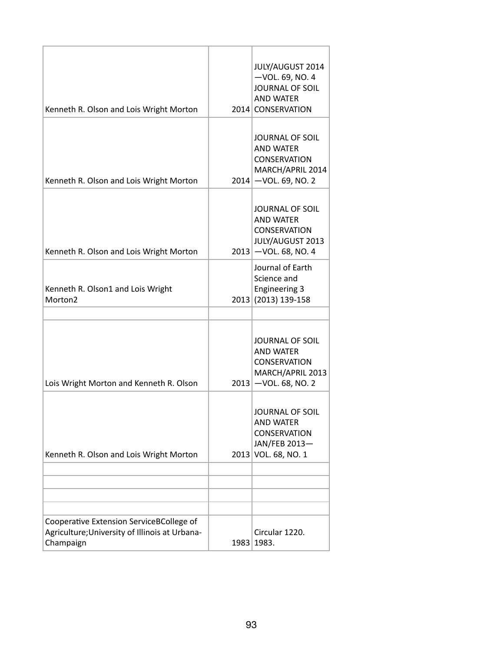| Kenneth R. Olson and Lois Wright Morton                                                                 |      | JULY/AUGUST 2014<br>$-$ VOL. 69, NO. 4<br><b>JOURNAL OF SOIL</b><br><b>AND WATER</b><br>2014 CONSERVATION       |
|---------------------------------------------------------------------------------------------------------|------|-----------------------------------------------------------------------------------------------------------------|
| Kenneth R. Olson and Lois Wright Morton                                                                 |      | <b>JOURNAL OF SOIL</b><br><b>AND WATER</b><br><b>CONSERVATION</b><br>MARCH/APRIL 2014<br>$2014$ -VOL. 69, NO. 2 |
| Kenneth R. Olson and Lois Wright Morton                                                                 |      | <b>JOURNAL OF SOIL</b><br><b>AND WATER</b><br><b>CONSERVATION</b><br>JULY/AUGUST 2013<br>$2013$ -VOL. 68, NO. 4 |
| Kenneth R. Olson1 and Lois Wright<br>Morton <sub>2</sub>                                                |      | Journal of Earth<br>Science and<br><b>Engineering 3</b><br>2013 (2013) 139-158                                  |
| Lois Wright Morton and Kenneth R. Olson                                                                 |      | <b>JOURNAL OF SOIL</b><br><b>AND WATER</b><br><b>CONSERVATION</b><br>MARCH/APRIL 2013<br>$2013$ -VOL. 68, NO. 2 |
| Kenneth R. Olson and Lois Wright Morton                                                                 |      | JOURNAL OF SOIL<br><b>AND WATER</b><br><b>CONSERVATION</b><br>JAN/FEB 2013-<br>2013 VOL. 68, NO. 1              |
|                                                                                                         |      |                                                                                                                 |
|                                                                                                         |      |                                                                                                                 |
|                                                                                                         |      |                                                                                                                 |
| Cooperative Extension ServiceBCollege of<br>Agriculture; University of Illinois at Urbana-<br>Champaign | 1983 | Circular 1220.<br>1983.                                                                                         |